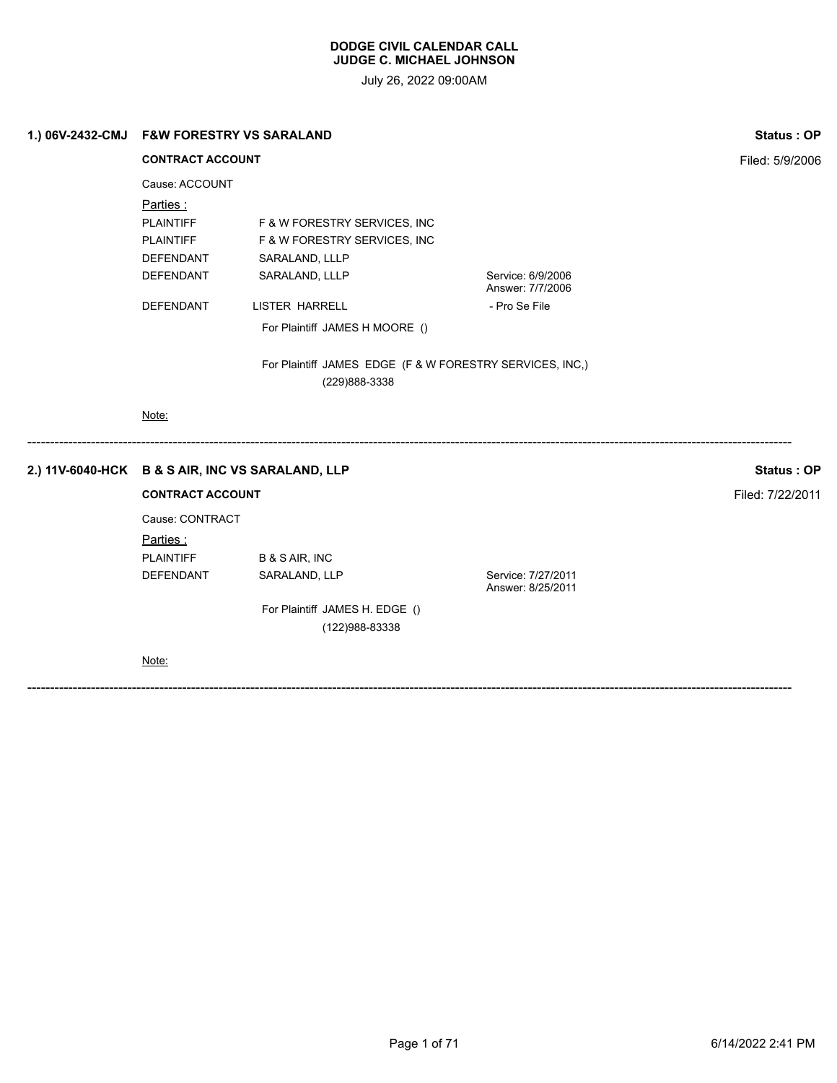|  | 1.) 06V-2432-CMJ F&W FORESTRY VS SARALAND<br><b>CONTRACT ACCOUNT</b>      |                                                  |                                         | Status: OP      |
|--|---------------------------------------------------------------------------|--------------------------------------------------|-----------------------------------------|-----------------|
|  |                                                                           |                                                  |                                         | Filed: 5/9/2006 |
|  | Cause: ACCOUNT                                                            |                                                  |                                         |                 |
|  | Parties:                                                                  |                                                  |                                         |                 |
|  | <b>PLAINTIFF</b>                                                          | F & W FORESTRY SERVICES, INC                     |                                         |                 |
|  | PLAINTIFF                                                                 | F & W FORESTRY SERVICES, INC                     |                                         |                 |
|  | <b>DEFENDANT</b>                                                          | SARALAND, LLLP                                   |                                         |                 |
|  | <b>DEFENDANT</b>                                                          | SARALAND, LLLP                                   | Service: 6/9/2006<br>Answer: 7/7/2006   |                 |
|  | <b>DEFENDANT</b>                                                          | LISTER HARRELL                                   | - Pro Se File                           |                 |
|  |                                                                           | For Plaintiff JAMES H MOORE ()                   |                                         |                 |
|  | For Plaintiff JAMES EDGE (F & W FORESTRY SERVICES, INC,)<br>(229)888-3338 |                                                  |                                         |                 |
|  | Note:                                                                     |                                                  |                                         |                 |
|  |                                                                           | 2.) 11V-6040-HCK B & S AIR, INC VS SARALAND, LLP |                                         | Status: OP      |
|  | <b>CONTRACT ACCOUNT</b>                                                   |                                                  | Filed: 7/22/2011                        |                 |
|  | Cause: CONTRACT                                                           |                                                  |                                         |                 |
|  | Parties:                                                                  |                                                  |                                         |                 |
|  | <b>PLAINTIFF</b>                                                          | <b>B &amp; S AIR, INC</b>                        |                                         |                 |
|  | <b>DEFENDANT</b>                                                          | SARALAND, LLP                                    | Service: 7/27/2011<br>Answer: 8/25/2011 |                 |
|  | For Plaintiff JAMES H. EDGE ()                                            |                                                  |                                         |                 |
|  |                                                                           | (122) 988-83338                                  |                                         |                 |
|  | Note:                                                                     |                                                  |                                         |                 |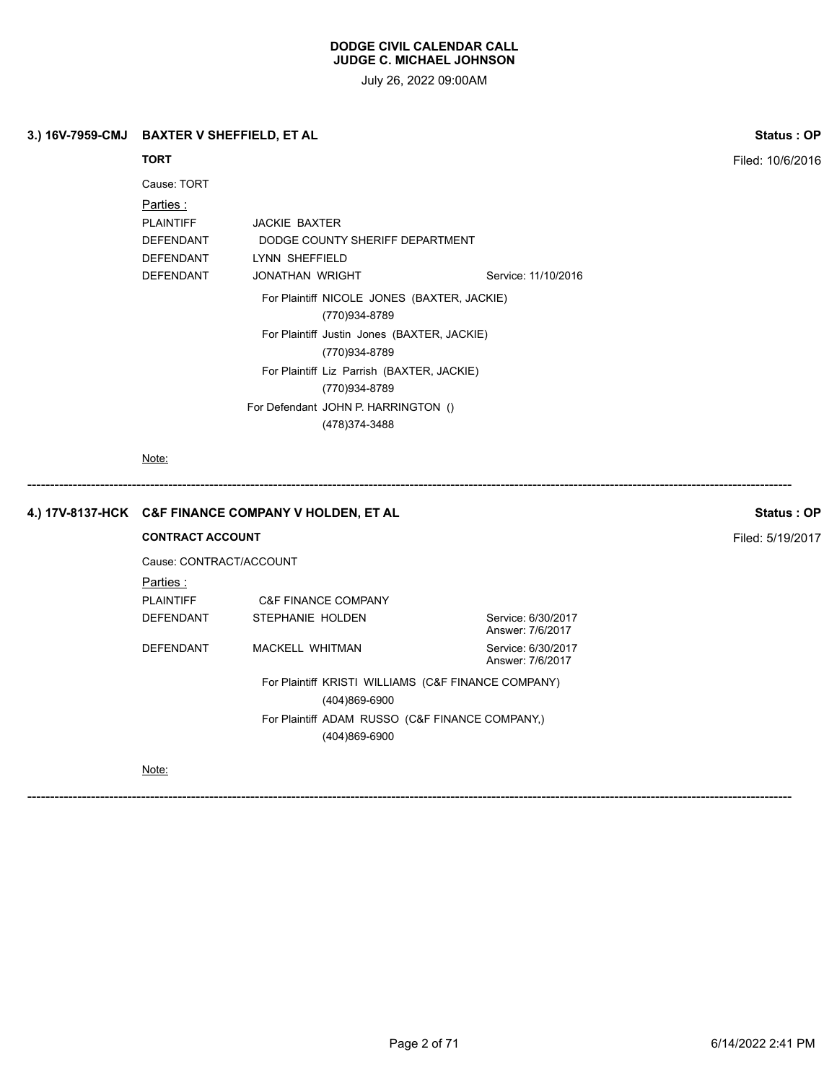July 26, 2022 09:00AM

# **3.) 16V-7959-CMJ BAXTER V SHEFFIELD, ET AL Status : OP**

# **TORT** Filed: 10/6/2016

| Cause: TORT      |                                                              |                     |
|------------------|--------------------------------------------------------------|---------------------|
| Parties :        |                                                              |                     |
| <b>PLAINTIFF</b> | <b>JACKIE BAXTER</b>                                         |                     |
| <b>DEFENDANT</b> | DODGE COUNTY SHERIFF DEPARTMENT                              |                     |
| <b>DEFENDANT</b> | LYNN SHEFFIELD                                               |                     |
| <b>DEFENDANT</b> | JONATHAN WRIGHT                                              | Service: 11/10/2016 |
|                  | For Plaintiff NICOLE JONES (BAXTER, JACKIE)<br>(770)934-8789 |                     |
|                  | For Plaintiff Justin Jones (BAXTER, JACKIE)                  |                     |
|                  | (770)934-8789                                                |                     |
|                  | For Plaintiff Liz Parrish (BAXTER, JACKIE)                   |                     |
|                  | (770)934-8789                                                |                     |
|                  | For Defendant JOHN P. HARRINGTON ()                          |                     |
|                  | (478)374-3488                                                |                     |
|                  |                                                              |                     |

Note:

# ------------------------------------------------------------------------------------------------------------------------------------------------------------------------ **4.) 17V-8137-HCK C&F FINANCE COMPANY V HOLDEN, ET AL Status : OP**

### **CONTRACT ACCOUNT CONTRACT ACCOUNT**

Cause: CONTRACT/ACCOUNT Parties : PLAINTIFF C&F FINANCE COMPANY DEFENDANT STEPHANIE HOLDEN Service: 6/30/2017 DEFENDANT MACKELL WHITMAN Service: 6/30/2017

Answer: 7/6/2017 Answer: 7/6/2017

For Plaintiff KRISTI WILLIAMS (C&F FINANCE COMPANY) (404)869-6900 For Plaintiff ADAM RUSSO (C&F FINANCE COMPANY,) (404)869-6900

------------------------------------------------------------------------------------------------------------------------------------------------------------------------

Note: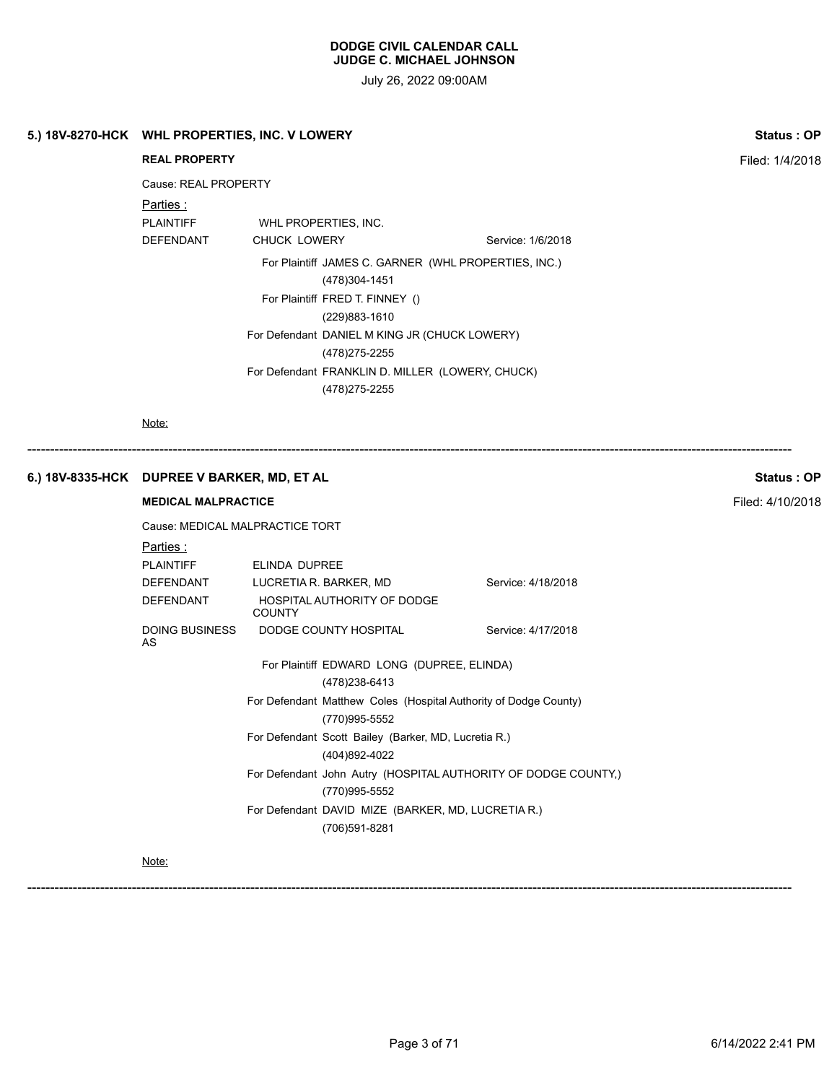July 26, 2022 09:00AM

| <b>Status: OP</b> |                    | 5.) 18V-8270-HCK WHL PROPERTIES, INC. V LOWERY                                    |                            |                                             |  |
|-------------------|--------------------|-----------------------------------------------------------------------------------|----------------------------|---------------------------------------------|--|
| Filed: 1/4/2018   |                    |                                                                                   | <b>REAL PROPERTY</b>       |                                             |  |
|                   |                    |                                                                                   | Cause: REAL PROPERTY       |                                             |  |
|                   |                    |                                                                                   | <u>Parties :</u>           |                                             |  |
|                   |                    | WHL PROPERTIES, INC.                                                              | <b>PLAINTIFF</b>           |                                             |  |
|                   | Service: 1/6/2018  | CHUCK LOWERY                                                                      | DEFENDANT                  |                                             |  |
|                   |                    | For Plaintiff JAMES C. GARNER (WHL PROPERTIES, INC.)<br>(478)304-1451             |                            |                                             |  |
|                   |                    | For Plaintiff FRED T. FINNEY ()<br>(229)883-1610                                  |                            |                                             |  |
|                   |                    | For Defendant DANIEL M KING JR (CHUCK LOWERY)<br>(478) 275-2255                   |                            |                                             |  |
|                   |                    | For Defendant FRANKLIN D. MILLER (LOWERY, CHUCK)<br>(478) 275-2255                |                            |                                             |  |
|                   |                    |                                                                                   | Note:                      |                                             |  |
| Status: OP        |                    |                                                                                   |                            | 6.) 18V-8335-HCK DUPREE V BARKER, MD, ET AL |  |
| Filed: 4/10/2018  |                    |                                                                                   | <b>MEDICAL MALPRACTICE</b> |                                             |  |
|                   |                    | Cause: MEDICAL MALPRACTICE TORT                                                   |                            |                                             |  |
|                   |                    |                                                                                   | <u>Parties :</u>           |                                             |  |
|                   |                    | ELINDA DUPREE                                                                     | <b>PLAINTIFF</b>           |                                             |  |
|                   | Service: 4/18/2018 | LUCRETIA R. BARKER, MD<br>HOSPITAL AUTHORITY OF DODGE<br><b>COUNTY</b>            | DEFENDANT<br>DEFENDANT     |                                             |  |
|                   | Service: 4/17/2018 | DODGE COUNTY HOSPITAL                                                             | DOING BUSINESS<br>AS       |                                             |  |
|                   |                    | For Plaintiff EDWARD LONG (DUPREE, ELINDA)<br>(478) 238-6413                      |                            |                                             |  |
|                   |                    | For Defendant Matthew Coles (Hospital Authority of Dodge County)<br>(770)995-5552 |                            |                                             |  |
|                   |                    | For Defendant Scott Bailey (Barker, MD, Lucretia R.)                              |                            |                                             |  |
|                   |                    | (404)892-4022                                                                     |                            |                                             |  |
|                   |                    | For Defendant John Autry (HOSPITAL AUTHORITY OF DODGE COUNTY,)<br>(770)995-5552   |                            |                                             |  |

Note: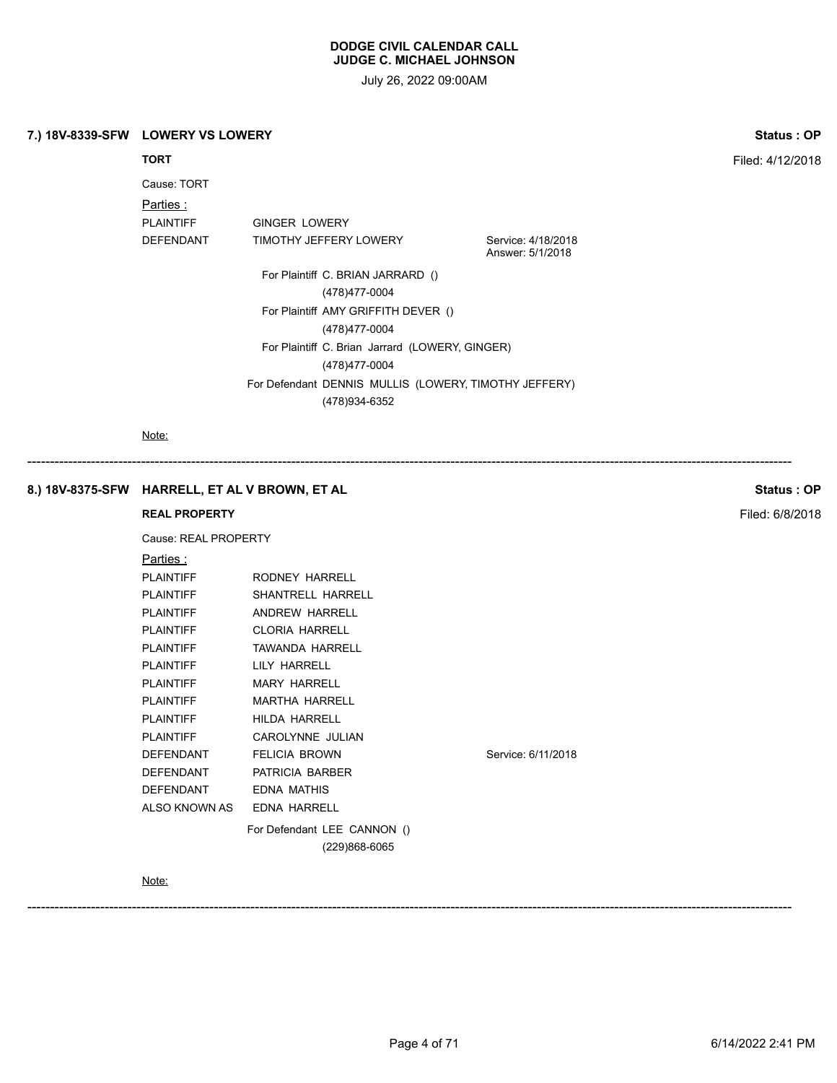July 26, 2022 09:00AM

# **7.) 18V-8339-SFW LOWERY VS LOWERY Status : OP**

Cause: TORT Parties :

PLAINTIFF **GINGER LOWERY** DEFENDANT TIMOTHY JEFFERY LOWERY Service: 4/18/2018

Answer: 5/1/2018

For Plaintiff C. BRIAN JARRARD () (478)477-0004 For Plaintiff AMY GRIFFITH DEVER () (478)477-0004 For Plaintiff C. Brian Jarrard (LOWERY, GINGER) (478)477-0004 For Defendant DENNIS MULLIS (LOWERY, TIMOTHY JEFFERY) (478)934-6352

------------------------------------------------------------------------------------------------------------------------------------------------------------------------

Note:

# **8.) 18V-8375-SFW HARRELL, ET AL V BROWN, ET AL Status : OP**

# **REAL PROPERTY Filed: 6/8/2018**

Cause: REAL PROPERTY

| <u>Parties :</u> |                                 |
|------------------|---------------------------------|
| PLAINTIFF        | RODNEY HARRELL                  |
| PLAINTIFF        | SHANTRELL HARRELL               |
| PLAINTIFF        | ANDREW HARRELL                  |
| PLAINTIFF        | CLORIA HARRELL                  |
| PLAINTIFF        | TAWANDA HARRELL                 |
| PLAINTIFF        | LILY HARRELL                    |
| PLAINTIFF        | <b>MARY HARRELL</b>             |
| PLAINTIFF        | MARTHA HARRFII                  |
| PLAINTIFF        | HILDA HARRELL                   |
| PLAINTIFF        | CAROLYNNE JULIAN                |
| DEFENDANT        | <b>FELICIA BROWN</b>            |
|                  | DEFENDANT PATRICIA BARBER       |
| DEFENDANT        | FDNA MATHIS                     |
|                  | ALSO KNOWN AS      EDNA HARRELL |
|                  | For Defendant LEE CANNON ()     |
|                  | (229)868-6065                   |
|                  |                                 |

Note:

Service: 6/11/2018

------------------------------------------------------------------------------------------------------------------------------------------------------------------------

**TORT** Filed: 4/12/2018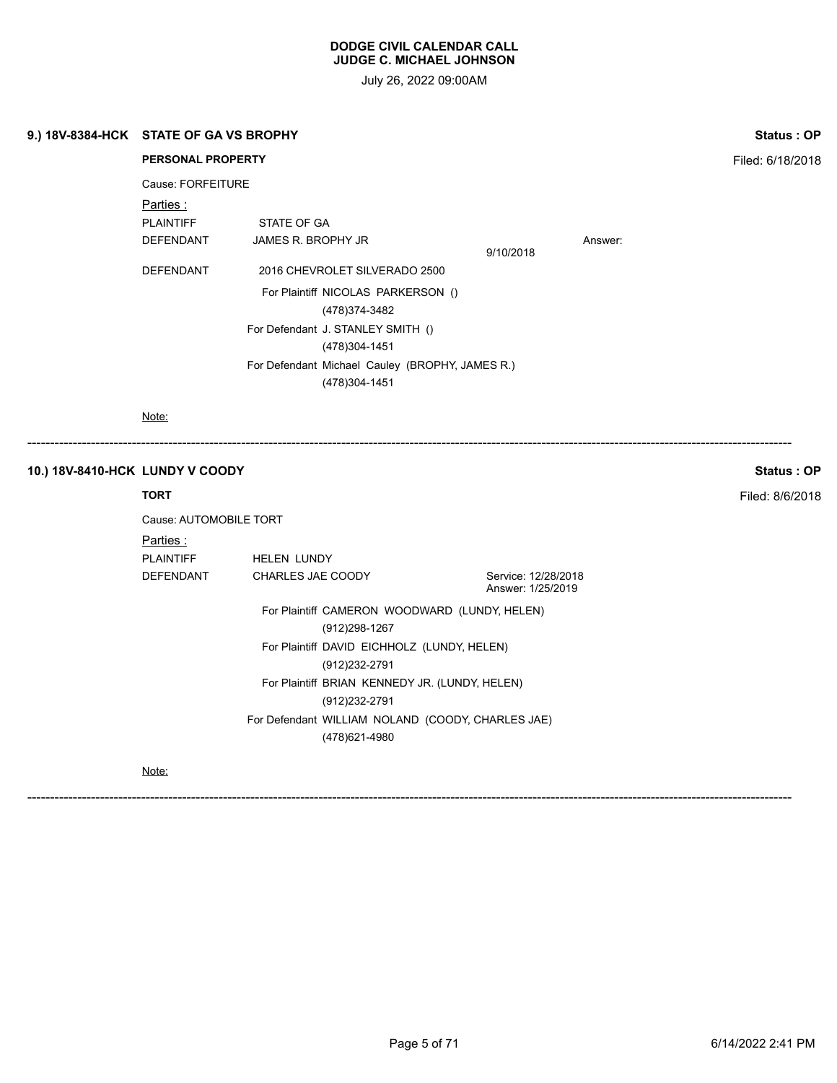July 26, 2022 09:00AM

|                                 | 9.) 18V-8384-HCK STATE OF GA VS BROPHY     |                                                                                                                                                                                                                 |                                          | Status: OP       |  |
|---------------------------------|--------------------------------------------|-----------------------------------------------------------------------------------------------------------------------------------------------------------------------------------------------------------------|------------------------------------------|------------------|--|
|                                 | <b>PERSONAL PROPERTY</b>                   |                                                                                                                                                                                                                 |                                          | Filed: 6/18/2018 |  |
|                                 | Cause: FORFEITURE                          |                                                                                                                                                                                                                 |                                          |                  |  |
|                                 | Parties :<br><b>PLAINTIFF</b><br>DEFENDANT | STATE OF GA<br>JAMES R. BROPHY JR                                                                                                                                                                               | 9/10/2018                                | Answer:          |  |
|                                 | DEFENDANT                                  | 2016 CHEVROLET SILVERADO 2500<br>For Plaintiff NICOLAS PARKERSON ()<br>(478) 374-3482<br>For Defendant J. STANLEY SMITH ()<br>(478)304-1451<br>For Defendant Michael Cauley (BROPHY, JAMES R.)<br>(478)304-1451 |                                          |                  |  |
|                                 |                                            |                                                                                                                                                                                                                 |                                          |                  |  |
|                                 | Note:                                      |                                                                                                                                                                                                                 |                                          |                  |  |
| 10.) 18V-8410-HCK LUNDY V COODY |                                            |                                                                                                                                                                                                                 |                                          | Status: OP       |  |
|                                 | <b>TORT</b>                                |                                                                                                                                                                                                                 |                                          | Filed: 8/6/2018  |  |
|                                 | Cause: AUTOMOBILE TORT                     |                                                                                                                                                                                                                 |                                          |                  |  |
|                                 | Parties :<br><b>PLAINTIFF</b><br>DEFENDANT | HELEN LUNDY<br>CHARLES JAE COODY                                                                                                                                                                                | Service: 12/28/2018<br>Answer: 1/25/2019 |                  |  |

Note: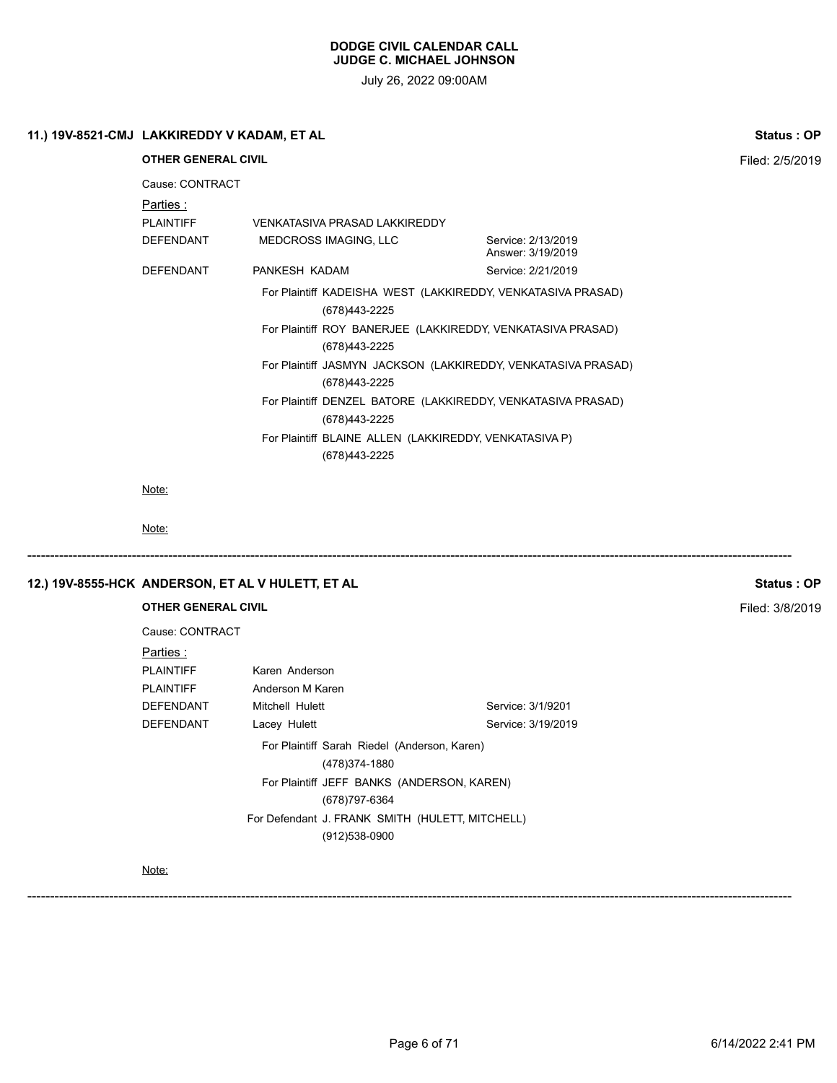| 11.) 19V-8521-CMJ LAKKIREDDY V KADAM, ET AL                    |                                                                          |                                                               | Status: OP      |  |
|----------------------------------------------------------------|--------------------------------------------------------------------------|---------------------------------------------------------------|-----------------|--|
| <b>OTHER GENERAL CIVIL</b>                                     | Filed: 2/5/2019                                                          |                                                               |                 |  |
| Cause: CONTRACT                                                |                                                                          |                                                               |                 |  |
| Parties:                                                       |                                                                          |                                                               |                 |  |
| <b>PLAINTIFF</b>                                               | <b>VENKATASIVA PRASAD LAKKIREDDY</b>                                     |                                                               |                 |  |
| DEFENDANT                                                      | MEDCROSS IMAGING, LLC                                                    | Service: 2/13/2019<br>Answer: 3/19/2019                       |                 |  |
| DEFENDANT                                                      | PANKESH KADAM                                                            | Service: 2/21/2019                                            |                 |  |
|                                                                | (678)443-2225                                                            | For Plaintiff KADEISHA WEST (LAKKIREDDY, VENKATASIVA PRASAD)  |                 |  |
|                                                                | (678)443-2225                                                            | For Plaintiff ROY BANERJEE (LAKKIREDDY, VENKATASIVA PRASAD)   |                 |  |
|                                                                | (678) 443-2225                                                           | For Plaintiff JASMYN JACKSON (LAKKIREDDY, VENKATASIVA PRASAD) |                 |  |
|                                                                | (678) 443-2225                                                           | For Plaintiff DENZEL BATORE (LAKKIREDDY, VENKATASIVA PRASAD)  |                 |  |
|                                                                | For Plaintiff BLAINE ALLEN (LAKKIREDDY, VENKATASIVA P)<br>(678) 443-2225 |                                                               |                 |  |
| Note:                                                          |                                                                          |                                                               |                 |  |
| Note:                                                          |                                                                          |                                                               |                 |  |
| 12.) 19V-8555-HCK ANDERSON, ET AL V HULETT, ET AL              |                                                                          |                                                               | Status: OP      |  |
| <b>OTHER GENERAL CIVIL</b>                                     |                                                                          |                                                               | Filed: 3/8/2019 |  |
| Cause: CONTRACT                                                |                                                                          |                                                               |                 |  |
| Parties:<br><b>PLAINTIFF</b>                                   | Karen Anderson                                                           |                                                               |                 |  |
| <b>PLAINTIFF</b>                                               | Anderson M Karen                                                         |                                                               |                 |  |
| DEFENDANT                                                      | Mitchell Hulett                                                          | Service: 3/1/9201                                             |                 |  |
| DEFENDANT                                                      | Lacey Hulett                                                             | Service: 3/19/2019                                            |                 |  |
| For Plaintiff Sarah Riedel (Anderson, Karen)<br>(478) 374-1880 |                                                                          |                                                               |                 |  |
|                                                                | For Plaintiff JEFF BANKS (ANDERSON, KAREN)                               |                                                               |                 |  |
|                                                                | (678) 797-6364                                                           |                                                               |                 |  |
|                                                                | For Defendant J. FRANK SMITH (HULETT, MITCHELL)<br>(912)538-0900         |                                                               |                 |  |
| Note:                                                          |                                                                          |                                                               |                 |  |
|                                                                |                                                                          |                                                               |                 |  |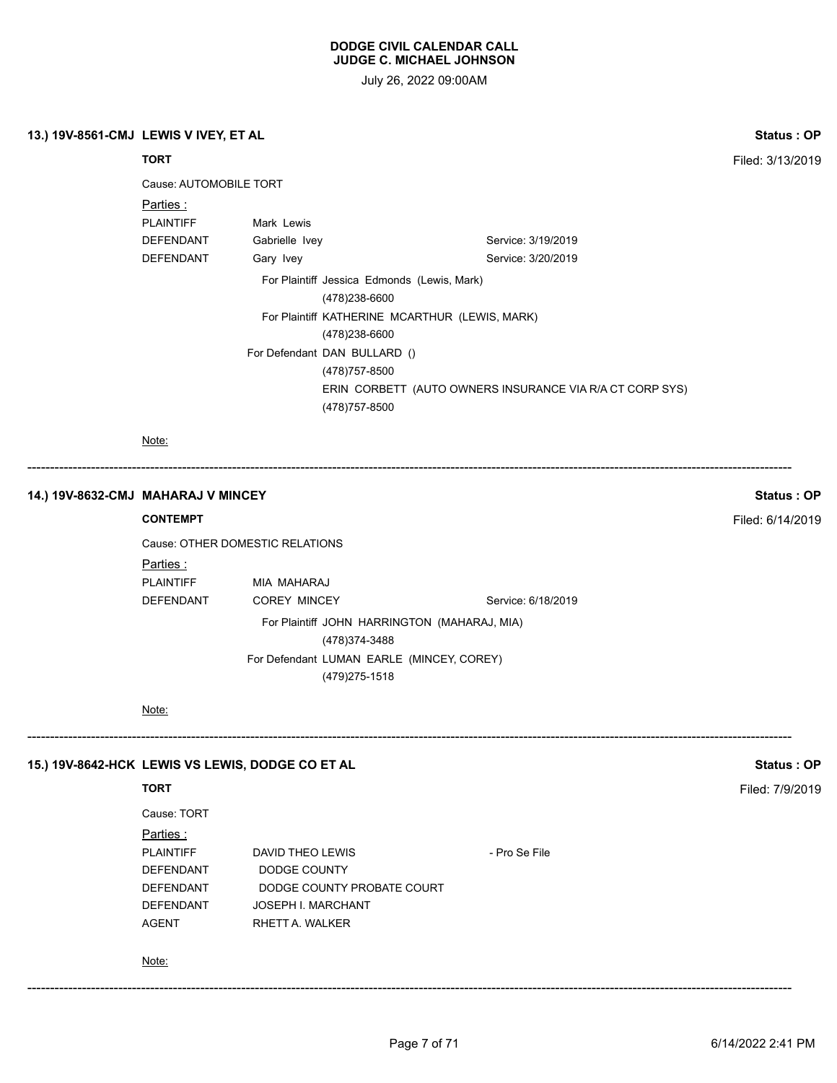July 26, 2022 09:00AM

# **13.) 19V-8561-CMJ LEWIS V IVEY, ET AL Status : OP**

**TORT** Filed: 3/13/2019

| Cause: AUTOMOBILE TORT |  |
|------------------------|--|
|                        |  |

| Parties :        |                                                |                                                          |  |
|------------------|------------------------------------------------|----------------------------------------------------------|--|
| <b>PLAINTIFF</b> | Mark Lewis                                     |                                                          |  |
| <b>DEFENDANT</b> | Gabrielle Ivey                                 | Service: 3/19/2019                                       |  |
| DEFENDANT        | Gary Ivey                                      | Service: 3/20/2019                                       |  |
|                  | For Plaintiff Jessica Edmonds (Lewis, Mark)    |                                                          |  |
|                  |                                                | (478)238-6600                                            |  |
|                  | For Plaintiff KATHERINE MCARTHUR (LEWIS, MARK) |                                                          |  |
|                  | (478)238-6600                                  |                                                          |  |
|                  | For Defendant DAN BULLARD ()                   |                                                          |  |
|                  | (478) 757-8500                                 |                                                          |  |
|                  |                                                | ERIN CORBETT (AUTO OWNERS INSURANCE VIA R/A CT CORP SYS) |  |
|                  | (478) 757-8500                                 |                                                          |  |

Note:

------------------------------------------------------------------------------------------------------------------------------------------------------------------------

# **14.) 19V-8632-CMJ MAHARAJ V MINCEY Status : OP**

# **CONTEMPT** Filed: 6/14/2019

Cause: OTHER DOMESTIC RELATIONS Parties : PLAINTIFF MIA MAHARAJ DEFENDANT COREY MINCEY Service: 6/18/2019 For Plaintiff JOHN HARRINGTON (MAHARAJ, MIA) (478)374-3488 For Defendant LUMAN EARLE (MINCEY, COREY) (479)275-1518

Note:

### **15.) 19V-8642-HCK LEWIS VS LEWIS, DODGE CO ET AL Status : OP**

# **TORT** Filed: 7/9/2019

| DAVID THEO LEWIS           | - Pro Se File |
|----------------------------|---------------|
| DODGE COUNTY               |               |
| DODGE COUNTY PROBATE COURT |               |
| <b>JOSEPH I. MARCHANT</b>  |               |
| RHETT A. WALKER            |               |
|                            |               |

#### Note:

------------------------------------------------------------------------------------------------------------------------------------------------------------------------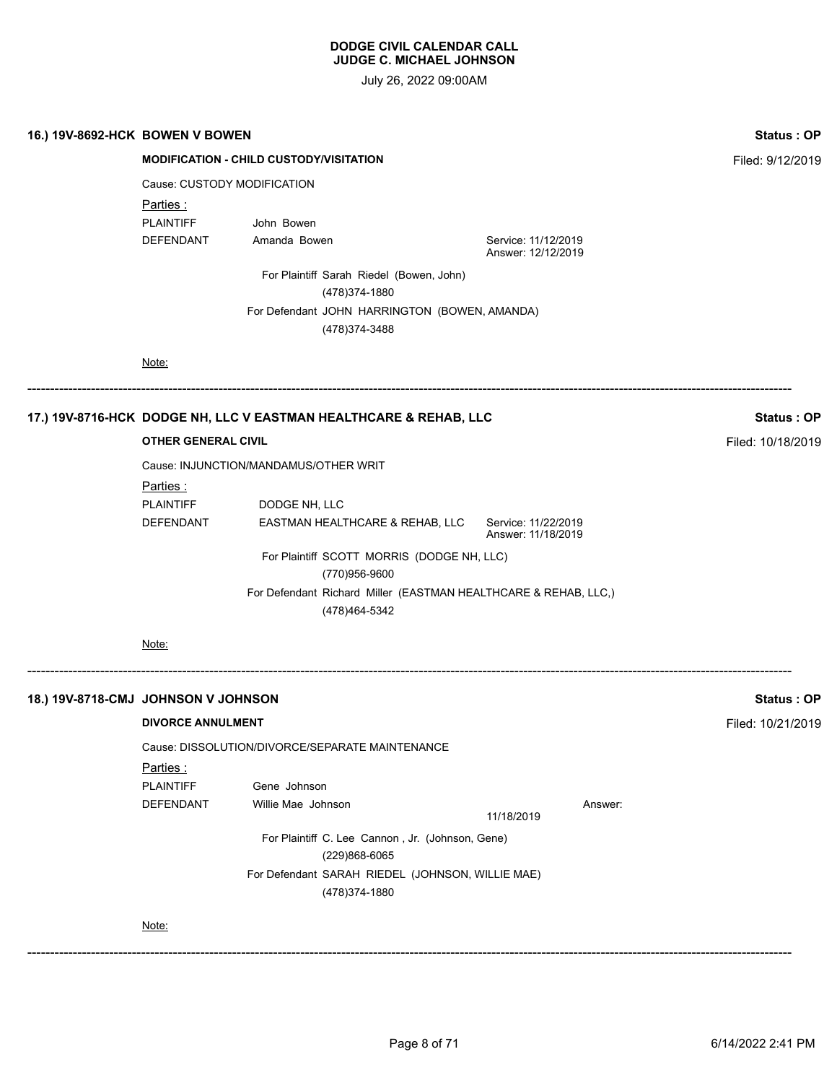| Status: OP        |                                           |                                                                                   | 16.) 19V-8692-HCK BOWEN V BOWEN     |  |  |
|-------------------|-------------------------------------------|-----------------------------------------------------------------------------------|-------------------------------------|--|--|
| Filed: 9/12/2019  |                                           | <b>MODIFICATION - CHILD CUSTODY/VISITATION</b>                                    |                                     |  |  |
|                   |                                           | Cause: CUSTODY MODIFICATION                                                       |                                     |  |  |
|                   |                                           |                                                                                   | Parties:                            |  |  |
|                   |                                           | John Bowen                                                                        | <b>PLAINTIFF</b>                    |  |  |
|                   | Service: 11/12/2019<br>Answer: 12/12/2019 | Amanda Bowen                                                                      | DEFENDANT                           |  |  |
|                   |                                           | For Plaintiff Sarah Riedel (Bowen, John)<br>(478) 374-1880                        |                                     |  |  |
|                   |                                           | For Defendant JOHN HARRINGTON (BOWEN, AMANDA)<br>(478) 374-3488                   |                                     |  |  |
|                   |                                           |                                                                                   | Note:                               |  |  |
| <b>Status: OP</b> |                                           | 17.) 19V-8716-HCK DODGE NH, LLC V EASTMAN HEALTHCARE & REHAB, LLC                 |                                     |  |  |
| Filed: 10/18/2019 |                                           |                                                                                   | <b>OTHER GENERAL CIVIL</b>          |  |  |
|                   |                                           | Cause: INJUNCTION/MANDAMUS/OTHER WRIT                                             |                                     |  |  |
|                   |                                           |                                                                                   | <u>Parties :</u>                    |  |  |
|                   |                                           | DODGE NH, LLC                                                                     | <b>PLAINTIFF</b>                    |  |  |
|                   | Service: 11/22/2019<br>Answer: 11/18/2019 | EASTMAN HEALTHCARE & REHAB, LLC                                                   | DEFENDANT                           |  |  |
|                   |                                           | For Plaintiff SCOTT MORRIS (DODGE NH, LLC)                                        |                                     |  |  |
|                   |                                           | (770)956-9600                                                                     |                                     |  |  |
|                   |                                           | For Defendant Richard Miller (EASTMAN HEALTHCARE & REHAB, LLC,)<br>(478) 464-5342 |                                     |  |  |
|                   |                                           |                                                                                   | Note:                               |  |  |
| <b>Status: OP</b> |                                           |                                                                                   | 18.) 19V-8718-CMJ JOHNSON V JOHNSON |  |  |
| Filed: 10/21/2019 |                                           |                                                                                   | <b>DIVORCE ANNULMENT</b>            |  |  |
|                   |                                           | Cause: DISSOLUTION/DIVORCE/SEPARATE MAINTENANCE                                   |                                     |  |  |
|                   |                                           |                                                                                   | Parties:                            |  |  |
|                   |                                           | Gene Johnson                                                                      | <b>PLAINTIFF</b>                    |  |  |
|                   | Answer:<br>11/18/2019                     | Willie Mae Johnson                                                                | DEFENDANT                           |  |  |
|                   |                                           | For Plaintiff C. Lee Cannon, Jr. (Johnson, Gene)<br>(229)868-6065                 |                                     |  |  |
|                   |                                           | For Defendant SARAH RIEDEL (JOHNSON, WILLIE MAE)<br>(478) 374-1880                |                                     |  |  |
|                   |                                           |                                                                                   | Note:                               |  |  |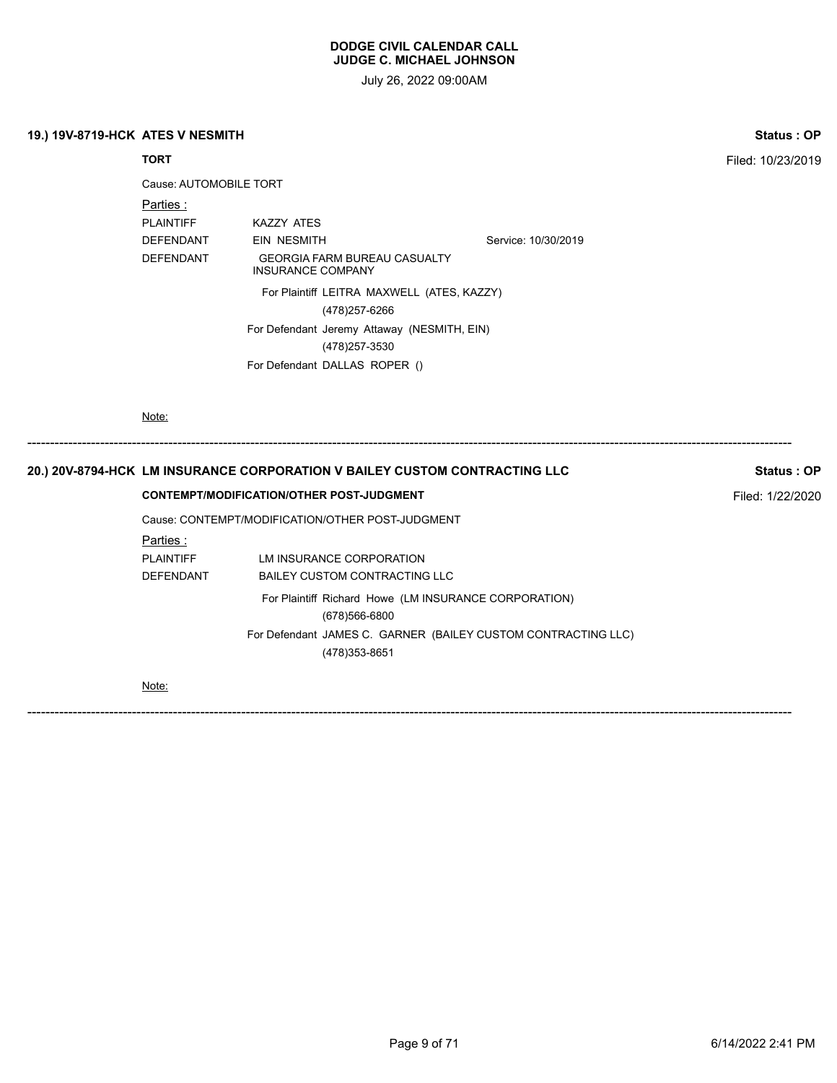July 26, 2022 09:00AM

|  | 19.) 19V-8719-HCK ATES V NESMITH |  |  |
|--|----------------------------------|--|--|
|--|----------------------------------|--|--|

| 19.) 19V-8719-HCK ATES V NESMITH |                        |                                                                            |                                                               | Status: OP        |
|----------------------------------|------------------------|----------------------------------------------------------------------------|---------------------------------------------------------------|-------------------|
|                                  | <b>TORT</b>            |                                                                            |                                                               | Filed: 10/23/2019 |
|                                  | Cause: AUTOMOBILE TORT |                                                                            |                                                               |                   |
|                                  | Parties:               |                                                                            |                                                               |                   |
|                                  | <b>PLAINTIFF</b>       | <b>KAZZY ATES</b>                                                          |                                                               |                   |
|                                  | <b>DEFENDANT</b>       | <b>EIN NESMITH</b>                                                         | Service: 10/30/2019                                           |                   |
|                                  | <b>DEFENDANT</b>       | <b>GEORGIA FARM BUREAU CASUALTY</b><br><b>INSURANCE COMPANY</b>            |                                                               |                   |
|                                  |                        | For Plaintiff LEITRA MAXWELL (ATES, KAZZY)                                 |                                                               |                   |
|                                  |                        | (478) 257-6266                                                             |                                                               |                   |
|                                  |                        | For Defendant Jeremy Attaway (NESMITH, EIN)                                |                                                               |                   |
|                                  |                        | (478) 257-3530                                                             |                                                               |                   |
|                                  |                        | For Defendant DALLAS ROPER ()                                              |                                                               |                   |
|                                  |                        | 20.) 20V-8794-HCK_LM INSURANCE CORPORATION V BAILEY CUSTOM CONTRACTING LLC |                                                               | Status: OP        |
|                                  |                        | <b>CONTEMPT/MODIFICATION/OTHER POST-JUDGMENT</b>                           |                                                               | Filed: 1/22/2020  |
|                                  |                        | Cause: CONTEMPT/MODIFICATION/OTHER POST-JUDGMENT                           |                                                               |                   |
|                                  | Parties:               |                                                                            |                                                               |                   |
|                                  | <b>PLAINTIFF</b>       | LM INSURANCE CORPORATION                                                   |                                                               |                   |
|                                  | <b>DEFENDANT</b>       | <b>BAILEY CUSTOM CONTRACTING LLC</b>                                       |                                                               |                   |
|                                  |                        | For Plaintiff Richard Howe (LM INSURANCE CORPORATION)                      |                                                               |                   |
|                                  |                        | (678)566-6800                                                              |                                                               |                   |
|                                  |                        | (478) 353-8651                                                             | For Defendant JAMES C. GARNER (BAILEY CUSTOM CONTRACTING LLC) |                   |
|                                  | Note:                  |                                                                            |                                                               |                   |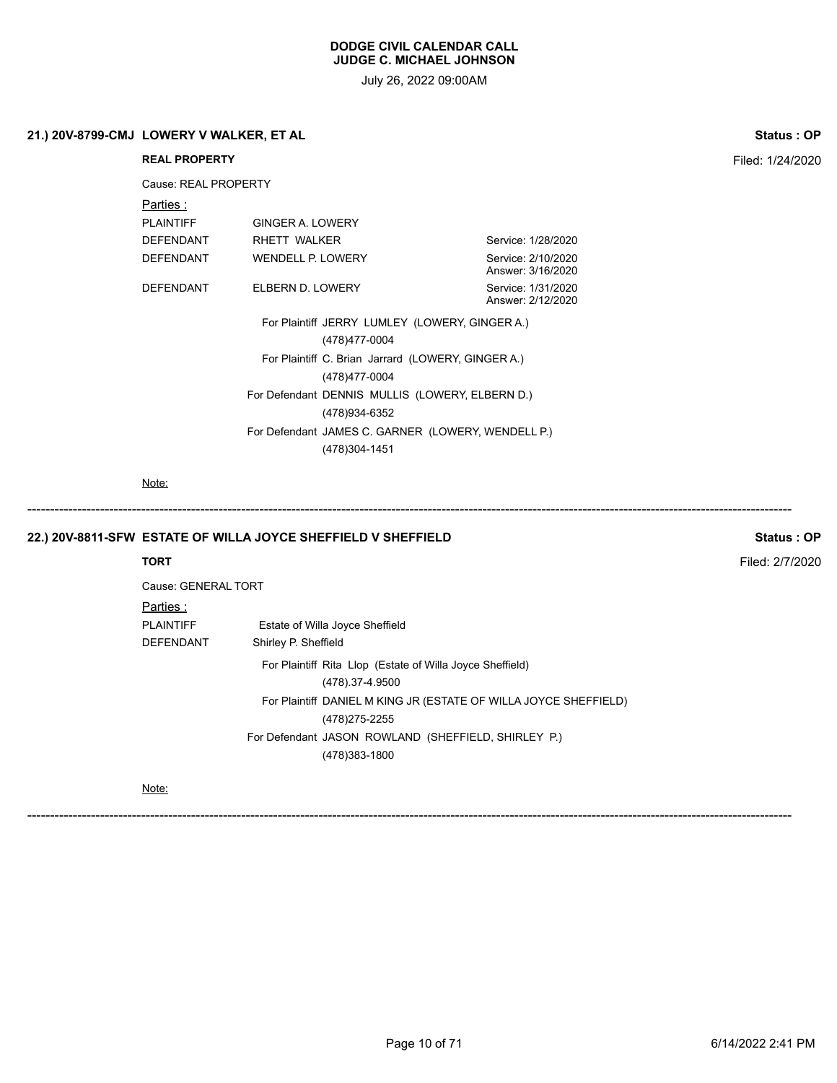July 26, 2022 09:00AM

| 21.) 20V-8799-CMJ LOWERY V WALKER, ET AL |                      | <b>Status: OP</b>                                             |                                         |                 |
|------------------------------------------|----------------------|---------------------------------------------------------------|-----------------------------------------|-----------------|
|                                          | <b>REAL PROPERTY</b> | Filed: 1/24/2020                                              |                                         |                 |
|                                          | Cause: REAL PROPERTY |                                                               |                                         |                 |
|                                          | Parties:             |                                                               |                                         |                 |
|                                          | <b>PLAINTIFF</b>     | <b>GINGER A. LOWERY</b>                                       |                                         |                 |
|                                          | <b>DEFENDANT</b>     | RHETT WALKER                                                  | Service: 1/28/2020                      |                 |
|                                          | <b>DEFENDANT</b>     | WENDELL P. LOWERY                                             | Service: 2/10/2020<br>Answer: 3/16/2020 |                 |
|                                          | <b>DEFENDANT</b>     | ELBERN D. LOWERY                                              | Service: 1/31/2020<br>Answer: 2/12/2020 |                 |
|                                          |                      |                                                               |                                         |                 |
|                                          |                      |                                                               |                                         |                 |
|                                          |                      |                                                               |                                         |                 |
|                                          |                      |                                                               |                                         |                 |
|                                          |                      | (478) 934-6352                                                |                                         |                 |
|                                          |                      | For Defendant JAMES C. GARNER (LOWERY, WENDELL P.)            |                                         |                 |
|                                          |                      | (478)304-1451                                                 |                                         |                 |
|                                          | Note:                |                                                               |                                         |                 |
|                                          |                      | 22.) 20V-8811-SFW ESTATE OF WILLA JOYCE SHEFFIELD V SHEFFIELD |                                         | Status: OP      |
|                                          | <b>TORT</b>          |                                                               |                                         | Filed: 2/7/2020 |
|                                          | Cause: GENERAL TORT  |                                                               |                                         |                 |
|                                          | Parties:             |                                                               |                                         |                 |
|                                          | <b>PLAINTIFF</b>     | Estate of Willa Joyce Sheffield                               |                                         |                 |
|                                          | DEFENDANT            | Shirley P. Sheffield                                          |                                         |                 |
|                                          |                      | Ear Plaintiff Dita Llan (Estate of Wille Joyce Chaffield)     |                                         |                 |

For Plaintiff Rita Llop (Estate of Willa Joyce Sheffield) (478).37-4.9500 For Plaintiff DANIEL M KING JR (ESTATE OF WILLA JOYCE SHEFFIELD) (478)275-2255 For Defendant JASON ROWLAND (SHEFFIELD, SHIRLEY P.)

------------------------------------------------------------------------------------------------------------------------------------------------------------------------

(478)383-1800

Note: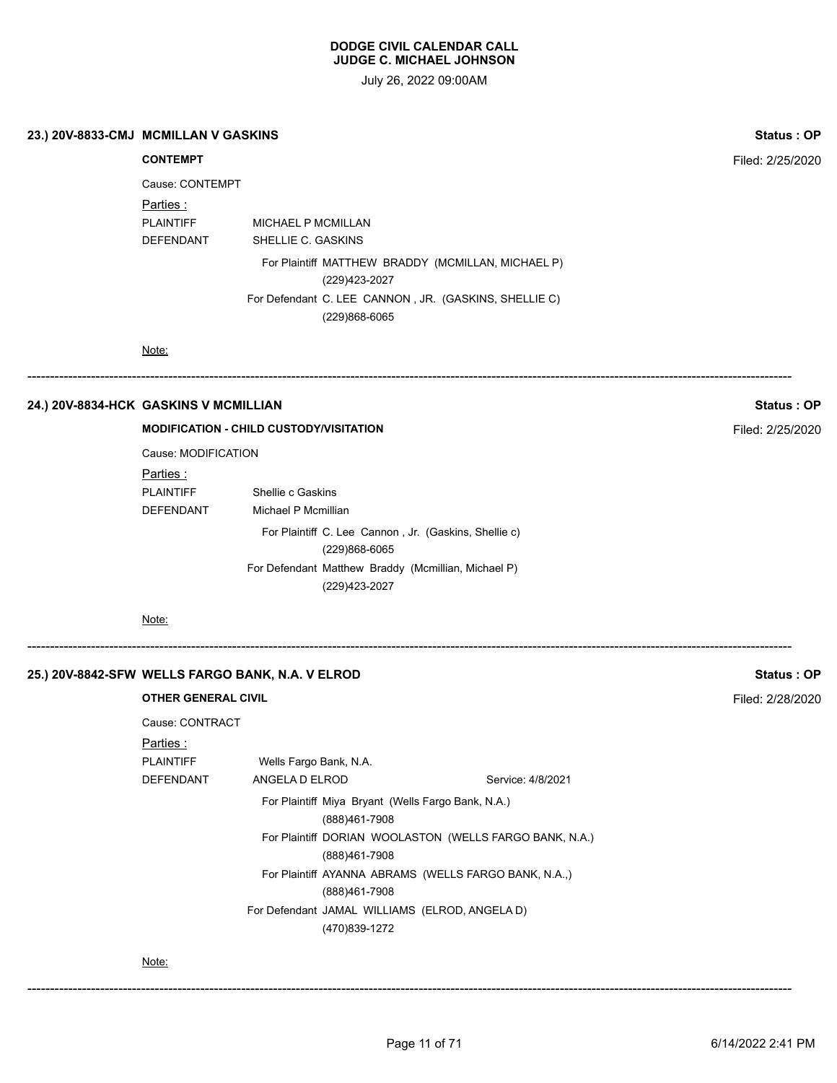July 26, 2022 09:00AM

**23.) 20V-8833-CMJ MCMILLAN V GASKINS Status : OP**

| Cause: CONTEMPT  |                    |
|------------------|--------------------|
| Parties :        |                    |
| PI AINTIFF       | MICHAEL P MCMILLAN |
| <b>DEFENDANT</b> | SHELLIE C. GASKINS |
|                  |                    |

For Plaintiff MATTHEW BRADDY (MCMILLAN, MICHAEL P) (229)423-2027 For Defendant C. LEE CANNON , JR. (GASKINS, SHELLIE C) (229)868-6065

------------------------------------------------------------------------------------------------------------------------------------------------------------------------

Note:

# **24.) 20V-8834-HCK GASKINS V MCMILLIAN Status : OP**

#### **MODIFICATION - CHILD CUSTODY/VISITATION** Filed: 2/25/2020

Cause: MODIFICATION

Parties : PLAINTIFF Shellie c Gaskins DEFENDANT Michael P Mcmillian For Plaintiff C. Lee Cannon , Jr. (Gaskins, Shellie c)

> (229)868-6065 For Defendant Matthew Braddy (Mcmillian, Michael P) (229)423-2027

------------------------------------------------------------------------------------------------------------------------------------------------------------------------

Note:

# **25.) 20V-8842-SFW WELLS FARGO BANK, N.A. V ELROD Status : OP**

# **OTHER GENERAL CIVIL Filed: 2/28/2020** Cause: CONTRACT Parties : PLAINTIFF Wells Fargo Bank, N.A. DEFENDANT ANGELA D ELROD Service: 4/8/2021 For Plaintiff Miya Bryant (Wells Fargo Bank, N.A.) (888)461-7908 For Plaintiff DORIAN WOOLASTON (WELLS FARGO BANK, N.A.) (888)461-7908 For Plaintiff AYANNA ABRAMS (WELLS FARGO BANK, N.A.,) (888)461-7908 For Defendant JAMAL WILLIAMS (ELROD, ANGELA D) (470)839-1272

Note:

------------------------------------------------------------------------------------------------------------------------------------------------------------------------

**CONTEMPT** Filed: 2/25/2020

Page 11 of 71 6/14/2022 2:41 PM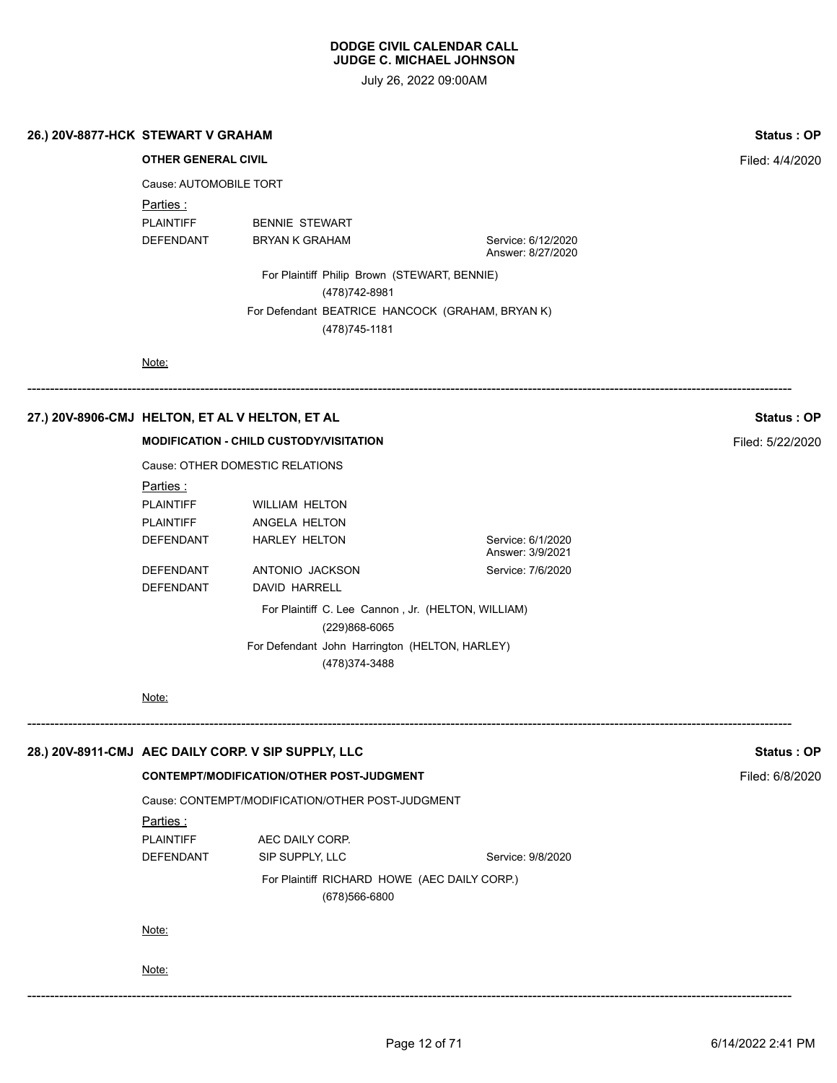July 26, 2022 09:00AM

| 26.) 20V-8877-HCK STEWART V GRAHAM | <b>Status: OP</b> |
|------------------------------------|-------------------|
|------------------------------------|-------------------|

**OTHER GENERAL CIVIL Filted: 4/4/2020** 

Cause: AUTOMOBILE TORT

Parties :

PLAINTIFF BENNIE STEWART

DEFENDANT BRYAN K GRAHAM Service: 6/12/2020 Answer: 8/27/2020

> For Plaintiff Philip Brown (STEWART, BENNIE) (478)742-8981 For Defendant BEATRICE HANCOCK (GRAHAM, BRYAN K) (478)745-1181

------------------------------------------------------------------------------------------------------------------------------------------------------------------------

Note:

# **27.) 20V-8906-CMJ HELTON, ET AL V HELTON, ET AL Status : OP**

**MODIFICATION - CHILD CUSTODY/VISITATION** Filed: 5/22/2020

Cause: OTHER DOMESTIC RELATIONS

| Parties : |                                                                     |                                       |
|-----------|---------------------------------------------------------------------|---------------------------------------|
| PLAINTIFF | <b>WILLIAM HELTON</b>                                               |                                       |
| PLAINTIFF | ANGELA HELTON                                                       |                                       |
| DEFENDANT | HARLEY HELTON                                                       | Service: 6/1/2020<br>Answer: 3/9/2021 |
| DEFENDANT | ANTONIO JACKSON                                                     | Service: 7/6/2020                     |
| DEFENDANT | DAVID HARRELL                                                       |                                       |
|           | For Plaintiff C. Lee Cannon, Jr. (HELTON, WILLIAM)<br>(229)868-6065 |                                       |
|           | For Defendant John Harrington (HELTON, HARLEY)<br>(478)374-3488     |                                       |

#### Note:

| 28.) 20V-8911-CMJ AEC DAILY CORP. V SIP SUPPLY, LLC |                                                  | Status: OP                                       |                   |  |  |
|-----------------------------------------------------|--------------------------------------------------|--------------------------------------------------|-------------------|--|--|
|                                                     | <b>CONTEMPT/MODIFICATION/OTHER POST-JUDGMENT</b> |                                                  |                   |  |  |
|                                                     |                                                  | Cause: CONTEMPT/MODIFICATION/OTHER POST-JUDGMENT |                   |  |  |
|                                                     | Parties :                                        |                                                  |                   |  |  |
|                                                     | PLAINTIFF                                        | AEC DAILY CORP.                                  |                   |  |  |
|                                                     | <b>DEFENDANT</b>                                 | SIP SUPPLY, LLC                                  | Service: 9/8/2020 |  |  |
|                                                     |                                                  |                                                  |                   |  |  |
|                                                     |                                                  | (678)566-6800                                    |                   |  |  |
|                                                     |                                                  |                                                  |                   |  |  |
|                                                     | Note:                                            |                                                  |                   |  |  |
|                                                     |                                                  |                                                  |                   |  |  |
|                                                     | Note:                                            |                                                  |                   |  |  |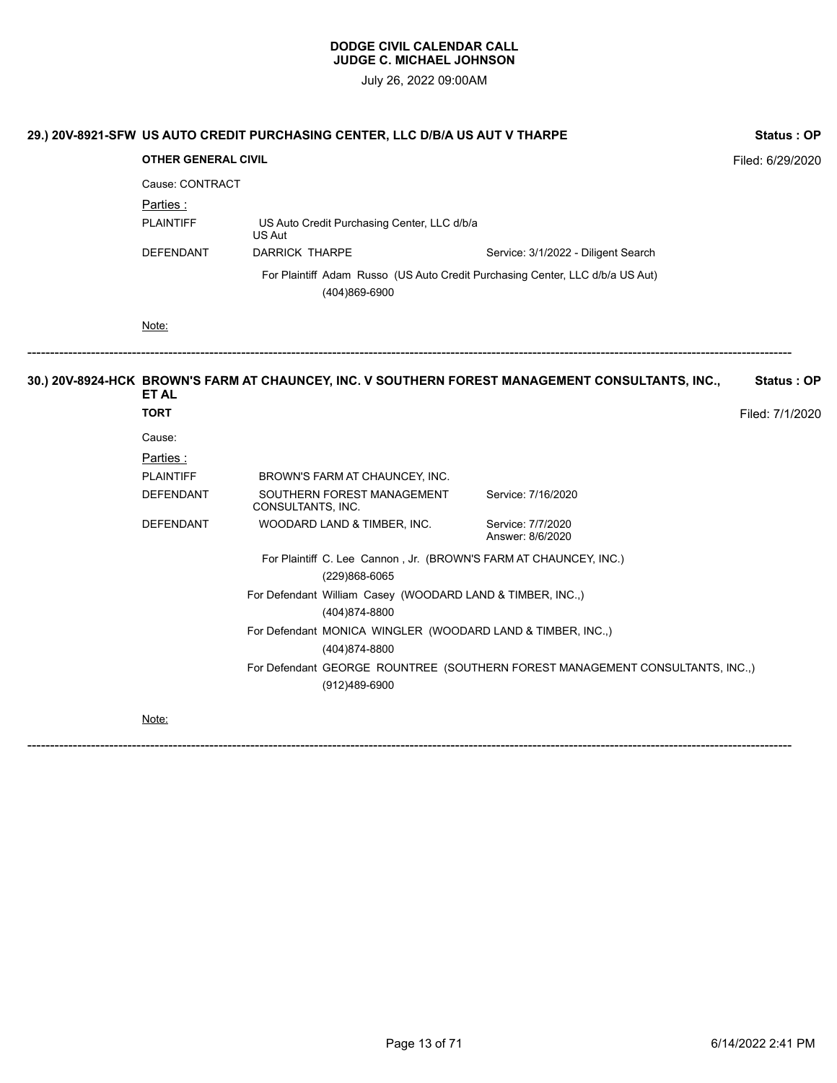July 26, 2022 09:00AM

|  | 29.) 20V-8921-SFW US AUTO CREDIT PURCHASING CENTER, LLC D/B/A US AUT V THARPE |                                                                                                |                                                                                    |                                                                                                  | <b>Status: OP</b> |  |
|--|-------------------------------------------------------------------------------|------------------------------------------------------------------------------------------------|------------------------------------------------------------------------------------|--------------------------------------------------------------------------------------------------|-------------------|--|
|  | <b>OTHER GENERAL CIVIL</b>                                                    |                                                                                                |                                                                                    |                                                                                                  | Filed: 6/29/2020  |  |
|  | Cause: CONTRACT                                                               |                                                                                                |                                                                                    |                                                                                                  |                   |  |
|  | Parties :                                                                     |                                                                                                |                                                                                    |                                                                                                  |                   |  |
|  | <b>PLAINTIFF</b>                                                              | US Auto Credit Purchasing Center, LLC d/b/a<br>US Aut                                          |                                                                                    |                                                                                                  |                   |  |
|  | DEFENDANT                                                                     | <b>DARRICK THARPE</b>                                                                          |                                                                                    | Service: 3/1/2022 - Diligent Search                                                              |                   |  |
|  |                                                                               | For Plaintiff Adam Russo (US Auto Credit Purchasing Center, LLC d/b/a US Aut)<br>(404)869-6900 |                                                                                    |                                                                                                  |                   |  |
|  | Note:                                                                         |                                                                                                |                                                                                    |                                                                                                  |                   |  |
|  | <b>ET AL</b>                                                                  |                                                                                                |                                                                                    | 30.) 20V-8924-HCK BROWN'S FARM AT CHAUNCEY, INC. V SOUTHERN FOREST MANAGEMENT CONSULTANTS, INC., | Status: OP        |  |
|  | <b>TORT</b>                                                                   |                                                                                                |                                                                                    |                                                                                                  | Filed: 7/1/2020   |  |
|  | Cause:                                                                        |                                                                                                |                                                                                    |                                                                                                  |                   |  |
|  | Parties:                                                                      |                                                                                                |                                                                                    |                                                                                                  |                   |  |
|  | <b>PLAINTIFF</b>                                                              |                                                                                                | BROWN'S FARM AT CHAUNCEY, INC.                                                     |                                                                                                  |                   |  |
|  | <b>DEFENDANT</b>                                                              | CONSULTANTS, INC.                                                                              | SOUTHERN FOREST MANAGEMENT                                                         | Service: 7/16/2020                                                                               |                   |  |
|  | <b>DEFENDANT</b>                                                              |                                                                                                | WOODARD LAND & TIMBER, INC.                                                        | Service: 7/7/2020<br>Answer: 8/6/2020                                                            |                   |  |
|  |                                                                               |                                                                                                | For Plaintiff C. Lee Cannon, Jr. (BROWN'S FARM AT CHAUNCEY, INC.)<br>(229)868-6065 |                                                                                                  |                   |  |
|  |                                                                               |                                                                                                | For Defendant William Casey (WOODARD LAND & TIMBER, INC.,)<br>(404)874-8800        |                                                                                                  |                   |  |
|  |                                                                               |                                                                                                | For Defendant MONICA WINGLER (WOODARD LAND & TIMBER, INC.,)<br>(404)874-8800       |                                                                                                  |                   |  |
|  |                                                                               |                                                                                                | (912)489-6900                                                                      | For Defendant GEORGE ROUNTREE (SOUTHERN FOREST MANAGEMENT CONSULTANTS, INC.,)                    |                   |  |
|  |                                                                               |                                                                                                |                                                                                    |                                                                                                  |                   |  |

Note: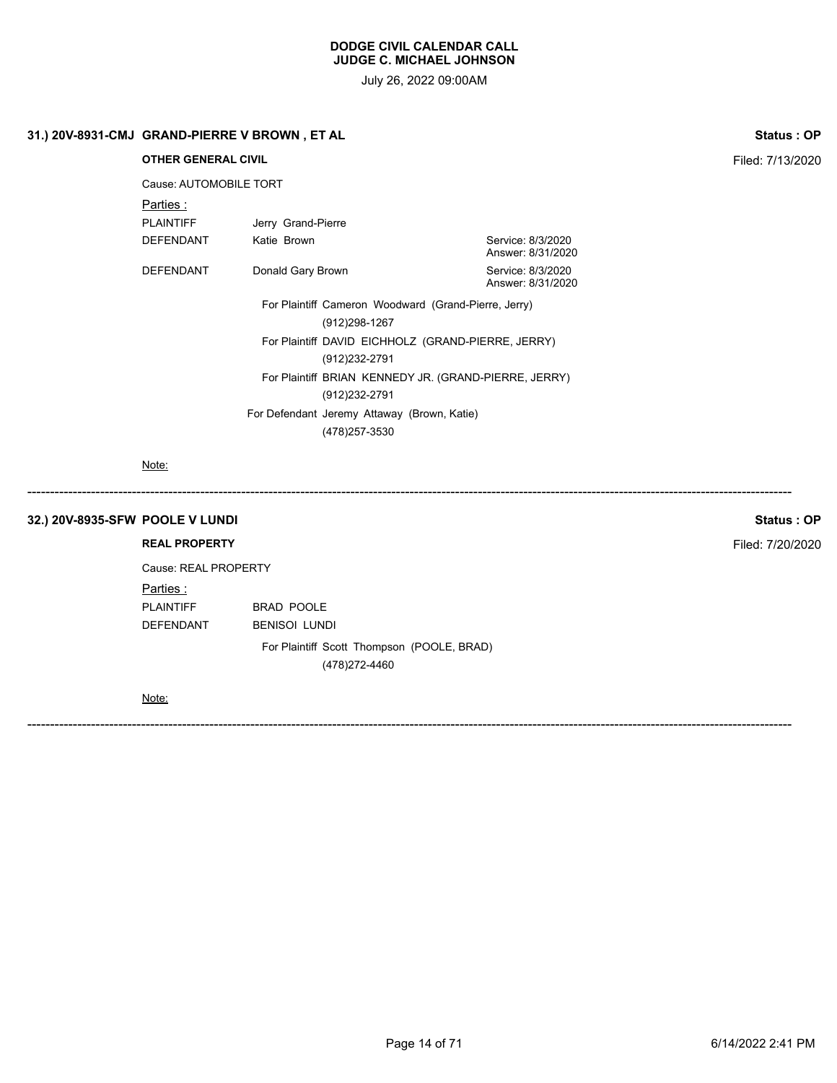July 26, 2022 09:00AM

# **31.) 20V-8931-CMJ GRAND-PIERRE V BROWN , ET AL Status : OP**

**OTHER GENERAL CIVIL Filed: 7/13/2020** Cause: AUTOMOBILE TORT Parties : PLAINTIFF Jerry Grand-Pierre DEFENDANT Katie Brown Service: 8/3/2020 Answer: 8/31/2020 DEFENDANT Donald Gary Brown Donald Sary Service: 8/3/2020 Answer: 8/31/2020 For Plaintiff Cameron Woodward (Grand-Pierre, Jerry) (912)298-1267 For Plaintiff DAVID EICHHOLZ (GRAND-PIERRE, JERRY) (912)232-2791 For Plaintiff BRIAN KENNEDY JR. (GRAND-PIERRE, JERRY) (912)232-2791 For Defendant Jeremy Attaway (Brown, Katie)

(478)257-3530

------------------------------------------------------------------------------------------------------------------------------------------------------------------------

------------------------------------------------------------------------------------------------------------------------------------------------------------------------

Note:

#### **32.) 20V-8935-SFW POOLE V LUNDI Status : OP**

#### **REAL PROPERTY** Filed: 7/20/2020

Cause: REAL PROPERTY Parties :

PLAINTIFF BRAD POOLE DEFENDANT BENISOI LUNDI

> For Plaintiff Scott Thompson (POOLE, BRAD) (478)272-4460

Note: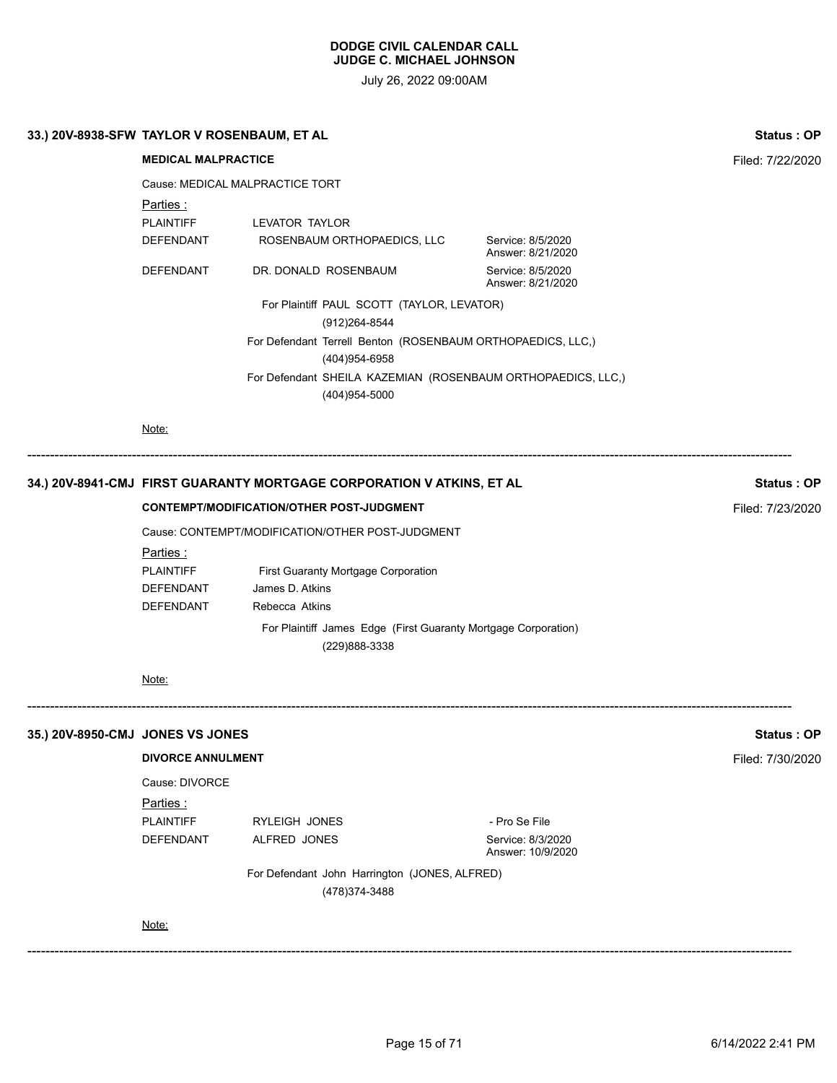| <b>MEDICAL MALPRACTICE</b>             |                                     |                                                                                                                                                                                                                                                                                                                                                                                 |                                                                                                                                                                                                                                                                                                  |  |  |  |
|----------------------------------------|-------------------------------------|---------------------------------------------------------------------------------------------------------------------------------------------------------------------------------------------------------------------------------------------------------------------------------------------------------------------------------------------------------------------------------|--------------------------------------------------------------------------------------------------------------------------------------------------------------------------------------------------------------------------------------------------------------------------------------------------|--|--|--|
|                                        | Cause: MEDICAL MALPRACTICE TORT     |                                                                                                                                                                                                                                                                                                                                                                                 |                                                                                                                                                                                                                                                                                                  |  |  |  |
|                                        |                                     | Parties:                                                                                                                                                                                                                                                                                                                                                                        |                                                                                                                                                                                                                                                                                                  |  |  |  |
|                                        | LEVATOR TAYLOR                      | <b>PLAINTIFF</b>                                                                                                                                                                                                                                                                                                                                                                |                                                                                                                                                                                                                                                                                                  |  |  |  |
| Service: 8/5/2020<br>Answer: 8/21/2020 |                                     | DEFENDANT                                                                                                                                                                                                                                                                                                                                                                       |                                                                                                                                                                                                                                                                                                  |  |  |  |
| Service: 8/5/2020<br>Answer: 8/21/2020 | DR. DONALD ROSENBAUM                | <b>DEFENDANT</b>                                                                                                                                                                                                                                                                                                                                                                |                                                                                                                                                                                                                                                                                                  |  |  |  |
|                                        | (912) 264-8544                      |                                                                                                                                                                                                                                                                                                                                                                                 |                                                                                                                                                                                                                                                                                                  |  |  |  |
|                                        |                                     |                                                                                                                                                                                                                                                                                                                                                                                 |                                                                                                                                                                                                                                                                                                  |  |  |  |
|                                        | (404) 954-5000                      |                                                                                                                                                                                                                                                                                                                                                                                 |                                                                                                                                                                                                                                                                                                  |  |  |  |
|                                        |                                     | Note:                                                                                                                                                                                                                                                                                                                                                                           |                                                                                                                                                                                                                                                                                                  |  |  |  |
|                                        |                                     |                                                                                                                                                                                                                                                                                                                                                                                 |                                                                                                                                                                                                                                                                                                  |  |  |  |
|                                        |                                     |                                                                                                                                                                                                                                                                                                                                                                                 |                                                                                                                                                                                                                                                                                                  |  |  |  |
|                                        |                                     |                                                                                                                                                                                                                                                                                                                                                                                 |                                                                                                                                                                                                                                                                                                  |  |  |  |
|                                        | Parties:                            |                                                                                                                                                                                                                                                                                                                                                                                 |                                                                                                                                                                                                                                                                                                  |  |  |  |
|                                        | First Guaranty Mortgage Corporation | <b>PLAINTIFF</b>                                                                                                                                                                                                                                                                                                                                                                |                                                                                                                                                                                                                                                                                                  |  |  |  |
|                                        | James D. Atkins                     | DEFENDANT                                                                                                                                                                                                                                                                                                                                                                       |                                                                                                                                                                                                                                                                                                  |  |  |  |
|                                        |                                     |                                                                                                                                                                                                                                                                                                                                                                                 |                                                                                                                                                                                                                                                                                                  |  |  |  |
|                                        | (229)888-3338                       |                                                                                                                                                                                                                                                                                                                                                                                 |                                                                                                                                                                                                                                                                                                  |  |  |  |
|                                        |                                     | Note:                                                                                                                                                                                                                                                                                                                                                                           |                                                                                                                                                                                                                                                                                                  |  |  |  |
|                                        |                                     |                                                                                                                                                                                                                                                                                                                                                                                 |                                                                                                                                                                                                                                                                                                  |  |  |  |
|                                        |                                     |                                                                                                                                                                                                                                                                                                                                                                                 |                                                                                                                                                                                                                                                                                                  |  |  |  |
|                                        |                                     |                                                                                                                                                                                                                                                                                                                                                                                 |                                                                                                                                                                                                                                                                                                  |  |  |  |
|                                        |                                     | Parties :                                                                                                                                                                                                                                                                                                                                                                       |                                                                                                                                                                                                                                                                                                  |  |  |  |
| - Pro Se File                          | RYLEIGH JONES                       | <b>PLAINTIFF</b>                                                                                                                                                                                                                                                                                                                                                                |                                                                                                                                                                                                                                                                                                  |  |  |  |
| Answer: 10/9/2020                      |                                     |                                                                                                                                                                                                                                                                                                                                                                                 |                                                                                                                                                                                                                                                                                                  |  |  |  |
|                                        | (478) 374-3488                      |                                                                                                                                                                                                                                                                                                                                                                                 |                                                                                                                                                                                                                                                                                                  |  |  |  |
|                                        |                                     | Note:                                                                                                                                                                                                                                                                                                                                                                           |                                                                                                                                                                                                                                                                                                  |  |  |  |
|                                        | Service: 8/3/2020                   | ROSENBAUM ORTHOPAEDICS, LLC<br>For Plaintiff PAUL SCOTT (TAYLOR, LEVATOR)<br>For Defendant Terrell Benton (ROSENBAUM ORTHOPAEDICS, LLC,)<br>(404) 954-6958<br>For Defendant SHEILA KAZEMIAN (ROSENBAUM ORTHOPAEDICS, LLC,)<br>Rebecca Atkins<br>For Plaintiff James Edge (First Guaranty Mortgage Corporation)<br>ALFRED JONES<br>For Defendant John Harrington (JONES, ALFRED) | 34.) 20V-8941-CMJ FIRST GUARANTY MORTGAGE CORPORATION V ATKINS, ET AL<br><b>CONTEMPT/MODIFICATION/OTHER POST-JUDGMENT</b><br>Cause: CONTEMPT/MODIFICATION/OTHER POST-JUDGMENT<br>DEFENDANT<br>35.) 20V-8950-CMJ JONES VS JONES<br><b>DIVORCE ANNULMENT</b><br>Cause: DIVORCE<br><b>DEFENDANT</b> |  |  |  |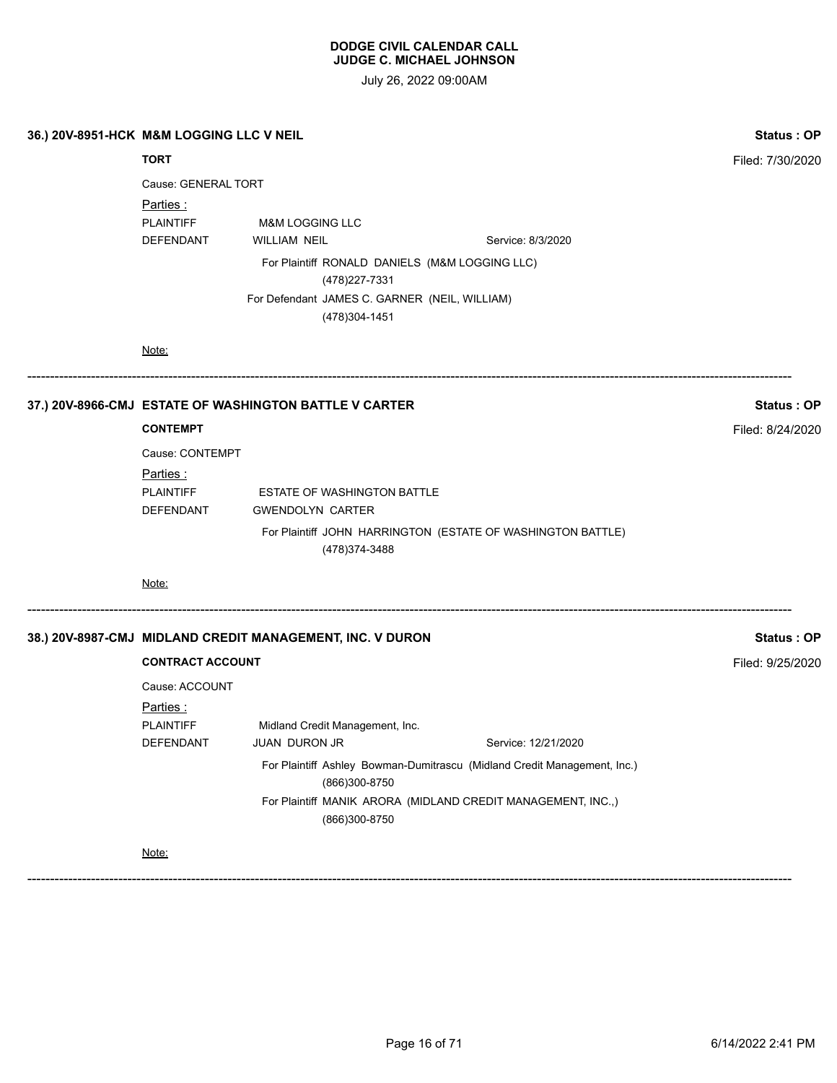July 26, 2022 09:00AM

|                     | 36.) 20V-8951-HCK M&M LOGGING LLC V NEIL        |                                                                  |  | Status: OP                                                               |                  |
|---------------------|-------------------------------------------------|------------------------------------------------------------------|--|--------------------------------------------------------------------------|------------------|
| <b>TORT</b>         |                                                 |                                                                  |  |                                                                          | Filed: 7/30/2020 |
| Cause: GENERAL TORT |                                                 |                                                                  |  |                                                                          |                  |
|                     | Parties:<br><b>PLAINTIFF</b><br>DEFENDANT       | <b>M&amp;M LOGGING LLC</b><br>WILLIAM NEIL                       |  | Service: 8/3/2020                                                        |                  |
|                     |                                                 | For Plaintiff RONALD DANIELS (M&M LOGGING LLC)<br>(478) 227-7331 |  |                                                                          |                  |
|                     |                                                 | For Defendant JAMES C. GARNER (NEIL, WILLIAM)<br>(478) 304-1451  |  |                                                                          |                  |
|                     | Note:                                           |                                                                  |  |                                                                          |                  |
|                     |                                                 | 37.) 20V-8966-CMJ ESTATE OF WASHINGTON BATTLE V CARTER           |  |                                                                          | Status: OP       |
|                     | <b>CONTEMPT</b>                                 |                                                                  |  |                                                                          | Filed: 8/24/2020 |
|                     | Cause: CONTEMPT                                 |                                                                  |  |                                                                          |                  |
|                     | Parties:                                        |                                                                  |  |                                                                          |                  |
|                     | <b>PLAINTIFF</b><br>DEFENDANT                   | <b>ESTATE OF WASHINGTON BATTLE</b><br><b>GWENDOLYN CARTER</b>    |  |                                                                          |                  |
|                     |                                                 | (478) 374-3488                                                   |  | For Plaintiff JOHN HARRINGTON (ESTATE OF WASHINGTON BATTLE)              |                  |
|                     | Note:                                           |                                                                  |  |                                                                          |                  |
|                     |                                                 | 38.) 20V-8987-CMJ MIDLAND CREDIT MANAGEMENT, INC. V DURON        |  |                                                                          | Status: OP       |
|                     | <b>CONTRACT ACCOUNT</b>                         |                                                                  |  |                                                                          | Filed: 9/25/2020 |
|                     | Cause: ACCOUNT<br>Parties :<br><b>PLAINTIFF</b> | Midland Credit Management, Inc.                                  |  |                                                                          |                  |
|                     | DEFENDANT                                       | JUAN DURON JR                                                    |  | Service: 12/21/2020                                                      |                  |
|                     |                                                 | (866)300-8750                                                    |  | For Plaintiff Ashley Bowman-Dumitrascu (Midland Credit Management, Inc.) |                  |
|                     |                                                 | (866)300-8750                                                    |  | For Plaintiff MANIK ARORA (MIDLAND CREDIT MANAGEMENT, INC.,)             |                  |
|                     | Note:                                           |                                                                  |  |                                                                          |                  |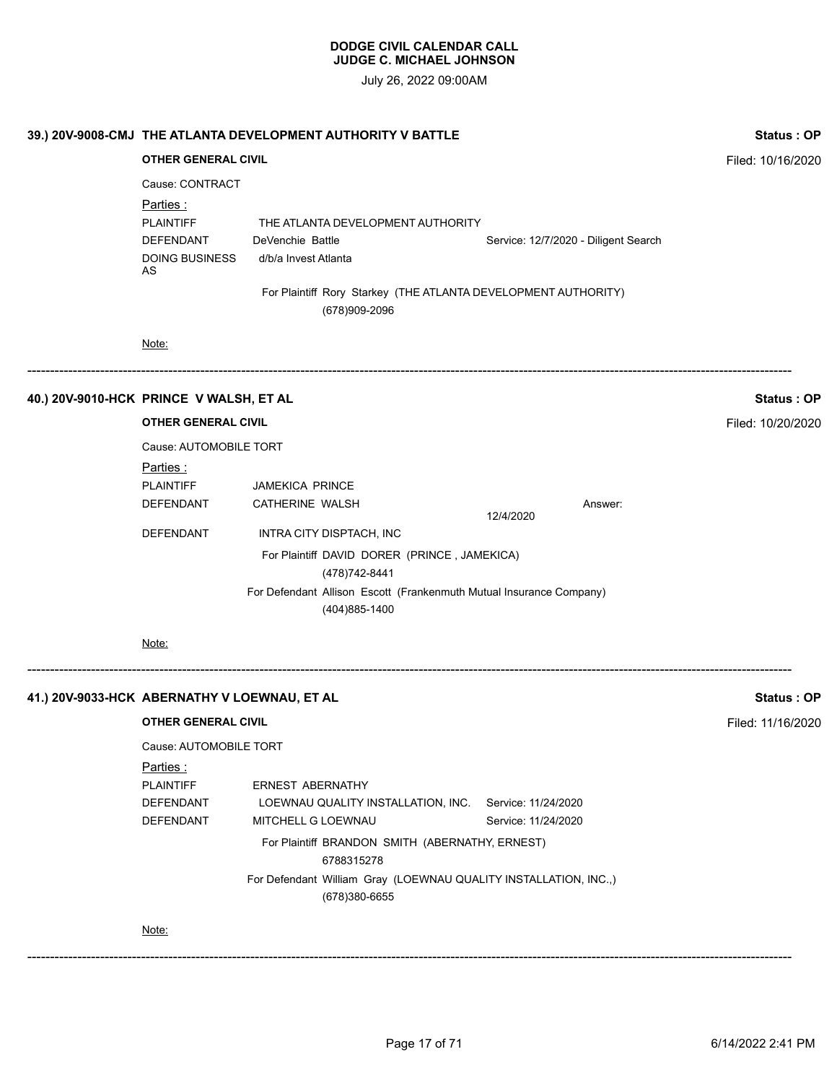| Filed: 10/16/2020 |
|-------------------|
|                   |
|                   |
|                   |
|                   |
|                   |
| Status: OP        |
| Filed: 10/20/2020 |
|                   |
|                   |
|                   |
|                   |
|                   |
|                   |
|                   |
|                   |
| Status: OP        |
| Filed: 11/16/2020 |
|                   |
|                   |
|                   |
|                   |
|                   |
|                   |
|                   |
|                   |
|                   |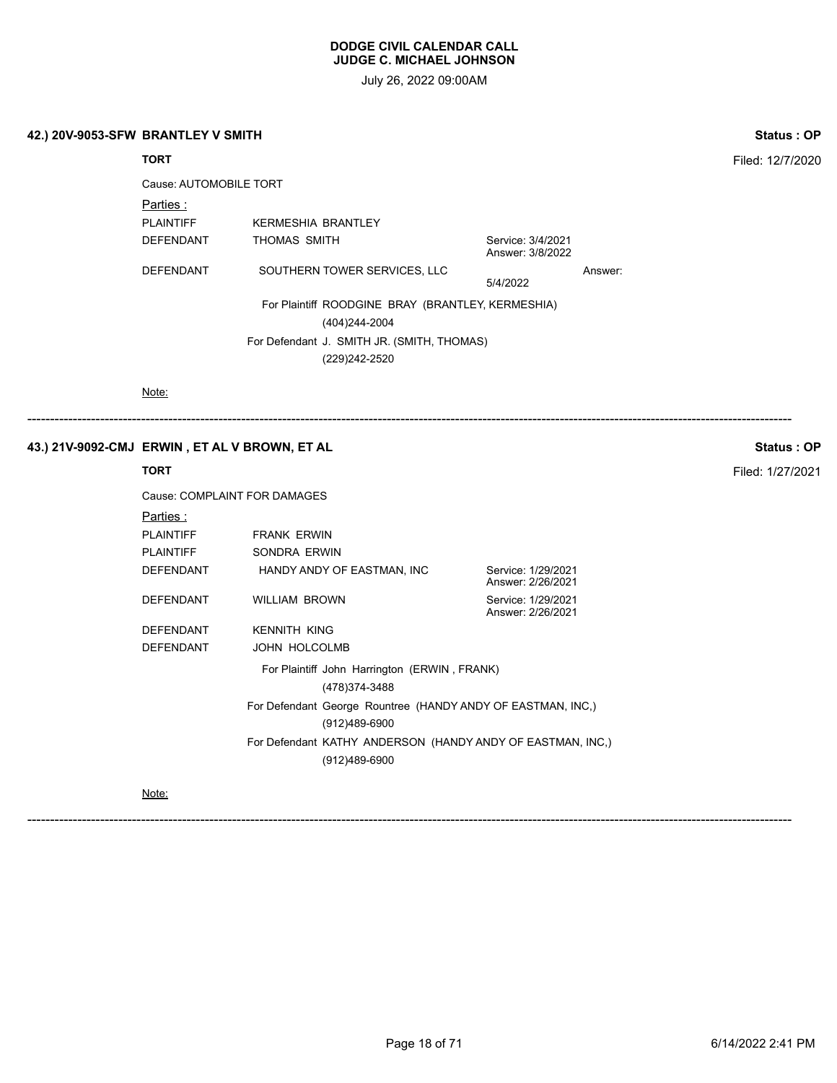July 26, 2022 09:00AM

| 42.) 20V-9053-SFW BRANTLEY V SMITH | <b>Status: OP</b> |
|------------------------------------|-------------------|
|------------------------------------|-------------------|

# **TORT** Filed: 12/7/2020

Cause: AUTOMOBILE TORT

Parties :

PLAINTIFF KERMESHIA BRANTLEY DEFENDANT THOMAS SMITH Service: 3/4/2021 Answer: 3/8/2022 DEFENDANT SOUTHERN TOWER SERVICES, LLC Answer: 5/4/2022 For Plaintiff ROODGINE BRAY (BRANTLEY, KERMESHIA)

(404)244-2004

For Defendant J. SMITH JR. (SMITH, THOMAS) (229)242-2520

Note:

# ------------------------------------------------------------------------------------------------------------------------------------------------------------------------

# **43.) 21V-9092-CMJ ERWIN , ET AL V BROWN, ET AL Status : OP**

|                  | Cause: COMPLAINT FOR DAMAGES                                                 |                                         |
|------------------|------------------------------------------------------------------------------|-----------------------------------------|
| Parties :        |                                                                              |                                         |
| <b>PLAINTIFF</b> | <b>FRANK ERWIN</b>                                                           |                                         |
| <b>PLAINTIFF</b> | SONDRA ERWIN                                                                 |                                         |
| DEFENDANT        | HANDY ANDY OF EASTMAN, INC                                                   | Service: 1/29/2021<br>Answer: 2/26/2021 |
| DEFENDANT        | <b>WILLIAM BROWN</b>                                                         | Service: 1/29/2021<br>Answer: 2/26/2021 |
| DEFENDANT        | <b>KENNITH KING</b>                                                          |                                         |
| <b>DEFENDANT</b> | JOHN HOLCOLMB                                                                |                                         |
|                  | For Plaintiff John Harrington (ERWIN, FRANK)<br>(478) 374-3488               |                                         |
|                  | For Defendant George Rountree (HANDY ANDY OF EASTMAN, INC.)<br>(912)489-6900 |                                         |
|                  | For Defendant KATHY ANDERSON (HANDY ANDY OF EASTMAN, INC.)<br>(912)489-6900  |                                         |

Note:

**TORT** Filed: 1/27/2021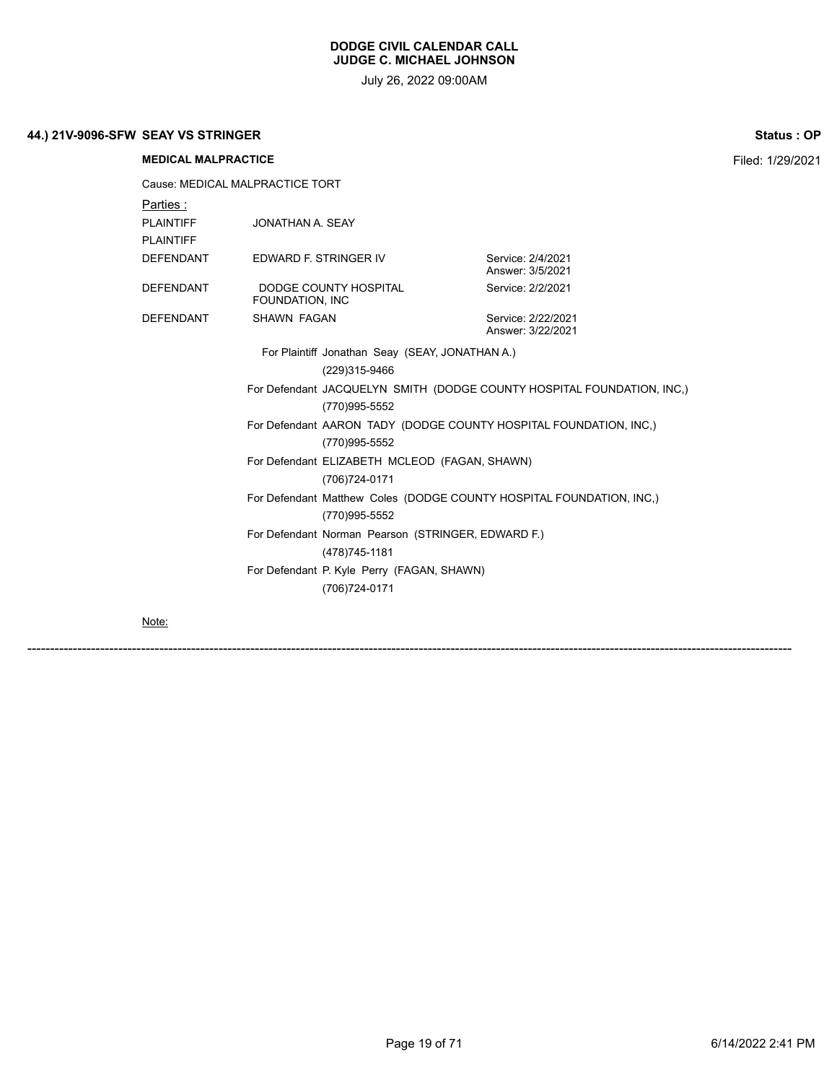July 26, 2022 09:00AM

# **44.) 21V-9096-SFW SEAY VS STRINGER Status : OP**

**MEDICAL MALPRACTICE** Filed: 1/29/2021 Cause: MEDICAL MALPRACTICE TORT Parties : PLAINTIFF JONATHAN A. SEAY PLAINTIFF DEFENDANT EDWARD F. STRINGER IV Service: 2/4/2021 Answer: 3/5/2021 DEFENDANT DODGE COUNTY HOSPITAL FOUNDATION, INC Service: 2/2/2021 DEFENDANT SHAWN FAGAN Service: 2/22/2021 Answer: 3/22/2021 For Plaintiff Jonathan Seay (SEAY, JONATHAN A.) (229)315-9466 For Defendant JACQUELYN SMITH (DODGE COUNTY HOSPITAL FOUNDATION, INC,) (770)995-5552 For Defendant AARON TADY (DODGE COUNTY HOSPITAL FOUNDATION, INC,) (770)995-5552 For Defendant ELIZABETH MCLEOD (FAGAN, SHAWN) (706)724-0171 For Defendant Matthew Coles (DODGE COUNTY HOSPITAL FOUNDATION, INC,) (770)995-5552 For Defendant Norman Pearson (STRINGER, EDWARD F.) (478)745-1181 For Defendant P. Kyle Perry (FAGAN, SHAWN) (706)724-0171

Note: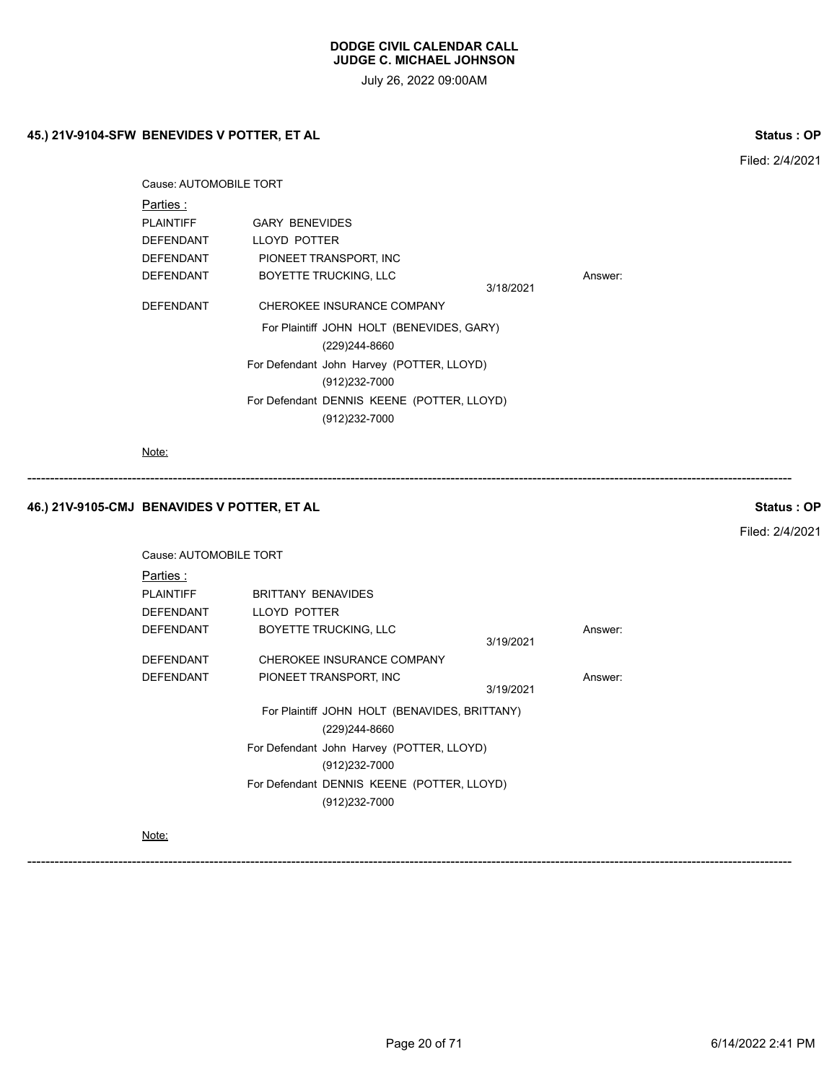July 26, 2022 09:00AM

# **45.) 21V-9104-SFW BENEVIDES V POTTER, ET AL Status : OP**

| Cause: AUTOMOBILE TORT       |           |                                                                                                                                      |  |
|------------------------------|-----------|--------------------------------------------------------------------------------------------------------------------------------------|--|
|                              |           |                                                                                                                                      |  |
| <b>GARY BENEVIDES</b>        |           |                                                                                                                                      |  |
| LLOYD POTTER                 |           |                                                                                                                                      |  |
| PIONEET TRANSPORT, INC       |           |                                                                                                                                      |  |
| <b>BOYETTE TRUCKING, LLC</b> |           | Answer:                                                                                                                              |  |
|                              | 3/18/2021 |                                                                                                                                      |  |
| CHEROKEE INSURANCE COMPANY   |           |                                                                                                                                      |  |
|                              |           |                                                                                                                                      |  |
| (229)244-8660                |           |                                                                                                                                      |  |
|                              |           |                                                                                                                                      |  |
| (912)232-7000                |           |                                                                                                                                      |  |
|                              |           |                                                                                                                                      |  |
| (912)232-7000                |           |                                                                                                                                      |  |
|                              |           | For Plaintiff JOHN HOLT (BENEVIDES, GARY)<br>For Defendant John Harvey (POTTER, LLOYD)<br>For Defendant DENNIS KEENE (POTTER, LLOYD) |  |

Note:

# **46.) 21V-9105-CMJ BENAVIDES V POTTER, ET AL Status : OP**

Filed: 2/4/2021

Filed: 2/4/2021

| Cause: AUTOMOBILE TORT |                                               |           |         |
|------------------------|-----------------------------------------------|-----------|---------|
| Parties :              |                                               |           |         |
| <b>PLAINTIFF</b>       | <b>BRITTANY BENAVIDES</b>                     |           |         |
| DEFENDANT              | LLOYD POTTER                                  |           |         |
| DEFENDANT              | <b>BOYETTE TRUCKING, LLC</b>                  | 3/19/2021 | Answer: |
| <b>DEFENDANT</b>       | CHEROKEE INSURANCE COMPANY                    |           |         |
| DEFENDANT              | PIONEET TRANSPORT, INC                        | 3/19/2021 | Answer: |
|                        | For Plaintiff JOHN HOLT (BENAVIDES, BRITTANY) |           |         |
|                        | (229)244-8660                                 |           |         |
|                        | For Defendant John Harvey (POTTER, LLOYD)     |           |         |
|                        | (912)232-7000                                 |           |         |
|                        | For Defendant DENNIS KEENE (POTTER, LLOYD)    |           |         |
|                        | (912)232-7000                                 |           |         |
|                        |                                               |           |         |

------------------------------------------------------------------------------------------------------------------------------------------------------------------------

Note: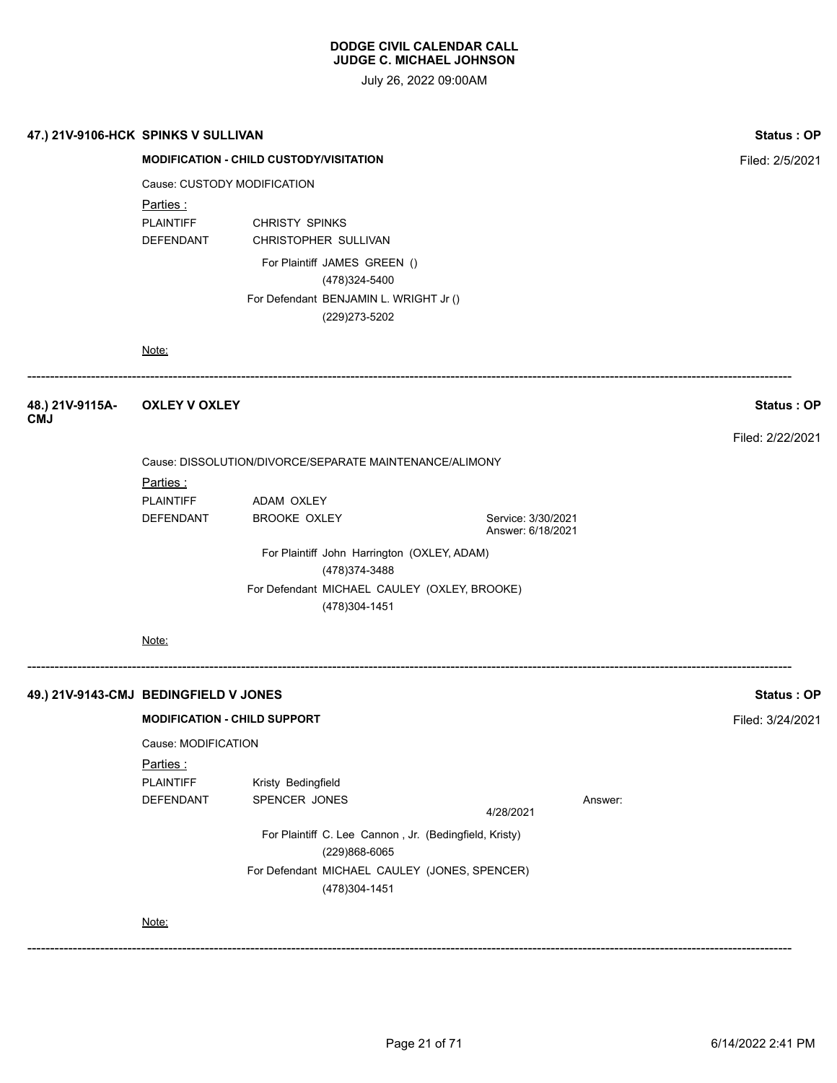| <b>Status: OP</b> |         |                                                |                                                                         |                                     | 47.) 21V-9106-HCK SPINKS V SULLIVAN   |  |  |
|-------------------|---------|------------------------------------------------|-------------------------------------------------------------------------|-------------------------------------|---------------------------------------|--|--|
| Filed: 2/5/2021   |         | <b>MODIFICATION - CHILD CUSTODY/VISITATION</b> |                                                                         |                                     |                                       |  |  |
|                   |         |                                                |                                                                         | Cause: CUSTODY MODIFICATION         |                                       |  |  |
|                   |         |                                                |                                                                         | Parties:                            |                                       |  |  |
|                   |         |                                                | CHRISTY SPINKS                                                          | <b>PLAINTIFF</b>                    |                                       |  |  |
|                   |         |                                                | CHRISTOPHER SULLIVAN                                                    | DEFENDANT                           |                                       |  |  |
|                   |         |                                                | For Plaintiff JAMES GREEN ()<br>(478)324-5400                           |                                     |                                       |  |  |
|                   |         |                                                | For Defendant BENJAMIN L. WRIGHT Jr ()<br>(229) 273-5202                |                                     |                                       |  |  |
|                   |         |                                                |                                                                         | Note:                               |                                       |  |  |
| Status: OP        |         |                                                |                                                                         | <b>OXLEY V OXLEY</b>                | 48.) 21V-9115A-<br><b>CMJ</b>         |  |  |
| Filed: 2/22/2021  |         |                                                |                                                                         |                                     |                                       |  |  |
|                   |         |                                                | Cause: DISSOLUTION/DIVORCE/SEPARATE MAINTENANCE/ALIMONY                 |                                     |                                       |  |  |
|                   |         |                                                |                                                                         | <u>Parties :</u>                    |                                       |  |  |
|                   |         |                                                | ADAM OXLEY                                                              | <b>PLAINTIFF</b>                    |                                       |  |  |
|                   |         | Service: 3/30/2021<br>Answer: 6/18/2021        | <b>BROOKE OXLEY</b>                                                     | DEFENDANT                           |                                       |  |  |
|                   |         |                                                | For Plaintiff John Harrington (OXLEY, ADAM)                             |                                     |                                       |  |  |
|                   |         |                                                | (478) 374-3488                                                          |                                     |                                       |  |  |
|                   |         |                                                | For Defendant MICHAEL CAULEY (OXLEY, BROOKE)<br>(478)304-1451           |                                     |                                       |  |  |
|                   |         |                                                |                                                                         | Note:                               |                                       |  |  |
| Status: OP        |         |                                                |                                                                         |                                     | 49.) 21V-9143-CMJ BEDINGFIELD V JONES |  |  |
| Filed: 3/24/2021  |         |                                                |                                                                         | <b>MODIFICATION - CHILD SUPPORT</b> |                                       |  |  |
|                   |         |                                                |                                                                         | Cause: MODIFICATION                 |                                       |  |  |
|                   |         |                                                |                                                                         | Parties:                            |                                       |  |  |
|                   |         |                                                | Kristy Bedingfield                                                      | <b>PLAINTIFF</b>                    |                                       |  |  |
|                   | Answer: | 4/28/2021                                      | SPENCER JONES                                                           | DEFENDANT                           |                                       |  |  |
|                   |         |                                                | For Plaintiff C. Lee Cannon, Jr. (Bedingfield, Kristy)<br>(229)868-6065 |                                     |                                       |  |  |
|                   |         |                                                | For Defendant MICHAEL CAULEY (JONES, SPENCER)<br>(478)304-1451          |                                     |                                       |  |  |
|                   |         |                                                |                                                                         | Note:                               |                                       |  |  |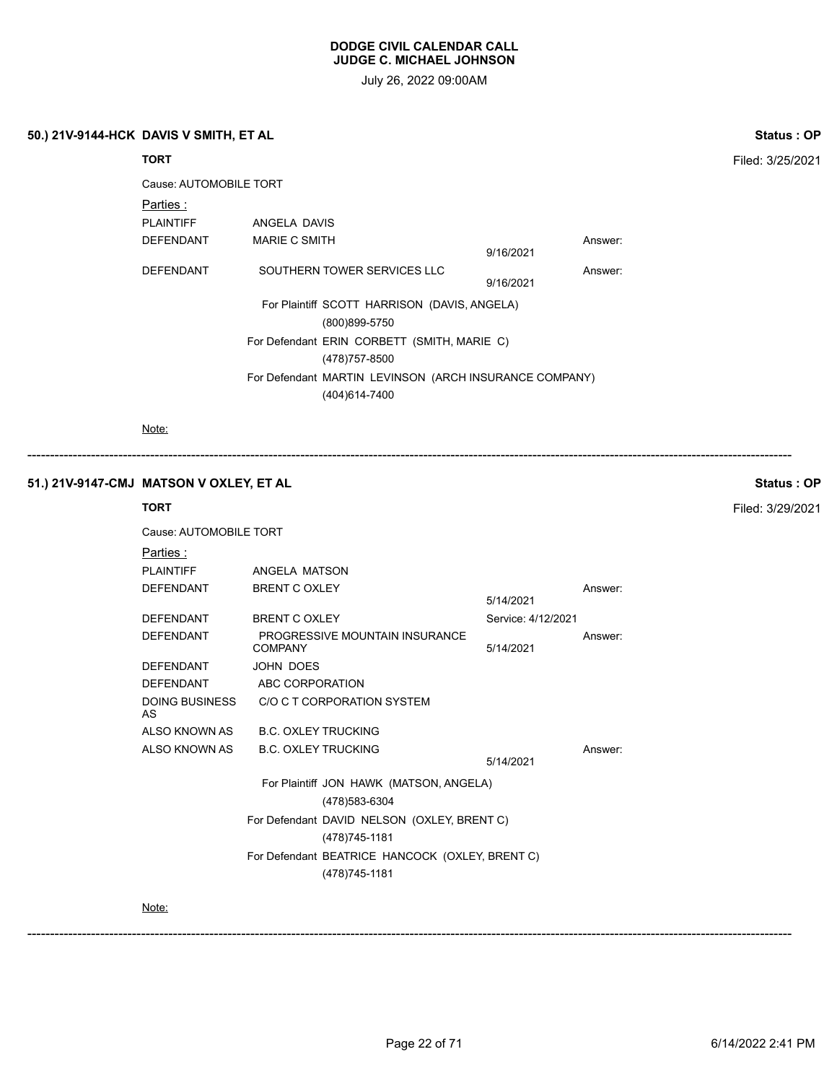July 26, 2022 09:00AM

#### **50.) 21V-9144-HCK DAVIS V SMITH, ET AL Status : OP**

**TORT** Filed: 3/25/2021 Cause: AUTOMOBILE TORT Parties : PLAINTIFF ANGELA DAVIS DEFENDANT MARIE C SMITH Answer: 9/16/2021 DEFENDANT SOUTHERN TOWER SERVICES LLC Answer: 9/16/2021 For Plaintiff SCOTT HARRISON (DAVIS, ANGELA) (800)899-5750 For Defendant ERIN CORBETT (SMITH, MARIE C) (478)757-8500 For Defendant MARTIN LEVINSON (ARCH INSURANCE COMPANY) (404)614-7400

------------------------------------------------------------------------------------------------------------------------------------------------------------------------

Note:

# **51.) 21V-9147-CMJ MATSON V OXLEY, ET AL Status : OP**

# **TORT** Filed: 3/29/2021 Cause: AUTOMOBILE TORT Parties : PLAINTIFF ANGELA MATSON DEFENDANT BRENT C OXLEY Answer: 5/14/2021 DEFENDANT BRENT C OXLEY Service: 4/12/2021 DEFENDANT PROGRESSIVE MOUNTAIN INSURANCE COMPANY Answer: 5/14/2021 DEFENDANT JOHN DOES DEFENDANT ABC CORPORATION DOING BUSINESS AS C/O C T CORPORATION SYSTEM ALSO KNOWN AS B.C. OXLEY TRUCKING ALSO KNOWN AS B.C. OXLEY TRUCKING Answer: 5/14/2021 For Plaintiff JON HAWK (MATSON, ANGELA) (478)583-6304 For Defendant DAVID NELSON (OXLEY, BRENT C) (478)745-1181 For Defendant BEATRICE HANCOCK (OXLEY, BRENT C) (478)745-1181

Note: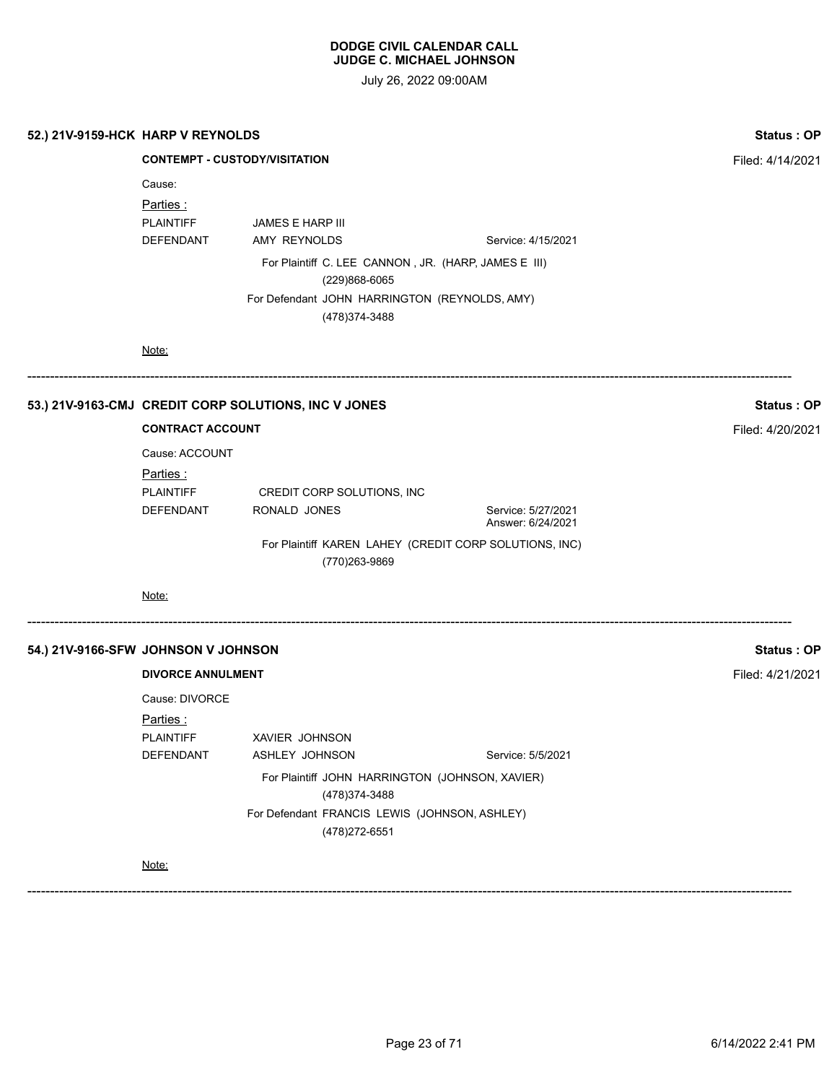| 52.) 21V-9159-HCK HARP V REYNOLDS   |                                                                     |                                                                                                                                                            |                                                        | Status: OP       |
|-------------------------------------|---------------------------------------------------------------------|------------------------------------------------------------------------------------------------------------------------------------------------------------|--------------------------------------------------------|------------------|
|                                     | <b>CONTEMPT - CUSTODY/VISITATION</b>                                | Filed: 4/14/2021                                                                                                                                           |                                                        |                  |
|                                     | Cause:<br><u>Parties :</u><br><b>PLAINTIFF</b><br>DEFENDANT         | JAMES E HARP III<br>AMY REYNOLDS<br>For Plaintiff C. LEE CANNON, JR. (HARP, JAMES E III)<br>(229)868-6065<br>For Defendant JOHN HARRINGTON (REYNOLDS, AMY) | Service: 4/15/2021                                     |                  |
|                                     | Note:                                                               | (478) 374-3488                                                                                                                                             |                                                        |                  |
|                                     |                                                                     | 53.) 21V-9163-CMJ CREDIT CORP SOLUTIONS, INC V JONES                                                                                                       |                                                        | Status: OP       |
|                                     | <b>CONTRACT ACCOUNT</b>                                             |                                                                                                                                                            |                                                        | Filed: 4/20/2021 |
|                                     | Cause: ACCOUNT<br><u>Parties :</u><br><b>PLAINTIFF</b><br>DEFENDANT | CREDIT CORP SOLUTIONS, INC<br>RONALD JONES                                                                                                                 | Service: 5/27/2021<br>Answer: 6/24/2021                |                  |
|                                     |                                                                     | (770)263-9869                                                                                                                                              | For Plaintiff KAREN LAHEY (CREDIT CORP SOLUTIONS, INC) |                  |
|                                     | Note:                                                               |                                                                                                                                                            |                                                        |                  |
| 54.) 21V-9166-SFW JOHNSON V JOHNSON |                                                                     |                                                                                                                                                            |                                                        | Status: OP       |
|                                     | <b>DIVORCE ANNULMENT</b>                                            |                                                                                                                                                            |                                                        | Filed: 4/21/2021 |
|                                     | Cause: DIVORCE<br>Parties:<br><b>PLAINTIFF</b><br>DEFENDANT         | XAVIER JOHNSON<br>ASHLEY JOHNSON                                                                                                                           | Service: 5/5/2021                                      |                  |
|                                     |                                                                     | For Plaintiff JOHN HARRINGTON (JOHNSON, XAVIER)<br>(478) 374-3488<br>For Defendant FRANCIS LEWIS (JOHNSON, ASHLEY)<br>(478) 272-6551                       |                                                        |                  |
|                                     | Note:                                                               |                                                                                                                                                            |                                                        |                  |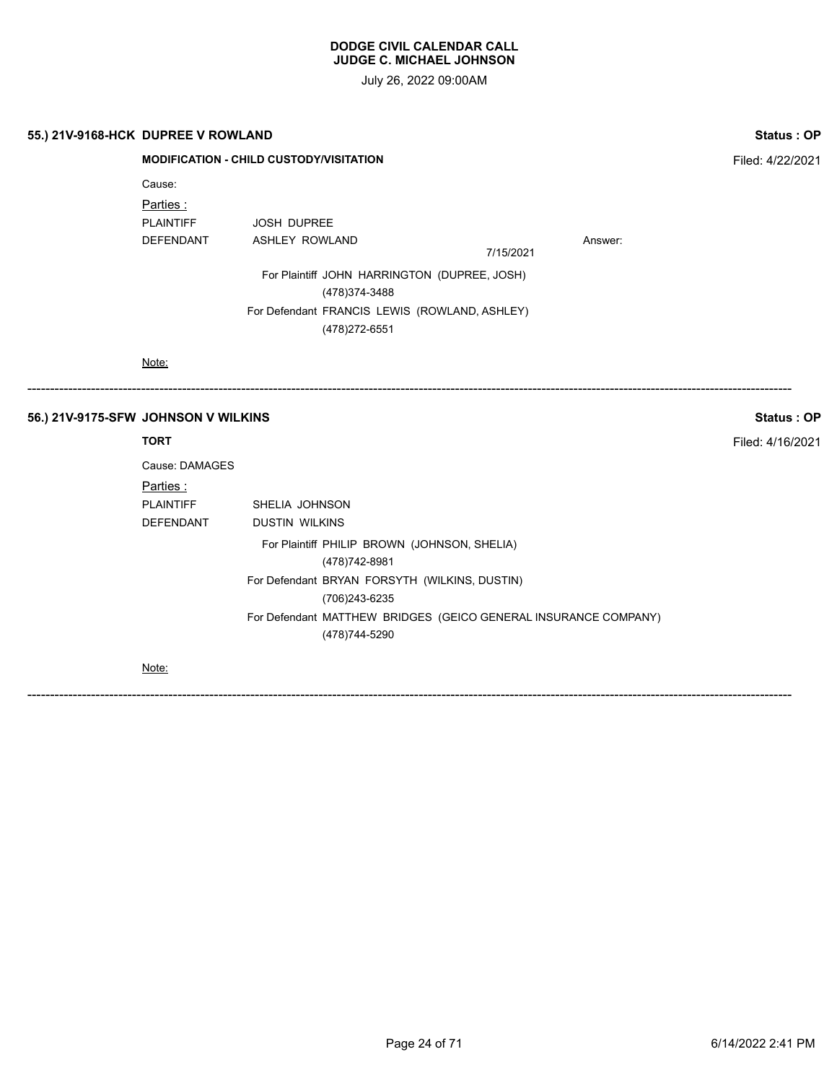July 26, 2022 09:00AM

------------------------------------------------------------------------------------------------------------------------------------------------------------------------

------------------------------------------------------------------------------------------------------------------------------------------------------------------------

|  | 55.) 21V-9168-HCK DUPREE V ROWLAND |
|--|------------------------------------|
|--|------------------------------------|

| 55.) 21V-9168-HCK DUPREE V ROWLAND |                                                | Status: OP                                                      |                  |         |  |  |  |  |
|------------------------------------|------------------------------------------------|-----------------------------------------------------------------|------------------|---------|--|--|--|--|
|                                    | <b>MODIFICATION - CHILD CUSTODY/VISITATION</b> |                                                                 | Filed: 4/22/2021 |         |  |  |  |  |
|                                    | Cause:                                         |                                                                 |                  |         |  |  |  |  |
|                                    | Parties:                                       |                                                                 |                  |         |  |  |  |  |
|                                    | <b>PLAINTIFF</b>                               | <b>JOSH DUPREE</b>                                              |                  |         |  |  |  |  |
|                                    | <b>DEFENDANT</b>                               | <b>ASHLEY ROWLAND</b>                                           | 7/15/2021        | Answer: |  |  |  |  |
|                                    |                                                | For Plaintiff JOHN HARRINGTON (DUPREE, JOSH)<br>(478) 374-3488  |                  |         |  |  |  |  |
|                                    |                                                | For Defendant FRANCIS LEWIS (ROWLAND, ASHLEY)<br>(478) 272-6551 |                  |         |  |  |  |  |
|                                    | Note:                                          |                                                                 |                  |         |  |  |  |  |

# **56.) 21V-9175-SFW JOHNSON V WILKINS Status : OP**

| Cause: DAMAGES   |                                                                 |
|------------------|-----------------------------------------------------------------|
| <u>Parties:</u>  |                                                                 |
| <b>PLAINTIFF</b> | SHELIA JOHNSON                                                  |
| DEFENDANT        | <b>DUSTIN WILKINS</b>                                           |
|                  | For Plaintiff PHILIP BROWN (JOHNSON, SHELIA)                    |
|                  | (478) 742-8981                                                  |
|                  | For Defendant BRYAN FORSYTH (WILKINS, DUSTIN)                   |
|                  | (706)243-6235                                                   |
|                  | For Defendant MATTHEW BRIDGES (GEICO GENERAL INSURANCE COMPANY) |
|                  | (478)744-5290                                                   |
| $\cdots$         |                                                                 |

Note:

**TORT** Filed: 4/16/2021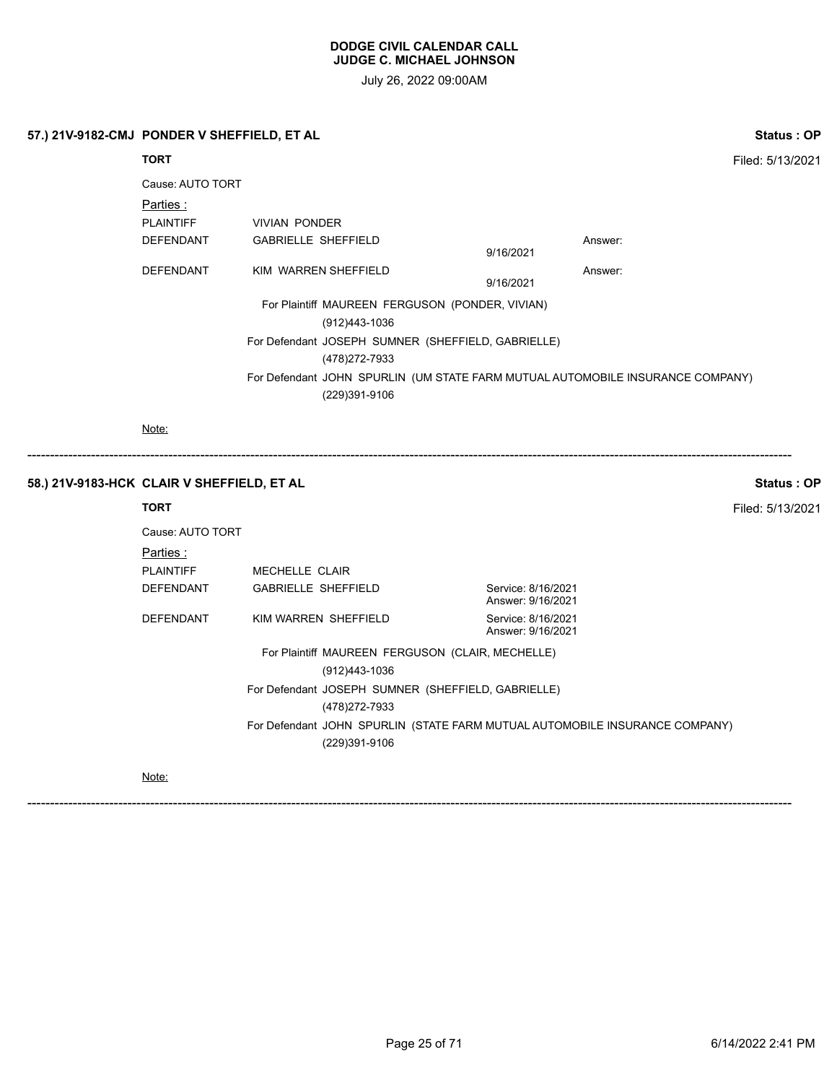July 26, 2022 09:00AM

------------------------------------------------------------------------------------------------------------------------------------------------------------------------

# **57.) 21V-9182-CMJ PONDER V SHEFFIELD, ET AL Status : OP**

**TORT** Filed: 5/13/2021 Cause: AUTO TORT Parties : PLAINTIFF VIVIAN PONDER DEFENDANT GABRIELLE SHEFFIELD **Answer:** Answer: 9/16/2021 DEFENDANT KIM WARREN SHEFFIELD Answer: 9/16/2021 For Plaintiff MAUREEN FERGUSON (PONDER, VIVIAN) (912)443-1036 For Defendant JOSEPH SUMNER (SHEFFIELD, GABRIELLE) (478)272-7933 For Defendant JOHN SPURLIN (UM STATE FARM MUTUAL AUTOMOBILE INSURANCE COMPANY) (229)391-9106

Note:

#### **58.) 21V-9183-HCK CLAIR V SHEFFIELD, ET AL Status : OP**

# **TORT** Filed: 5/13/2021 Cause: AUTO TORT Parties : PLAINTIFF MECHELLE CLAIR DEFENDANT GABRIELLE SHEFFIELD Service: 8/16/2021 Answer: 9/16/2021 DEFENDANT KIM WARREN SHEFFIELD Service: 8/16/2021 Answer: 9/16/2021 For Plaintiff MAUREEN FERGUSON (CLAIR, MECHELLE) (912)443-1036 For Defendant JOSEPH SUMNER (SHEFFIELD, GABRIELLE) (478)272-7933 For Defendant JOHN SPURLIN (STATE FARM MUTUAL AUTOMOBILE INSURANCE COMPANY) (229)391-9106

Note: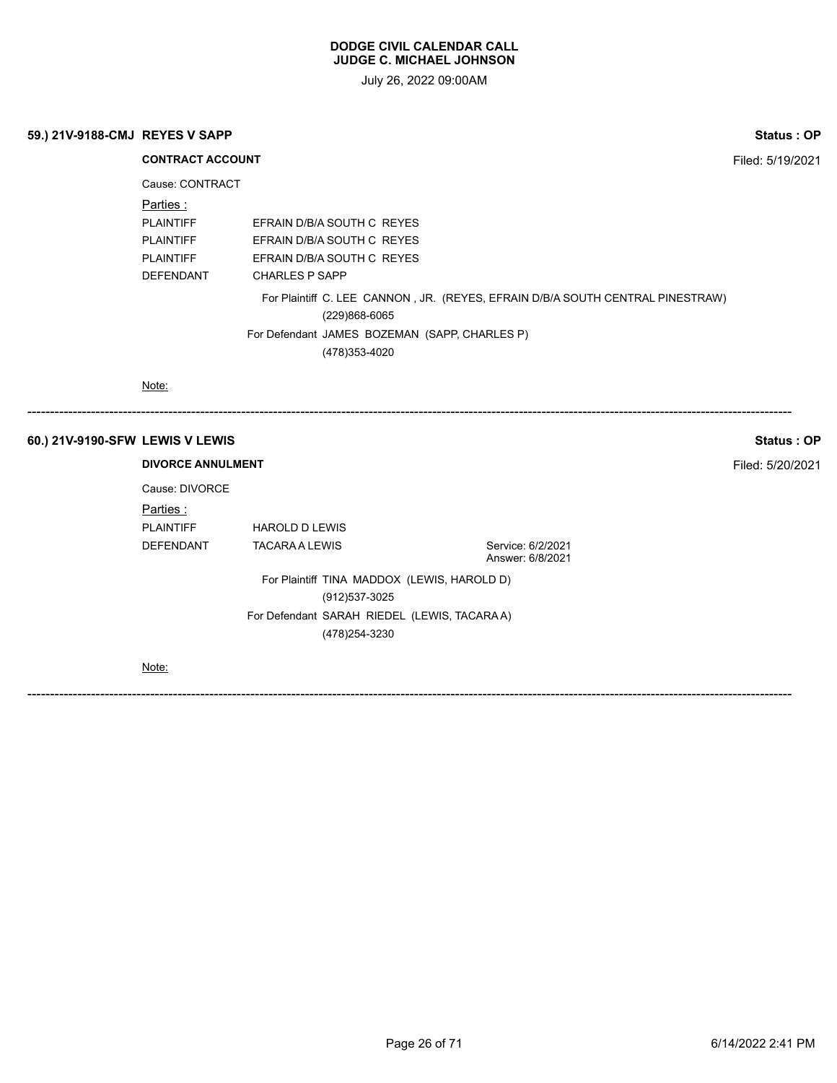July 26, 2022 09:00AM

| 59.) 21V-9188-CMJ REYES V SAPP | <b>Status: OP</b> |
|--------------------------------|-------------------|
|                                |                   |

**CONTRACT ACCOUNT Filed: 5/19/2021** Cause: CONTRACT Parties : PLAINTIFF EFRAIN D/B/A SOUTH C REYES PLAINTIFF EFRAIN D/B/A SOUTH C REYES PLAINTIFF EFRAIN D/B/A SOUTH C REYES DEFENDANT CHARLES P SAPP For Plaintiff C. LEE CANNON , JR. (REYES, EFRAIN D/B/A SOUTH CENTRAL PINESTRAW) (229)868-6065 For Defendant JAMES BOZEMAN (SAPP, CHARLES P) (478)353-4020 Note: ------------------------------------------------------------------------------------------------------------------------------------------------------------------------ **60.) 21V-9190-SFW LEWIS V LEWIS Status : OP DIVORCE ANNULMENT** Filed: 5/20/2021 Cause: DIVORCE Parties : PLAINTIFF HAROLD D LEWIS DEFENDANT TACARA A LEWIS Service: 6/2/2021 Answer: 6/8/2021

For Plaintiff TINA MADDOX (LEWIS, HAROLD D) (912)537-3025 For Defendant SARAH RIEDEL (LEWIS, TACARA A) (478)254-3230

Note: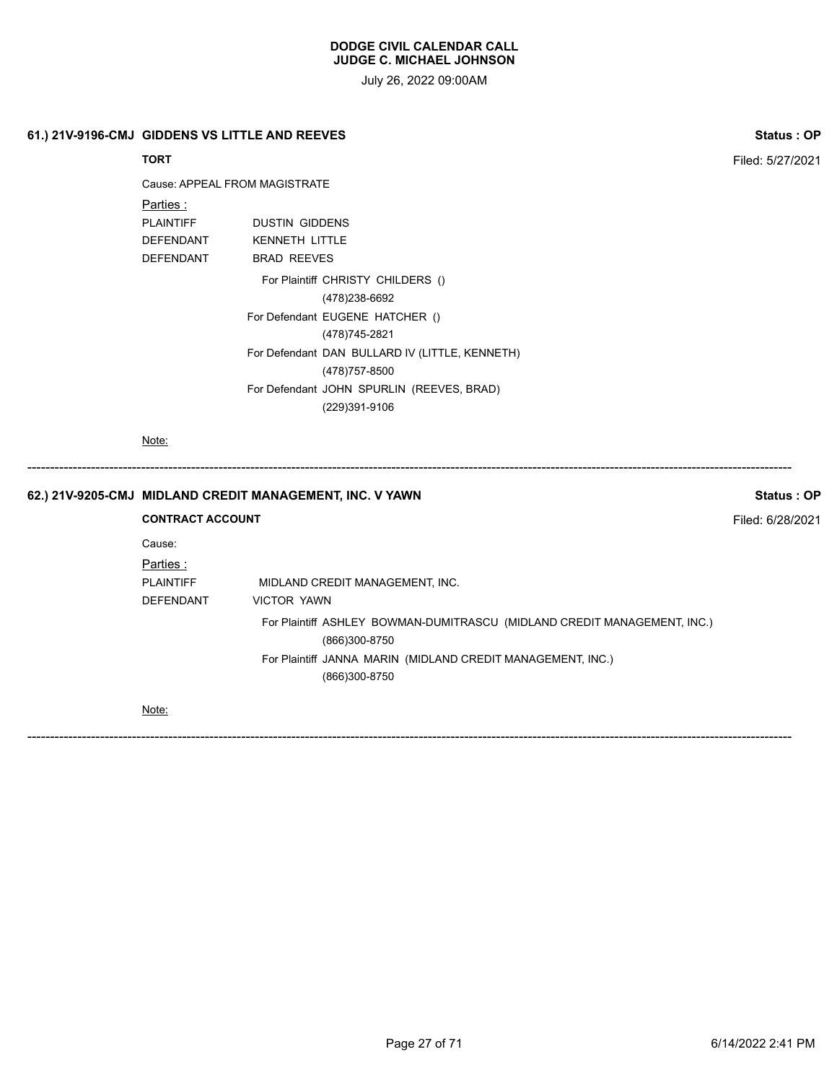July 26, 2022 09:00AM

| 61.) 21V-9196-CMJ GIDDENS VS LITTLE AND REEVES | <b>Status: OP</b> |
|------------------------------------------------|-------------------|
|------------------------------------------------|-------------------|

# **TORT** Filed: 5/27/2021

Cause: APPEAL FROM MAGISTRATE

| Parties :        |                                                |
|------------------|------------------------------------------------|
| <b>PLAINTIFF</b> | <b>DUSTIN GIDDENS</b>                          |
| <b>DEFENDANT</b> | <b>KENNETH LITTLE</b>                          |
| <b>DEFENDANT</b> | <b>BRAD REEVES</b>                             |
|                  | For Plaintiff CHRISTY CHILDERS ()              |
|                  | (478)238-6692                                  |
|                  | For Defendant EUGENE HATCHER ()                |
|                  | (478)745-2821                                  |
|                  | For Defendant DAN BULLARD IV (LITTLE, KENNETH) |
|                  | (478) 757-8500                                 |
|                  | For Defendant JOHN SPURLIN (REEVES, BRAD)      |
|                  | (229)391-9106                                  |

Note:

|  |                                                      | 62.) 21V-9205-CMJ MIDLAND CREDIT MANAGEMENT, INC. V YAWN                                                                                                                  | Status: OP |
|--|------------------------------------------------------|---------------------------------------------------------------------------------------------------------------------------------------------------------------------------|------------|
|  | <b>CONTRACT ACCOUNT</b>                              | Filed: 6/28/2021                                                                                                                                                          |            |
|  | Cause:<br>Parties :<br><b>PLAINTIFF</b><br>DEFENDANT | MIDLAND CREDIT MANAGEMENT, INC.<br><b>VICTOR YAWN</b>                                                                                                                     |            |
|  |                                                      | For Plaintiff ASHLEY BOWMAN-DUMITRASCU (MIDLAND CREDIT MANAGEMENT, INC.)<br>(866)300-8750<br>For Plaintiff JANNA MARIN (MIDLAND CREDIT MANAGEMENT, INC.)<br>(866)300-8750 |            |
|  | Note:                                                |                                                                                                                                                                           |            |

------------------------------------------------------------------------------------------------------------------------------------------------------------------------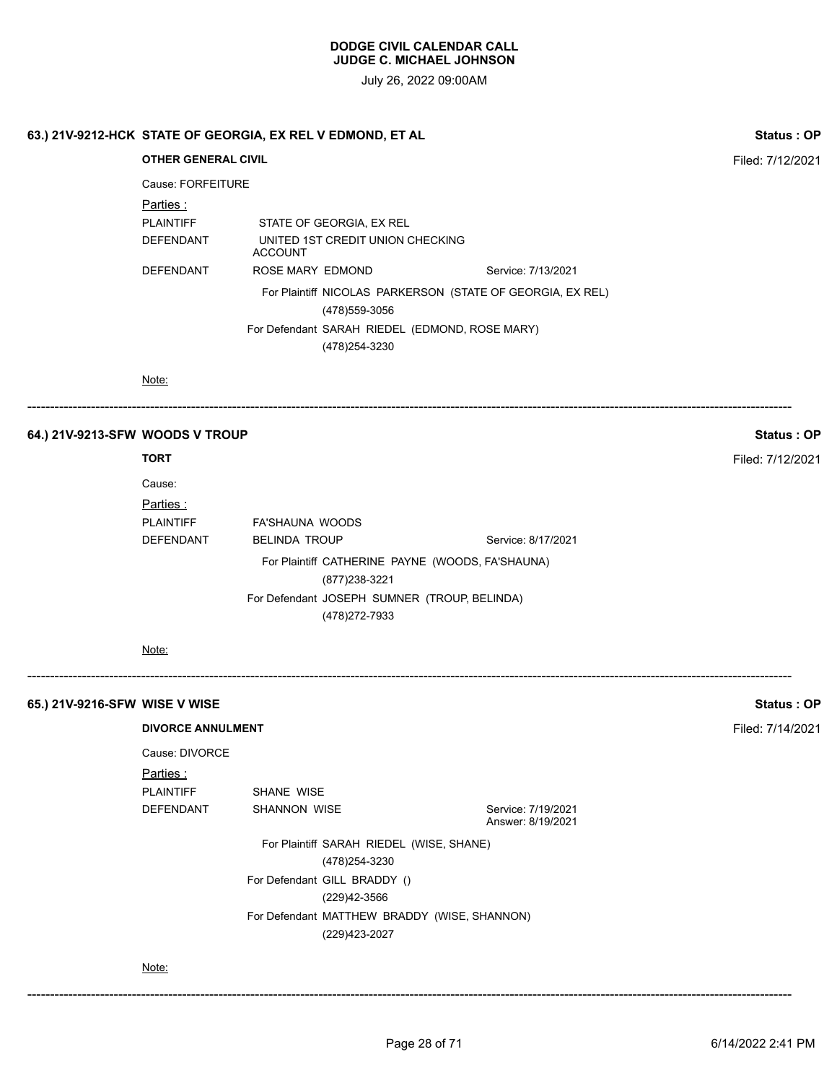July 26, 2022 09:00AM

|                               | 63.) 21V-9212-HCK STATE OF GEORGIA, EX REL V EDMOND, ET AL |                      |                                                                    |  |                                                            | <b>Status: OP</b> |  |
|-------------------------------|------------------------------------------------------------|----------------------|--------------------------------------------------------------------|--|------------------------------------------------------------|-------------------|--|
|                               | <b>OTHER GENERAL CIVIL</b>                                 |                      |                                                                    |  |                                                            | Filed: 7/12/2021  |  |
|                               | Cause: FORFEITURE                                          |                      |                                                                    |  |                                                            |                   |  |
|                               | Parties:                                                   |                      |                                                                    |  |                                                            |                   |  |
|                               | <b>PLAINTIFF</b><br>DEFENDANT                              | <b>ACCOUNT</b>       | STATE OF GEORGIA, EX REL<br>UNITED 1ST CREDIT UNION CHECKING       |  |                                                            |                   |  |
|                               | DEFENDANT                                                  | ROSE MARY EDMOND     |                                                                    |  | Service: 7/13/2021                                         |                   |  |
|                               |                                                            |                      | (478) 559-3056                                                     |  | For Plaintiff NICOLAS PARKERSON (STATE OF GEORGIA, EX REL) |                   |  |
|                               |                                                            |                      | For Defendant SARAH RIEDEL (EDMOND, ROSE MARY)                     |  |                                                            |                   |  |
|                               |                                                            |                      | (478) 254-3230                                                     |  |                                                            |                   |  |
|                               | Note:                                                      |                      |                                                                    |  |                                                            |                   |  |
|                               |                                                            |                      |                                                                    |  |                                                            |                   |  |
|                               | 64.) 21V-9213-SFW WOODS V TROUP                            |                      |                                                                    |  |                                                            | <b>Status: OP</b> |  |
|                               | <b>TORT</b>                                                |                      |                                                                    |  |                                                            | Filed: 7/12/2021  |  |
|                               | Cause:                                                     |                      |                                                                    |  |                                                            |                   |  |
|                               | Parties:                                                   |                      |                                                                    |  |                                                            |                   |  |
|                               | <b>PLAINTIFF</b>                                           | FA'SHAUNA WOODS      |                                                                    |  |                                                            |                   |  |
|                               | DEFENDANT                                                  | <b>BELINDA TROUP</b> |                                                                    |  | Service: 8/17/2021                                         |                   |  |
|                               |                                                            |                      | For Plaintiff CATHERINE PAYNE (WOODS, FA'SHAUNA)<br>(877) 238-3221 |  |                                                            |                   |  |
|                               |                                                            |                      | For Defendant JOSEPH SUMNER (TROUP, BELINDA)<br>(478) 272-7933     |  |                                                            |                   |  |
|                               | Note:                                                      |                      |                                                                    |  |                                                            |                   |  |
| 65.) 21V-9216-SFW_WISE V WISE |                                                            |                      |                                                                    |  |                                                            | <b>Status: OP</b> |  |
|                               | <b>DIVORCE ANNULMENT</b>                                   |                      |                                                                    |  |                                                            | Filed: 7/14/2021  |  |
|                               | Cause: DIVORCE                                             |                      |                                                                    |  |                                                            |                   |  |
|                               | Parties:                                                   |                      |                                                                    |  |                                                            |                   |  |
|                               | <b>PLAINTIFF</b>                                           | SHANE WISE           |                                                                    |  |                                                            |                   |  |
|                               | DEFENDANT                                                  | SHANNON WISE         |                                                                    |  | Service: 7/19/2021<br>Answer: 8/19/2021                    |                   |  |
|                               |                                                            |                      | For Plaintiff SARAH RIEDEL (WISE, SHANE)                           |  |                                                            |                   |  |
|                               |                                                            |                      | (478) 254-3230                                                     |  |                                                            |                   |  |
|                               |                                                            |                      | For Defendant GILL BRADDY ()                                       |  |                                                            |                   |  |
|                               |                                                            |                      | (229)42-3566                                                       |  |                                                            |                   |  |
|                               |                                                            |                      | For Defendant MATTHEW BRADDY (WISE, SHANNON)<br>(229)423-2027      |  |                                                            |                   |  |
|                               |                                                            |                      |                                                                    |  |                                                            |                   |  |

Note:

------------------------------------------------------------------------------------------------------------------------------------------------------------------------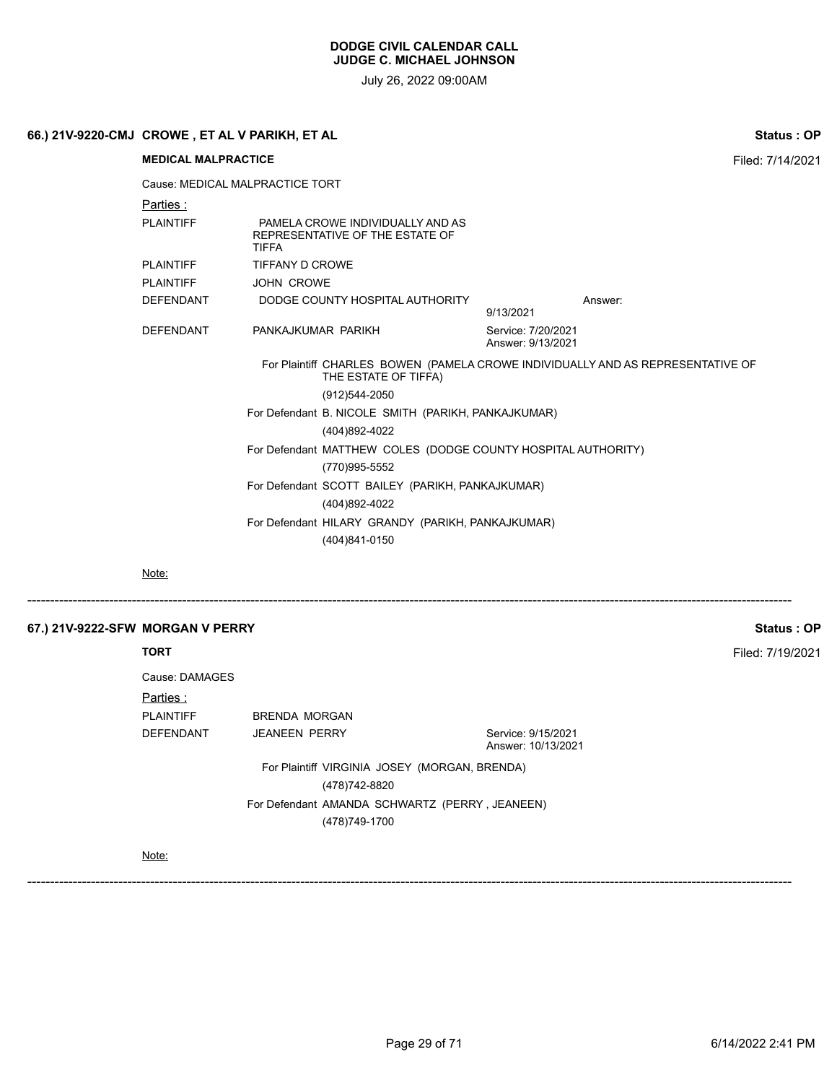July 26, 2022 09:00AM

|                                  | 66.) 21V-9220-CMJ  CROWE , ET AL V PARIKH, ET AL                                                        |                    |                                                  |  |                                         |                                                                                 | Status: OP       |  |
|----------------------------------|---------------------------------------------------------------------------------------------------------|--------------------|--------------------------------------------------|--|-----------------------------------------|---------------------------------------------------------------------------------|------------------|--|
|                                  | <b>MEDICAL MALPRACTICE</b>                                                                              |                    |                                                  |  |                                         | Filed: 7/14/2021                                                                |                  |  |
|                                  | Cause: MEDICAL MALPRACTICE TORT                                                                         |                    |                                                  |  |                                         |                                                                                 |                  |  |
|                                  | <u>Parties :</u>                                                                                        |                    |                                                  |  |                                         |                                                                                 |                  |  |
|                                  | <b>PLAINTIFF</b><br>PAMELA CROWE INDIVIDUALLY AND AS<br>REPRESENTATIVE OF THE ESTATE OF<br><b>TIFFA</b> |                    |                                                  |  |                                         |                                                                                 |                  |  |
|                                  | <b>PLAINTIFF</b>                                                                                        | TIFFANY D CROWE    |                                                  |  |                                         |                                                                                 |                  |  |
|                                  | <b>PLAINTIFF</b>                                                                                        | <b>JOHN CROWE</b>  |                                                  |  |                                         |                                                                                 |                  |  |
|                                  | <b>DEFENDANT</b>                                                                                        |                    | DODGE COUNTY HOSPITAL AUTHORITY                  |  | 9/13/2021                               | Answer:                                                                         |                  |  |
|                                  | <b>DEFENDANT</b>                                                                                        | PANKAJKUMAR PARIKH |                                                  |  | Service: 7/20/2021<br>Answer: 9/13/2021 |                                                                                 |                  |  |
|                                  |                                                                                                         |                    | THE ESTATE OF TIFFA)                             |  |                                         | For Plaintiff CHARLES BOWEN (PAMELA CROWE INDIVIDUALLY AND AS REPRESENTATIVE OF |                  |  |
|                                  |                                                                                                         |                    | (912)544-2050                                    |  |                                         |                                                                                 |                  |  |
|                                  | For Defendant B. NICOLE SMITH (PARIKH, PANKAJKUMAR)                                                     |                    |                                                  |  |                                         |                                                                                 |                  |  |
|                                  | (404)892-4022                                                                                           |                    |                                                  |  |                                         |                                                                                 |                  |  |
|                                  | For Defendant MATTHEW COLES (DODGE COUNTY HOSPITAL AUTHORITY)                                           |                    |                                                  |  |                                         |                                                                                 |                  |  |
|                                  | (770)995-5552                                                                                           |                    |                                                  |  |                                         |                                                                                 |                  |  |
|                                  |                                                                                                         |                    | For Defendant SCOTT BAILEY (PARIKH, PANKAJKUMAR) |  |                                         |                                                                                 |                  |  |
|                                  |                                                                                                         |                    | (404)892-4022                                    |  |                                         |                                                                                 |                  |  |
|                                  | For Defendant HILARY GRANDY (PARIKH, PANKAJKUMAR)                                                       |                    |                                                  |  |                                         |                                                                                 |                  |  |
|                                  |                                                                                                         |                    | (404)841-0150                                    |  |                                         |                                                                                 |                  |  |
|                                  | Note:                                                                                                   |                    |                                                  |  |                                         |                                                                                 |                  |  |
|                                  |                                                                                                         |                    |                                                  |  |                                         |                                                                                 |                  |  |
| 67.) 21V-9222-SFW MORGAN V PERRY |                                                                                                         |                    |                                                  |  |                                         |                                                                                 | Status: OP       |  |
|                                  | <b>TORT</b>                                                                                             |                    |                                                  |  |                                         |                                                                                 | Filed: 7/19/2021 |  |
|                                  | Cause: DAMAGES                                                                                          |                    |                                                  |  |                                         |                                                                                 |                  |  |

| Parties :        |                                                |                                          |
|------------------|------------------------------------------------|------------------------------------------|
| <b>PLAINTIFF</b> | BRENDA MORGAN                                  |                                          |
| <b>DEFENDANT</b> | <b>JEANEEN PERRY</b>                           | Service: 9/15/2021<br>Answer: 10/13/2021 |
|                  | For Plaintiff VIRGINIA JOSEY (MORGAN, BRENDA)  |                                          |
|                  | (478)742-8820                                  |                                          |
|                  | For Defendant AMANDA SCHWARTZ (PERRY, JEANEEN) |                                          |
|                  | (478)749-1700                                  |                                          |

# Note: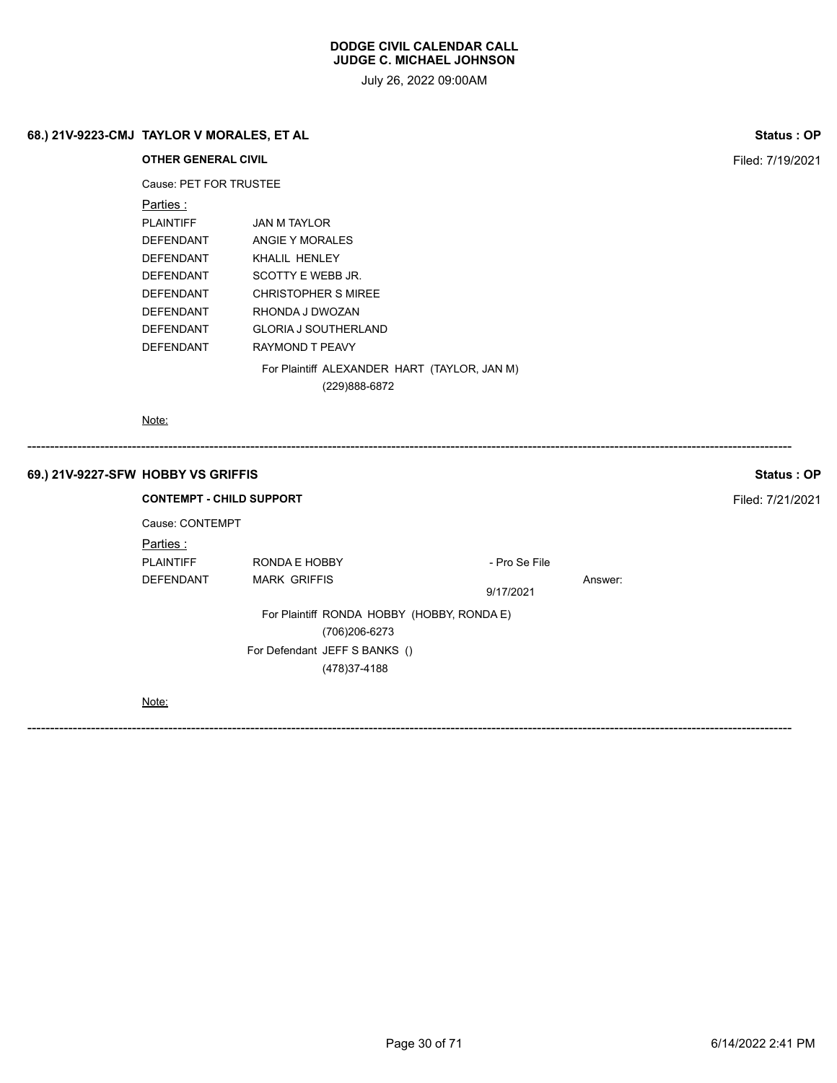July 26, 2022 09:00AM

# **68.) 21V-9223-CMJ TAYLOR V MORALES, ET AL Status : OP**

**OTHER GENERAL CIVIL Filed:** 7/19/2021 Cause: PET FOR TRUSTEE Parties : PLAINTIFF JAN M TAYLOR DEFENDANT ANGIE Y MORALES DEFENDANT KHALIL HENLEY DEFENDANT SCOTTY E WEBB JR. DEFENDANT CHRISTOPHER S MIREE DEFENDANT RHONDA J DWOZAN DEFENDANT GLORIA J SOUTHERLAND DEFENDANT RAYMOND T PEAVY For Plaintiff ALEXANDER HART (TAYLOR, JAN M) (229)888-6872 Note:

# ------------------------------------------------------------------------------------------------------------------------------------------------------------------------ **69.) 21V-9227-SFW HOBBY VS GRIFFIS Status : OP CONTEMPT - CHILD SUPPORT** FILED **FILED SUPPORT** Cause: CONTEMPT Parties : PLAINTIFF RONDA E HOBBY - Pro Se File DEFENDANT MARK GRIFFIS Answer: 9/17/2021 For Plaintiff RONDA HOBBY (HOBBY, RONDA E) (706)206-6273 For Defendant JEFF S BANKS () (478)37-4188 Note: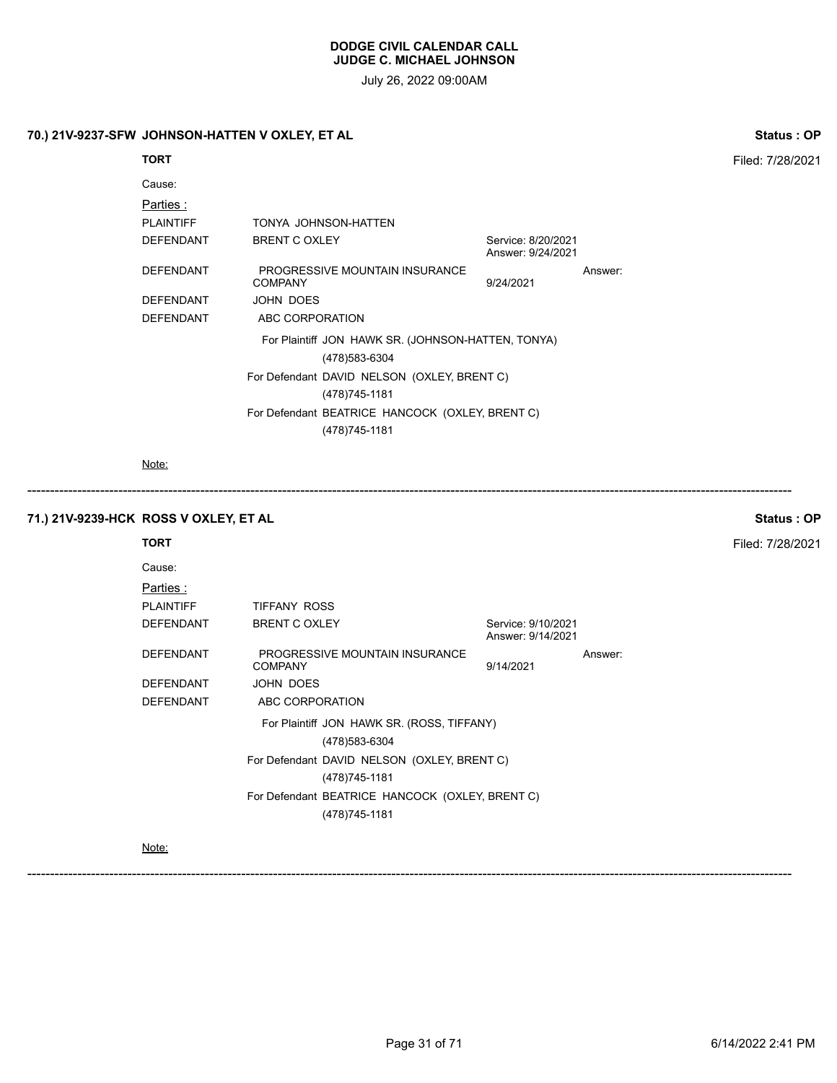July 26, 2022 09:00AM

# **70.) 21V-9237-SFW JOHNSON-HATTEN V OXLEY, ET AL Status : OP**

| <b>TORT</b>      |                                                                      |                                         |         | Filed: 7/28/2021 |
|------------------|----------------------------------------------------------------------|-----------------------------------------|---------|------------------|
| Cause:           |                                                                      |                                         |         |                  |
| Parties :        |                                                                      |                                         |         |                  |
| <b>PLAINTIFF</b> | TONYA JOHNSON-HATTEN                                                 |                                         |         |                  |
| <b>DEFENDANT</b> | <b>BRENT C OXLEY</b>                                                 | Service: 8/20/2021<br>Answer: 9/24/2021 |         |                  |
| <b>DEFENDANT</b> | PROGRESSIVE MOUNTAIN INSURANCE<br><b>COMPANY</b>                     | 9/24/2021                               | Answer: |                  |
| <b>DEFENDANT</b> | JOHN DOES                                                            |                                         |         |                  |
| <b>DEFENDANT</b> | ABC CORPORATION                                                      |                                         |         |                  |
|                  | For Plaintiff JON HAWK SR. (JOHNSON-HATTEN, TONYA)<br>(478) 583-6304 |                                         |         |                  |
|                  | For Defendant DAVID NELSON (OXLEY, BRENT C)                          |                                         |         |                  |
|                  | (478) 745-1181                                                       |                                         |         |                  |
|                  | For Defendant BEATRICE HANCOCK (OXLEY, BRENT C)                      |                                         |         |                  |
|                  | (478) 745-1181                                                       |                                         |         |                  |
|                  |                                                                      |                                         |         |                  |

Note:

**71.) 21V-9239-HCK ROSS V OXLEY, ET AL Status : OP**

**TORT** Filed: 7/28/2021

Cause:

| <u>Parties :</u> |                      |                                                              |                                         |         |
|------------------|----------------------|--------------------------------------------------------------|-----------------------------------------|---------|
| PLAINTIFF        | TIFFANY ROSS         |                                                              |                                         |         |
| DEFENDANT        | <b>BRENT C OXLEY</b> |                                                              | Service: 9/10/2021<br>Answer: 9/14/2021 |         |
| DEFENDANT        | <b>COMPANY</b>       | PROGRESSIVE MOUNTAIN INSURANCE                               | 9/14/2021                               | Answer: |
| DEFENDANT        | JOHN DOES            |                                                              |                                         |         |
| DEFENDANT        | ABC CORPORATION      |                                                              |                                         |         |
|                  |                      | For Plaintiff JON HAWK SR. (ROSS, TIFFANY)<br>(478) 583-6304 |                                         |         |
|                  |                      | For Defendant DAVID NELSON (OXLEY, BRENT C)                  |                                         |         |
|                  |                      | (478) 745-1181                                               |                                         |         |
|                  |                      | For Defendant BEATRICE HANCOCK (OXLEY, BRENT C)              |                                         |         |
|                  |                      | (478) 745-1181                                               |                                         |         |

------------------------------------------------------------------------------------------------------------------------------------------------------------------------

Note: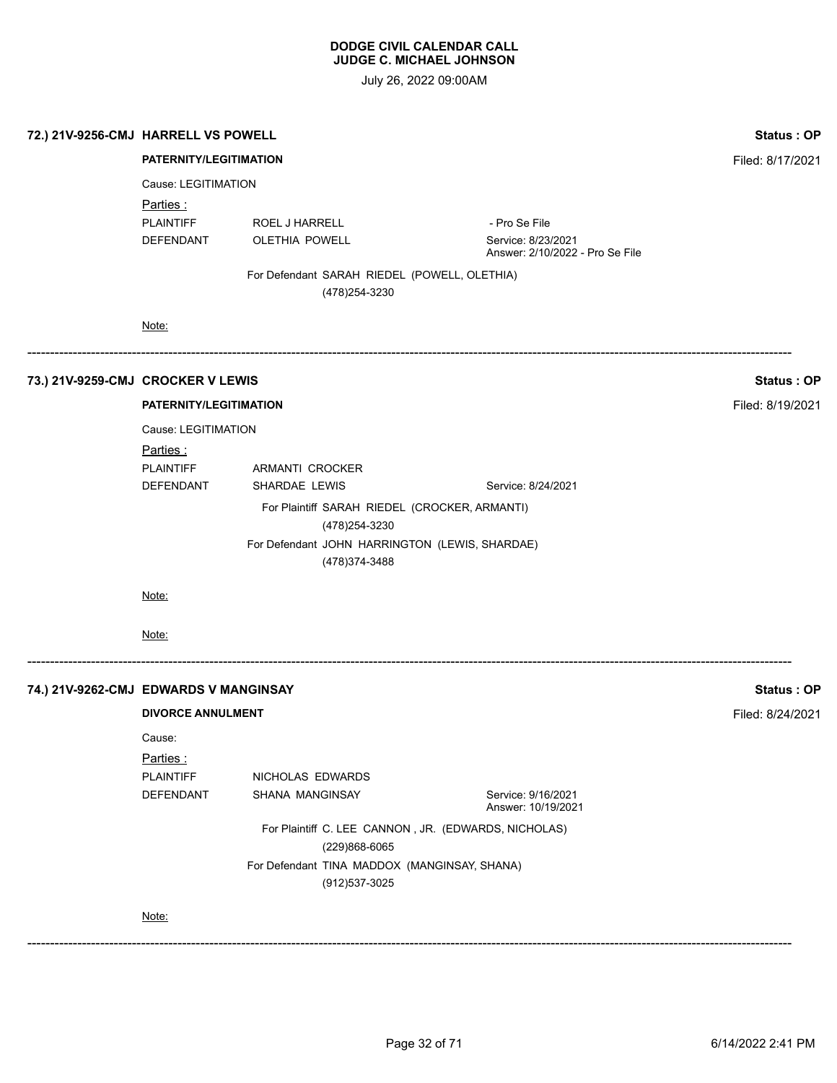| <b>Status: OP</b> |                                                       |                                                                |                               | 72.) 21V-9256-CMJ HARRELL VS POWELL   |  |  |  |
|-------------------|-------------------------------------------------------|----------------------------------------------------------------|-------------------------------|---------------------------------------|--|--|--|
| Filed: 8/17/2021  |                                                       |                                                                | PATERNITY/LEGITIMATION        |                                       |  |  |  |
|                   |                                                       |                                                                | Cause: LEGITIMATION           |                                       |  |  |  |
|                   |                                                       | <u>Parties :</u>                                               |                               |                                       |  |  |  |
|                   | - Pro Se File                                         | ROEL J HARRELL                                                 | <b>PLAINTIFF</b>              |                                       |  |  |  |
|                   | Service: 8/23/2021<br>Answer: 2/10/2022 - Pro Se File | <b>OLETHIA POWELL</b>                                          | DEFENDANT                     |                                       |  |  |  |
|                   |                                                       | For Defendant SARAH RIEDEL (POWELL, OLETHIA)<br>(478) 254-3230 |                               |                                       |  |  |  |
|                   |                                                       |                                                                | Note:                         |                                       |  |  |  |
| Status: OP        |                                                       |                                                                |                               | 73.) 21V-9259-CMJ CROCKER V LEWIS     |  |  |  |
| Filed: 8/19/2021  |                                                       |                                                                | <b>PATERNITY/LEGITIMATION</b> |                                       |  |  |  |
|                   |                                                       |                                                                | Cause: LEGITIMATION           |                                       |  |  |  |
|                   |                                                       |                                                                | <u>Parties :</u>              |                                       |  |  |  |
|                   |                                                       | ARMANTI CROCKER                                                | <b>PLAINTIFF</b>              |                                       |  |  |  |
|                   | Service: 8/24/2021                                    | SHARDAE LEWIS                                                  | <b>DEFENDANT</b>              |                                       |  |  |  |
|                   |                                                       | For Plaintiff SARAH RIEDEL (CROCKER, ARMANTI)                  |                               |                                       |  |  |  |
|                   |                                                       | (478) 254-3230                                                 |                               |                                       |  |  |  |
|                   |                                                       | For Defendant JOHN HARRINGTON (LEWIS, SHARDAE)                 |                               |                                       |  |  |  |
|                   |                                                       | (478) 374-3488                                                 |                               |                                       |  |  |  |
|                   |                                                       |                                                                | Note:                         |                                       |  |  |  |
|                   |                                                       |                                                                |                               |                                       |  |  |  |
|                   |                                                       |                                                                | Note:                         |                                       |  |  |  |
| Status: OP        |                                                       |                                                                |                               | 74.) 21V-9262-CMJ EDWARDS V MANGINSAY |  |  |  |
| Filed: 8/24/2021  |                                                       |                                                                | <b>DIVORCE ANNULMENT</b>      |                                       |  |  |  |
|                   |                                                       |                                                                | Cause:                        |                                       |  |  |  |
|                   |                                                       |                                                                | Parties:                      |                                       |  |  |  |
|                   |                                                       | NICHOLAS EDWARDS                                               | PLAINTIFF                     |                                       |  |  |  |
|                   | Service: 9/16/2021<br>Answer: 10/19/2021              | SHANA MANGINSAY                                                | DEFENDANT                     |                                       |  |  |  |
|                   |                                                       | For Plaintiff C. LEE CANNON, JR. (EDWARDS, NICHOLAS)           |                               |                                       |  |  |  |
|                   |                                                       |                                                                |                               |                                       |  |  |  |
|                   |                                                       | (229)868-6065<br>For Defendant TINA MADDOX (MANGINSAY, SHANA)  |                               |                                       |  |  |  |
|                   |                                                       | (912) 537-3025                                                 |                               |                                       |  |  |  |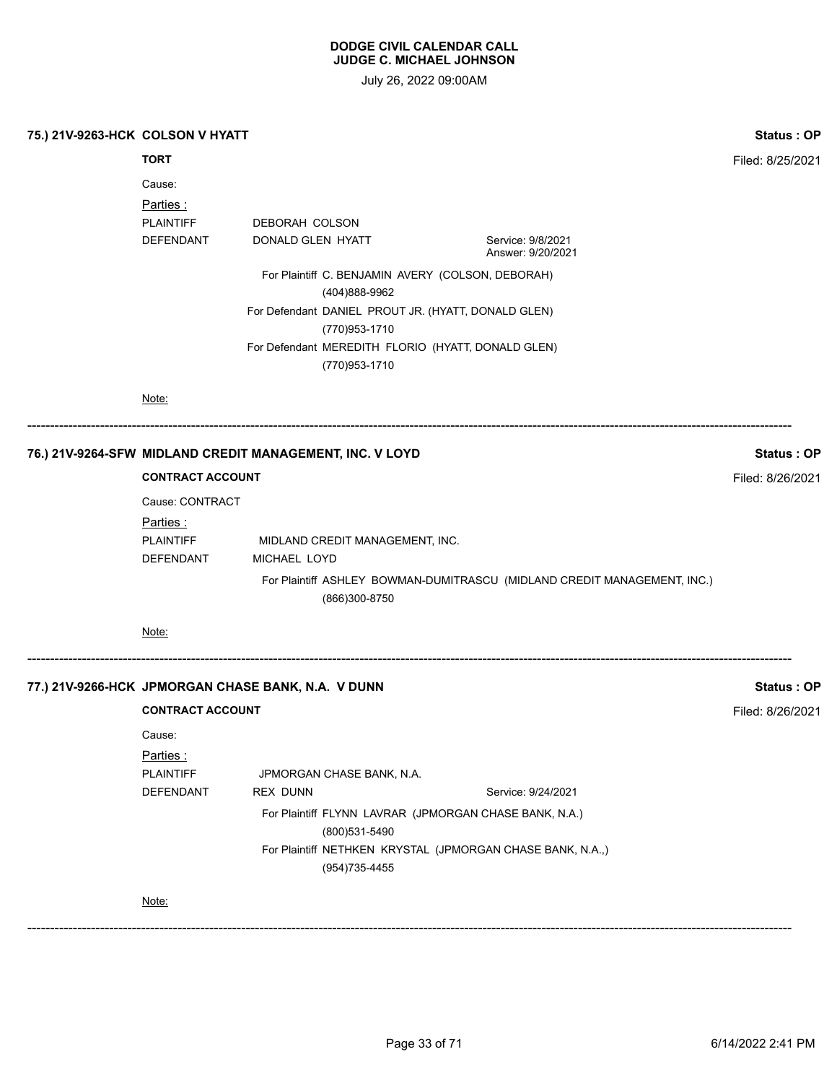| 75.) 21V-9263-HCK COLSON V HYATT                         |                               |                   |                                                                      |  |                                                                          | <b>Status: OP</b> |
|----------------------------------------------------------|-------------------------------|-------------------|----------------------------------------------------------------------|--|--------------------------------------------------------------------------|-------------------|
|                                                          | <b>TORT</b>                   |                   |                                                                      |  |                                                                          | Filed: 8/25/2021  |
|                                                          | Cause:<br>Parties :           |                   |                                                                      |  |                                                                          |                   |
|                                                          | <b>PLAINTIFF</b>              | DEBORAH COLSON    |                                                                      |  |                                                                          |                   |
|                                                          | DEFENDANT                     | DONALD GLEN HYATT |                                                                      |  | Service: 9/8/2021<br>Answer: 9/20/2021                                   |                   |
|                                                          |                               |                   | For Plaintiff C. BENJAMIN AVERY (COLSON, DEBORAH)<br>(404)888-9962   |  |                                                                          |                   |
|                                                          |                               |                   | For Defendant DANIEL PROUT JR. (HYATT, DONALD GLEN)<br>(770)953-1710 |  |                                                                          |                   |
|                                                          |                               |                   | For Defendant MEREDITH FLORIO (HYATT, DONALD GLEN)<br>(770)953-1710  |  |                                                                          |                   |
|                                                          | Note:                         |                   |                                                                      |  |                                                                          |                   |
| 76.) 21V-9264-SFW MIDLAND CREDIT MANAGEMENT, INC. V LOYD |                               |                   |                                                                      |  |                                                                          | <b>Status: OP</b> |
|                                                          | <b>CONTRACT ACCOUNT</b>       |                   |                                                                      |  |                                                                          | Filed: 8/26/2021  |
| Cause: CONTRACT                                          |                               |                   |                                                                      |  |                                                                          |                   |
|                                                          | <u>Parties :</u>              |                   |                                                                      |  |                                                                          |                   |
|                                                          | <b>PLAINTIFF</b><br>DEFENDANT | MICHAEL LOYD      | MIDLAND CREDIT MANAGEMENT, INC.                                      |  |                                                                          |                   |
|                                                          |                               |                   | (866)300-8750                                                        |  | For Plaintiff ASHLEY BOWMAN-DUMITRASCU (MIDLAND CREDIT MANAGEMENT, INC.) |                   |
|                                                          | Note:                         |                   |                                                                      |  |                                                                          |                   |
| 77.) 21V-9266-HCK JPMORGAN CHASE BANK, N.A. V DUNN       |                               |                   |                                                                      |  |                                                                          | Status: OP        |
|                                                          | <b>CONTRACT ACCOUNT</b>       |                   |                                                                      |  |                                                                          | Filed: 8/26/2021  |
|                                                          | Cause:                        |                   |                                                                      |  |                                                                          |                   |
|                                                          | Parties:                      |                   |                                                                      |  |                                                                          |                   |
|                                                          | <b>PLAINTIFF</b>              |                   | JPMORGAN CHASE BANK, N.A.                                            |  |                                                                          |                   |
|                                                          | <b>DEFENDANT</b>              | <b>REX DUNN</b>   |                                                                      |  | Service: 9/24/2021                                                       |                   |
|                                                          |                               |                   | (800)531-5490                                                        |  | For Plaintiff FLYNN LAVRAR (JPMORGAN CHASE BANK, N.A.)                   |                   |
|                                                          |                               |                   | (954) 735-4455                                                       |  | For Plaintiff NETHKEN KRYSTAL (JPMORGAN CHASE BANK, N.A.,)               |                   |
|                                                          | Note:                         |                   |                                                                      |  |                                                                          |                   |
|                                                          |                               |                   |                                                                      |  |                                                                          |                   |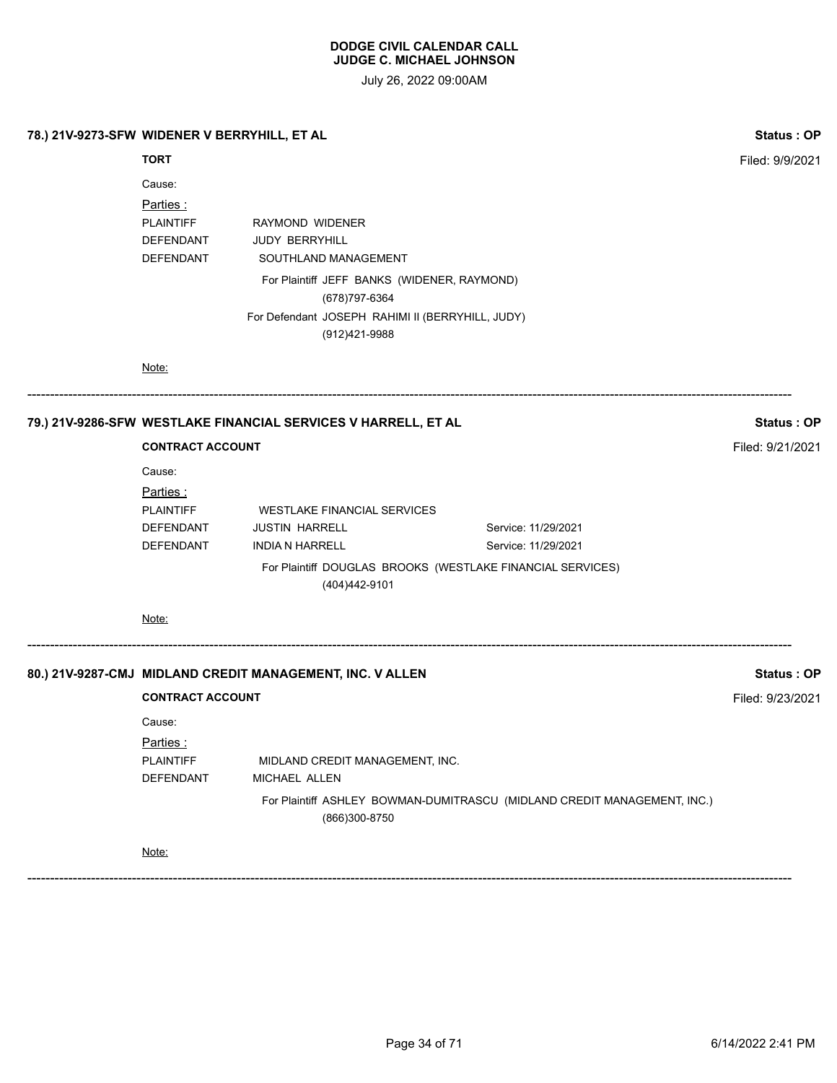| 78.) 21V-9273-SFW WIDENER V BERRYHILL, ET AL |                                                                  |                                                                                                                                                                                       |                                                                          | Status: OP        |
|----------------------------------------------|------------------------------------------------------------------|---------------------------------------------------------------------------------------------------------------------------------------------------------------------------------------|--------------------------------------------------------------------------|-------------------|
|                                              | <b>TORT</b>                                                      |                                                                                                                                                                                       |                                                                          | Filed: 9/9/2021   |
|                                              | Cause:<br>Parties:<br>PLAINTIFF<br>DEFENDANT<br>DEFENDANT        | RAYMOND WIDENER<br><b>JUDY BERRYHILL</b><br>SOUTHLAND MANAGEMENT<br>For Plaintiff JEFF BANKS (WIDENER, RAYMOND)<br>(678) 797-6364<br>For Defendant JOSEPH RAHIMI II (BERRYHILL, JUDY) |                                                                          |                   |
|                                              | Note:                                                            | (912)421-9988                                                                                                                                                                         |                                                                          |                   |
|                                              |                                                                  | 79.) 21V-9286-SFW WESTLAKE FINANCIAL SERVICES V HARRELL, ET AL                                                                                                                        |                                                                          | Status: OP        |
|                                              | <b>CONTRACT ACCOUNT</b>                                          |                                                                                                                                                                                       |                                                                          | Filed: 9/21/2021  |
|                                              | Cause:<br>Parties:<br><b>PLAINTIFF</b><br>DEFENDANT<br>DEFENDANT | WESTLAKE FINANCIAL SERVICES<br><b>JUSTIN HARRELL</b><br><b>INDIA N HARRELL</b><br>For Plaintiff DOUGLAS BROOKS (WESTLAKE FINANCIAL SERVICES)                                          | Service: 11/29/2021<br>Service: 11/29/2021                               |                   |
|                                              |                                                                  | (404)442-9101                                                                                                                                                                         |                                                                          |                   |
|                                              | Note:                                                            |                                                                                                                                                                                       |                                                                          |                   |
|                                              |                                                                  | 80.) 21V-9287-CMJ MIDLAND CREDIT MANAGEMENT, INC. V ALLEN                                                                                                                             |                                                                          | <b>Status: OP</b> |
|                                              | <b>CONTRACT ACCOUNT</b>                                          |                                                                                                                                                                                       |                                                                          | Filed: 9/23/2021  |
|                                              | Cause:<br>Parties:<br><b>PLAINTIFF</b><br>DEFENDANT              | MIDLAND CREDIT MANAGEMENT, INC.<br>MICHAEL ALLEN<br>(866)300-8750                                                                                                                     | For Plaintiff ASHLEY BOWMAN-DUMITRASCU (MIDLAND CREDIT MANAGEMENT, INC.) |                   |
|                                              | Note:                                                            |                                                                                                                                                                                       |                                                                          |                   |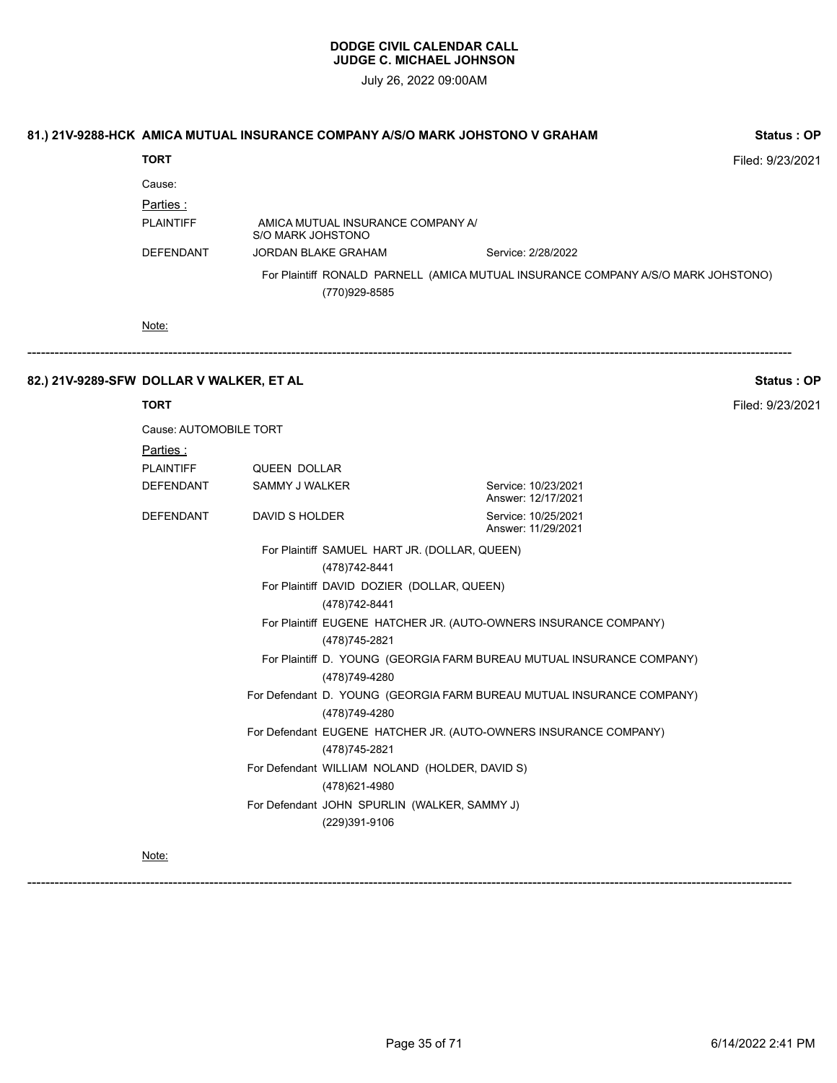July 26, 2022 09:00AM

|                                          | 81.) 21V-9288-HCK AMICA MUTUAL INSURANCE COMPANY A/S/O MARK JOHSTONO V GRAHAM |                                       |                                                                  |                                                                                   | <b>Status: OP</b> |
|------------------------------------------|-------------------------------------------------------------------------------|---------------------------------------|------------------------------------------------------------------|-----------------------------------------------------------------------------------|-------------------|
|                                          | <b>TORT</b>                                                                   |                                       |                                                                  |                                                                                   | Filed: 9/23/2021  |
|                                          | Cause:<br>Parties:<br><b>PLAINTIFF</b>                                        | S/O MARK JOHSTONO                     | AMICA MUTUAL INSURANCE COMPANY A/                                |                                                                                   |                   |
|                                          | DEFENDANT                                                                     |                                       | JORDAN BLAKE GRAHAM                                              | Service: 2/28/2022                                                                |                   |
|                                          |                                                                               |                                       | (770)929-8585                                                    | For Plaintiff RONALD PARNELL (AMICA MUTUAL INSURANCE COMPANY A/S/O MARK JOHSTONO) |                   |
|                                          | Note:                                                                         |                                       |                                                                  |                                                                                   |                   |
| 82.) 21V-9289-SFW DOLLAR V WALKER, ET AL |                                                                               |                                       |                                                                  |                                                                                   | <b>Status: OP</b> |
|                                          | <b>TORT</b>                                                                   |                                       |                                                                  |                                                                                   | Filed: 9/23/2021  |
|                                          | Cause: AUTOMOBILE TORT                                                        |                                       |                                                                  |                                                                                   |                   |
|                                          | <u>Parties:</u><br><b>PLAINTIFF</b><br><b>DEFENDANT</b>                       | <b>QUEEN DOLLAR</b><br>SAMMY J WALKER |                                                                  | Service: 10/23/2021<br>Answer: 12/17/2021                                         |                   |
|                                          | DEFENDANT                                                                     | DAVID S HOLDER                        |                                                                  | Service: 10/25/2021<br>Answer: 11/29/2021                                         |                   |
|                                          |                                                                               |                                       | For Plaintiff SAMUEL HART JR. (DOLLAR, QUEEN)<br>(478) 742-8441  |                                                                                   |                   |
|                                          |                                                                               |                                       | For Plaintiff DAVID DOZIER (DOLLAR, QUEEN)<br>(478) 742-8441     |                                                                                   |                   |
|                                          |                                                                               |                                       | (478) 745-2821                                                   | For Plaintiff EUGENE HATCHER JR. (AUTO-OWNERS INSURANCE COMPANY)                  |                   |
|                                          |                                                                               |                                       | (478) 749-4280                                                   | For Plaintiff D. YOUNG (GEORGIA FARM BUREAU MUTUAL INSURANCE COMPANY)             |                   |
|                                          |                                                                               |                                       | (478) 749-4280                                                   | For Defendant D. YOUNG (GEORGIA FARM BUREAU MUTUAL INSURANCE COMPANY)             |                   |
|                                          |                                                                               |                                       | (478)745-2821                                                    | For Defendant EUGENE HATCHER JR. (AUTO-OWNERS INSURANCE COMPANY)                  |                   |
|                                          |                                                                               |                                       | For Defendant WILLIAM NOLAND (HOLDER, DAVID S)<br>(478) 621-4980 |                                                                                   |                   |
|                                          |                                                                               |                                       | For Defendant JOHN SPURLIN (WALKER, SAMMY J)<br>(229)391-9106    |                                                                                   |                   |
|                                          | Note:                                                                         |                                       |                                                                  |                                                                                   |                   |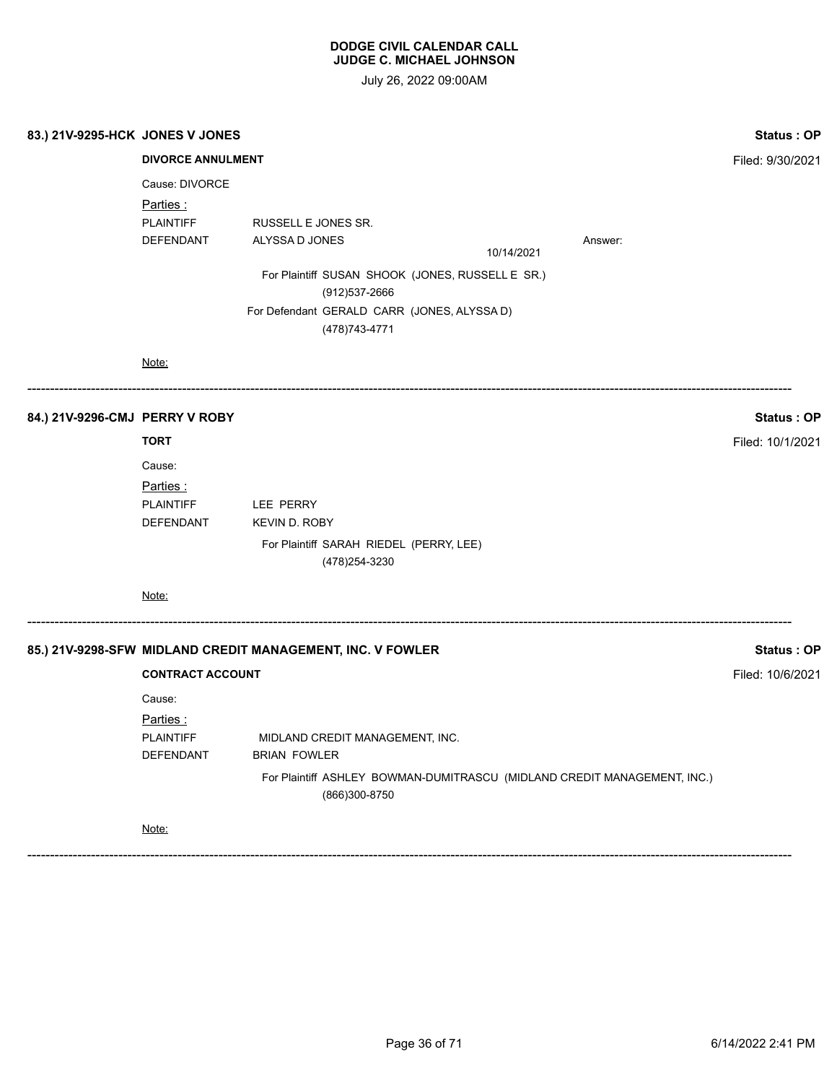July 26, 2022 09:00AM

| 83.) 21V-9295-HCK JONES V JONES |                                                              |                                                                                                                                                                              |  |            |                                                                          |                                       |
|---------------------------------|--------------------------------------------------------------|------------------------------------------------------------------------------------------------------------------------------------------------------------------------------|--|------------|--------------------------------------------------------------------------|---------------------------------------|
|                                 | <b>DIVORCE ANNULMENT</b>                                     |                                                                                                                                                                              |  |            |                                                                          | Filed: 9/30/2021                      |
|                                 | Cause: DIVORCE<br>Parties :<br><b>PLAINTIFF</b><br>DEFENDANT | RUSSELL E JONES SR.<br>ALYSSA D JONES<br>For Plaintiff SUSAN SHOOK (JONES, RUSSELL E SR.)<br>(912) 537-2666<br>For Defendant GERALD CARR (JONES, ALYSSA D)<br>(478) 743-4771 |  | 10/14/2021 | Answer:                                                                  |                                       |
|                                 | Note:                                                        |                                                                                                                                                                              |  |            |                                                                          |                                       |
| 84.) 21V-9296-CMJ PERRY V ROBY  |                                                              |                                                                                                                                                                              |  |            |                                                                          | <b>Status: OP</b>                     |
|                                 | <b>TORT</b>                                                  |                                                                                                                                                                              |  |            |                                                                          | Filed: 10/1/2021                      |
|                                 | Cause:                                                       |                                                                                                                                                                              |  |            |                                                                          |                                       |
|                                 | Parties:<br><b>PLAINTIFF</b><br>DEFENDANT                    | LEE PERRY<br><b>KEVIN D. ROBY</b><br>For Plaintiff SARAH RIEDEL (PERRY, LEE)                                                                                                 |  |            |                                                                          |                                       |
|                                 | Note:                                                        | (478) 254-3230                                                                                                                                                               |  |            |                                                                          |                                       |
|                                 | <b>CONTRACT ACCOUNT</b>                                      | 85.) 21V-9298-SFW MIDLAND CREDIT MANAGEMENT, INC. V FOWLER                                                                                                                   |  |            |                                                                          | <b>Status: OP</b><br>Filed: 10/6/2021 |
|                                 | Cause:                                                       |                                                                                                                                                                              |  |            |                                                                          |                                       |
|                                 | Parties :                                                    |                                                                                                                                                                              |  |            |                                                                          |                                       |
|                                 | <b>PLAINTIFF</b><br>DEFENDANT                                | MIDLAND CREDIT MANAGEMENT, INC.<br><b>BRIAN FOWLER</b>                                                                                                                       |  |            |                                                                          |                                       |
|                                 |                                                              | (866)300-8750                                                                                                                                                                |  |            | For Plaintiff ASHLEY BOWMAN-DUMITRASCU (MIDLAND CREDIT MANAGEMENT, INC.) |                                       |
|                                 | Note:                                                        |                                                                                                                                                                              |  |            |                                                                          |                                       |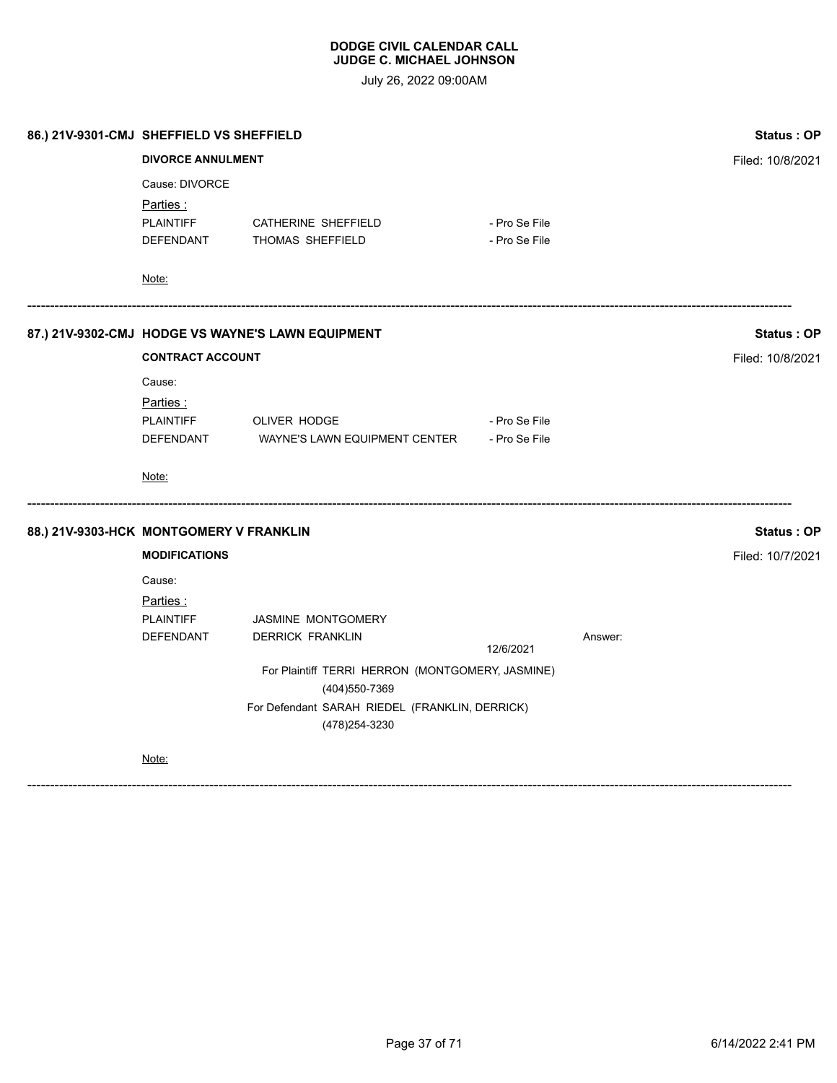July 26, 2022 09:00AM

| 86.) 21V-9301-CMJ SHEFFIELD VS SHEFFIELD |                          | <b>Status: OP</b>                                 |                  |         |                   |
|------------------------------------------|--------------------------|---------------------------------------------------|------------------|---------|-------------------|
|                                          | <b>DIVORCE ANNULMENT</b> |                                                   | Filed: 10/8/2021 |         |                   |
|                                          | Cause: DIVORCE           |                                                   |                  |         |                   |
|                                          | <u>Parties :</u>         |                                                   |                  |         |                   |
|                                          | <b>PLAINTIFF</b>         | CATHERINE SHEFFIELD                               | - Pro Se File    |         |                   |
|                                          | DEFENDANT                | THOMAS SHEFFIELD                                  | - Pro Se File    |         |                   |
|                                          | Note:                    |                                                   |                  |         |                   |
|                                          |                          | 87.) 21V-9302-CMJ HODGE VS WAYNE'S LAWN EQUIPMENT |                  |         | <b>Status: OP</b> |
|                                          | <b>CONTRACT ACCOUNT</b>  |                                                   | Filed: 10/8/2021 |         |                   |
|                                          | Cause:                   |                                                   |                  |         |                   |
|                                          | Parties:                 |                                                   |                  |         |                   |
|                                          |                          | PLAINTIFF OLIVER HODGE                            | - Pro Se File    |         |                   |
|                                          | DEFENDANT                | WAYNE'S LAWN EQUIPMENT CENTER - Pro Se File       |                  |         |                   |
|                                          | Note:                    |                                                   |                  |         |                   |
| 88.) 21V-9303-HCK MONTGOMERY V FRANKLIN  |                          |                                                   |                  |         | <b>Status: OP</b> |
|                                          | <b>MODIFICATIONS</b>     |                                                   |                  |         | Filed: 10/7/2021  |
|                                          | Cause:                   |                                                   |                  |         |                   |
|                                          | <u>Parties :</u>         |                                                   |                  |         |                   |
|                                          | <b>PLAINTIFF</b>         | <b>JASMINE MONTGOMERY</b>                         |                  |         |                   |
|                                          | DEFENDANT                | <b>DERRICK FRANKLIN</b>                           | 12/6/2021        | Answer: |                   |
|                                          |                          | For Plaintiff TERRI HERRON (MONTGOMERY, JASMINE)  |                  |         |                   |
|                                          |                          |                                                   |                  |         |                   |
|                                          |                          |                                                   |                  |         |                   |
|                                          | Note:                    |                                                   |                  |         |                   |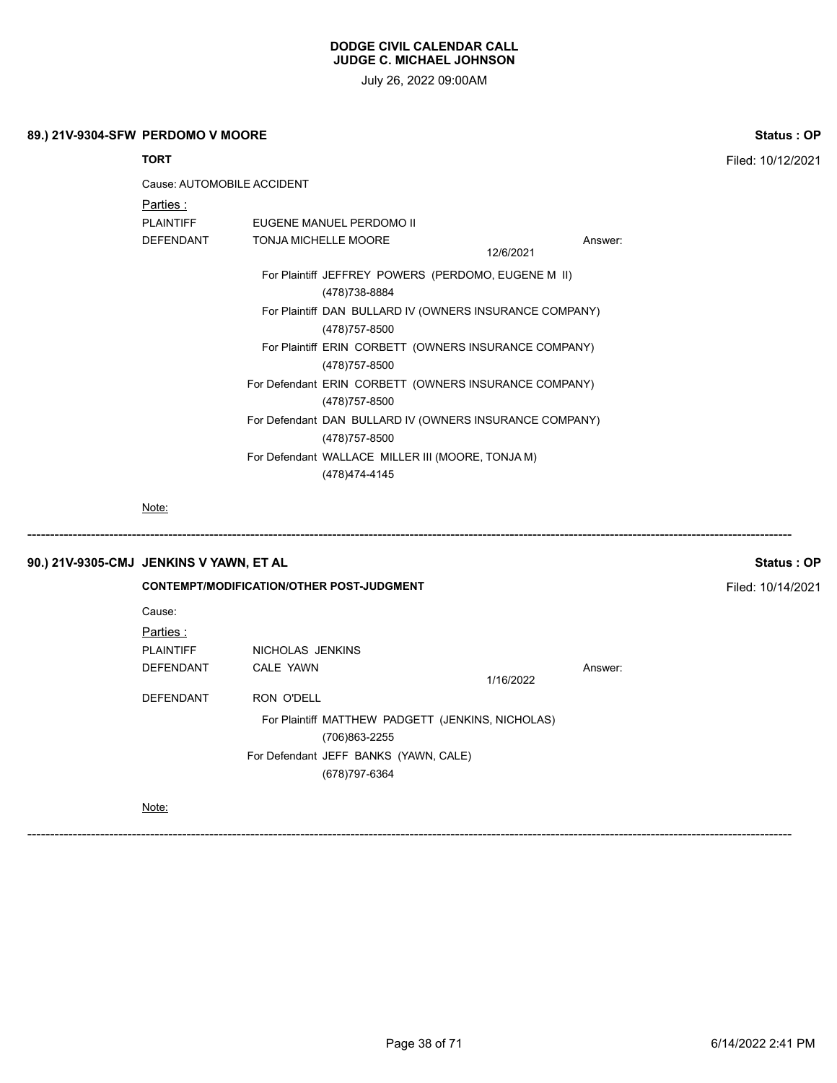July 26, 2022 09:00AM

| 89.) 21V-9304-SFW PERDOMO V MOORE | <b>Status: OP</b> |
|-----------------------------------|-------------------|
|                                   |                   |

| <b>TORT</b>                |                                                                           |                      | Filed: 10/12/2021 |
|----------------------------|---------------------------------------------------------------------------|----------------------|-------------------|
| Cause: AUTOMOBILE ACCIDENT |                                                                           |                      |                   |
| Parties :                  |                                                                           |                      |                   |
| <b>PLAINTIFF</b>           | EUGENE MANUEL PERDOMO II                                                  |                      |                   |
| <b>DEFENDANT</b>           | <b>TONJA MICHELLE MOORE</b>                                               | Answer:<br>12/6/2021 |                   |
|                            | For Plaintiff JEFFREY POWERS (PERDOMO, EUGENE M II)<br>(478) 738-8884     |                      |                   |
|                            | For Plaintiff DAN BULLARD IV (OWNERS INSURANCE COMPANY)<br>(478) 757-8500 |                      |                   |
|                            | For Plaintiff ERIN CORBETT (OWNERS INSURANCE COMPANY)<br>(478) 757-8500   |                      |                   |
|                            | For Defendant ERIN CORBETT (OWNERS INSURANCE COMPANY)<br>(478) 757-8500   |                      |                   |
|                            | For Defendant DAN BULLARD IV (OWNERS INSURANCE COMPANY)<br>(478) 757-8500 |                      |                   |
|                            | For Defendant WALLACE MILLER III (MOORE, TONJA M)                         |                      |                   |
|                            | (478) 474-4145                                                            |                      |                   |

Note:

# **90.) 21V-9305-CMJ JENKINS V YAWN, ET AL Status : OP**

**CONTEMPT/MODIFICATION/OTHER POST-JUDGMENT Filed: 10/14/2021** Cause: Parties : PLAINTIFF NICHOLAS JENKINS DEFENDANT CALE YAWN **Answer:** Answer: 1/16/2022 DEFENDANT RON O'DELL For Plaintiff MATTHEW PADGETT (JENKINS, NICHOLAS) (706)863-2255 For Defendant JEFF BANKS (YAWN, CALE) (678)797-6364

------------------------------------------------------------------------------------------------------------------------------------------------------------------------

------------------------------------------------------------------------------------------------------------------------------------------------------------------------

Note: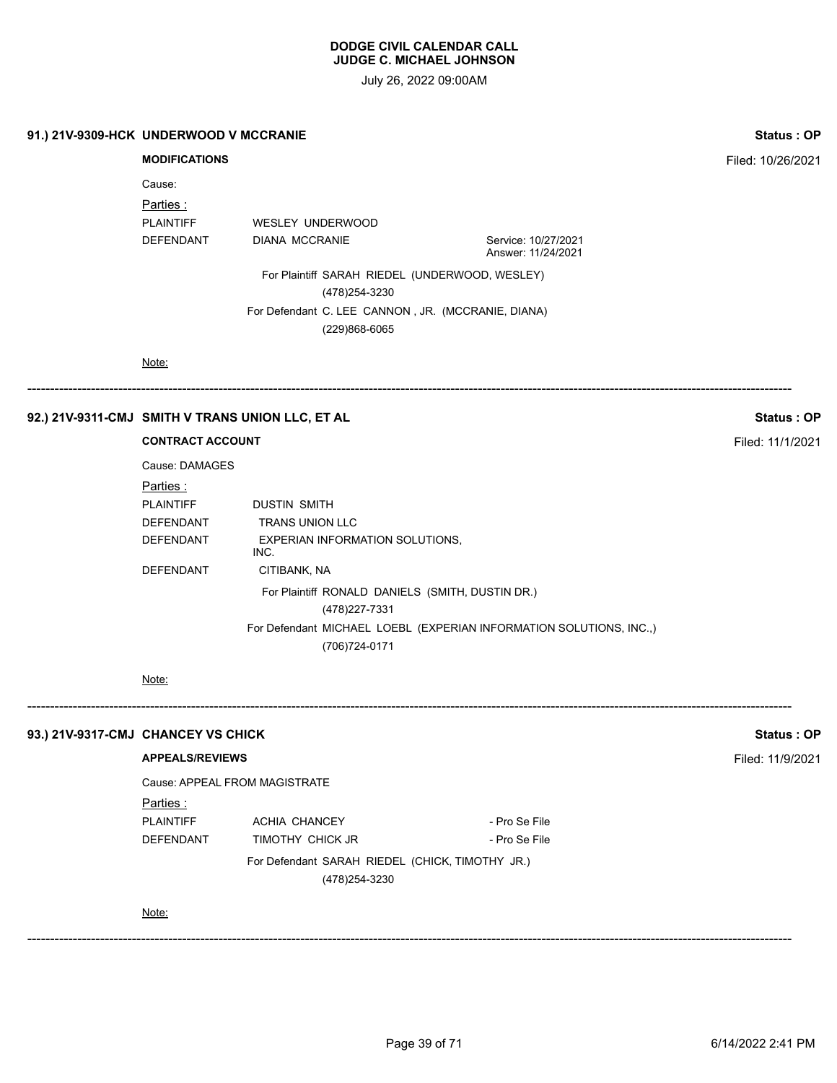| 91.) 21V-9309-HCK UNDERWOOD V MCCRANIE |                               |                                                                     |                                                                     | <b>Status: OP</b> |
|----------------------------------------|-------------------------------|---------------------------------------------------------------------|---------------------------------------------------------------------|-------------------|
|                                        | <b>MODIFICATIONS</b>          |                                                                     |                                                                     | Filed: 10/26/2021 |
|                                        | Cause:                        |                                                                     |                                                                     |                   |
|                                        | Parties:                      |                                                                     |                                                                     |                   |
|                                        | <b>PLAINTIFF</b>              | WESLEY UNDERWOOD                                                    |                                                                     |                   |
|                                        | DEFENDANT                     | <b>DIANA MCCRANIE</b>                                               | Service: 10/27/2021<br>Answer: 11/24/2021                           |                   |
|                                        |                               | For Plaintiff SARAH RIEDEL (UNDERWOOD, WESLEY)<br>(478) 254-3230    |                                                                     |                   |
|                                        |                               | For Defendant C. LEE CANNON, JR. (MCCRANIE, DIANA)<br>(229)868-6065 |                                                                     |                   |
|                                        | Note:                         |                                                                     |                                                                     |                   |
|                                        |                               | 92.) 21V-9311-CMJ SMITH V TRANS UNION LLC, ET AL                    |                                                                     | Status: OP        |
|                                        | <b>CONTRACT ACCOUNT</b>       | Filed: 11/1/2021                                                    |                                                                     |                   |
|                                        | Cause: DAMAGES                |                                                                     |                                                                     |                   |
|                                        | Parties:                      |                                                                     |                                                                     |                   |
|                                        | <b>PLAINTIFF</b>              | <b>DUSTIN SMITH</b>                                                 |                                                                     |                   |
|                                        | DEFENDANT                     | TRANS UNION LLC                                                     |                                                                     |                   |
|                                        | DEFENDANT                     | <b>EXPERIAN INFORMATION SOLUTIONS,</b><br>INC.                      |                                                                     |                   |
|                                        | DEFENDANT                     | CITIBANK, NA                                                        |                                                                     |                   |
|                                        |                               | For Plaintiff RONALD DANIELS (SMITH, DUSTIN DR.)                    |                                                                     |                   |
|                                        |                               | (478) 227-7331                                                      |                                                                     |                   |
|                                        |                               | (706) 724-0171                                                      | For Defendant MICHAEL LOEBL (EXPERIAN INFORMATION SOLUTIONS, INC.,) |                   |
|                                        | Note:                         |                                                                     |                                                                     |                   |
| 93.) 21V-9317-CMJ CHANCEY VS CHICK     |                               |                                                                     |                                                                     | <b>Status: OP</b> |
|                                        | <b>APPEALS/REVIEWS</b>        |                                                                     |                                                                     | Filed: 11/9/2021  |
|                                        | Cause: APPEAL FROM MAGISTRATE |                                                                     |                                                                     |                   |
|                                        | Parties:                      |                                                                     |                                                                     |                   |
|                                        | <b>PLAINTIFF</b>              | <b>ACHIA CHANCEY</b>                                                | - Pro Se File                                                       |                   |
|                                        | DEFENDANT                     | TIMOTHY CHICK JR                                                    | - Pro Se File                                                       |                   |
|                                        |                               | For Defendant SARAH RIEDEL (CHICK, TIMOTHY JR.)<br>(478) 254-3230   |                                                                     |                   |
|                                        | Note:                         |                                                                     |                                                                     |                   |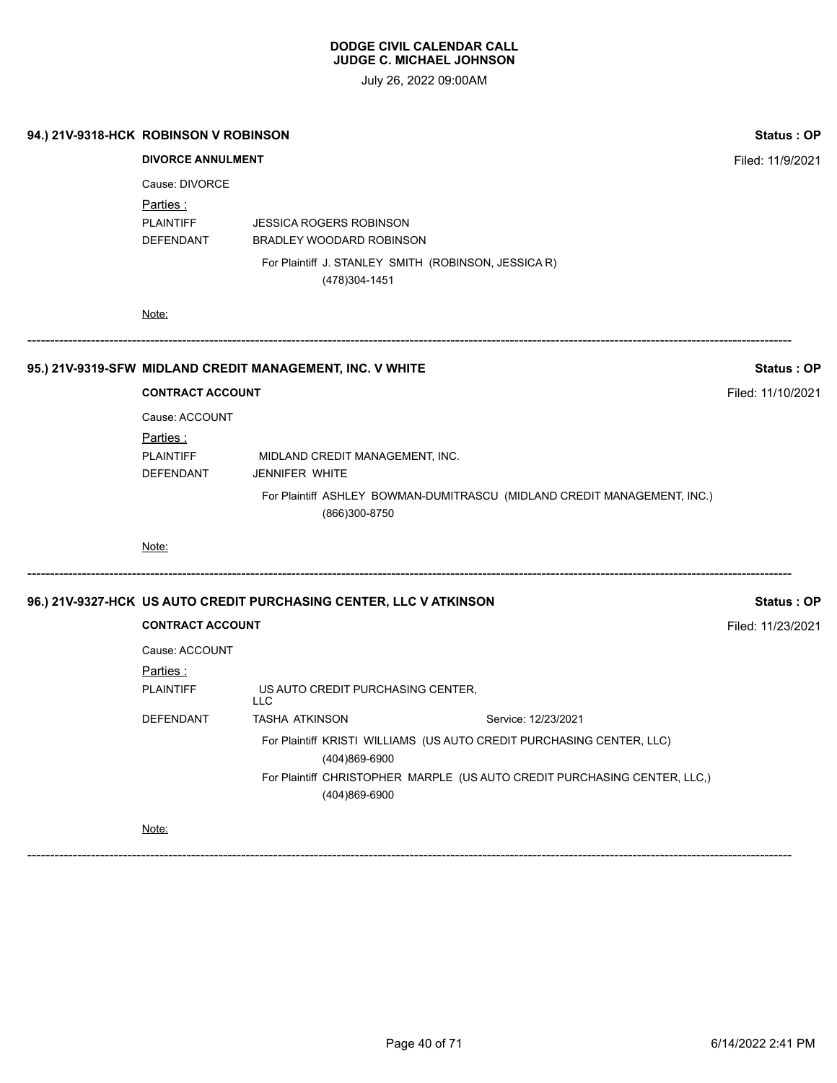July 26, 2022 09:00AM

| 94.) 21V-9318-HCK ROBINSON V ROBINSON |                                           |                                                                                            | <b>Status: OP</b> |  |  |  |
|---------------------------------------|-------------------------------------------|--------------------------------------------------------------------------------------------|-------------------|--|--|--|
|                                       | <b>DIVORCE ANNULMENT</b>                  |                                                                                            |                   |  |  |  |
|                                       | Cause: DIVORCE<br><u>Parties :</u>        |                                                                                            |                   |  |  |  |
|                                       | <b>PLAINTIFF</b><br>DEFENDANT             | <b>JESSICA ROGERS ROBINSON</b><br><b>BRADLEY WOODARD ROBINSON</b>                          |                   |  |  |  |
|                                       |                                           | For Plaintiff J. STANLEY SMITH (ROBINSON, JESSICA R)<br>(478) 304-1451                     |                   |  |  |  |
|                                       | Note:                                     |                                                                                            |                   |  |  |  |
|                                       |                                           | 95.) 21V-9319-SFW MIDLAND CREDIT MANAGEMENT, INC. V WHITE                                  | Status: OP        |  |  |  |
|                                       | <b>CONTRACT ACCOUNT</b>                   |                                                                                            | Filed: 11/10/2021 |  |  |  |
|                                       | Cause: ACCOUNT                            |                                                                                            |                   |  |  |  |
|                                       | Parties:<br><b>PLAINTIFF</b><br>DEFENDANT | MIDLAND CREDIT MANAGEMENT, INC.<br>JENNIFER WHITE                                          |                   |  |  |  |
|                                       |                                           | For Plaintiff ASHLEY BOWMAN-DUMITRASCU (MIDLAND CREDIT MANAGEMENT, INC.)<br>(866)300-8750  |                   |  |  |  |
|                                       | Note:                                     |                                                                                            |                   |  |  |  |
|                                       |                                           | 96.) 21V-9327-HCK US AUTO CREDIT PURCHASING CENTER, LLC V ATKINSON                         | Status: OP        |  |  |  |
|                                       | <b>CONTRACT ACCOUNT</b>                   |                                                                                            | Filed: 11/23/2021 |  |  |  |
|                                       | Cause: ACCOUNT                            |                                                                                            |                   |  |  |  |
|                                       | Parties:<br><b>PLAINTIFF</b>              | US AUTO CREDIT PURCHASING CENTER,<br><b>LLC</b>                                            |                   |  |  |  |
|                                       | DEFENDANT                                 | <b>TASHA ATKINSON</b><br>Service: 12/23/2021                                               |                   |  |  |  |
|                                       |                                           | For Plaintiff KRISTI WILLIAMS (US AUTO CREDIT PURCHASING CENTER, LLC)                      |                   |  |  |  |
|                                       |                                           | For Plaintiff CHRISTOPHER MARPLE (US AUTO CREDIT PURCHASING CENTER, LLC,)<br>(404)869-6900 |                   |  |  |  |
|                                       | Note:                                     |                                                                                            |                   |  |  |  |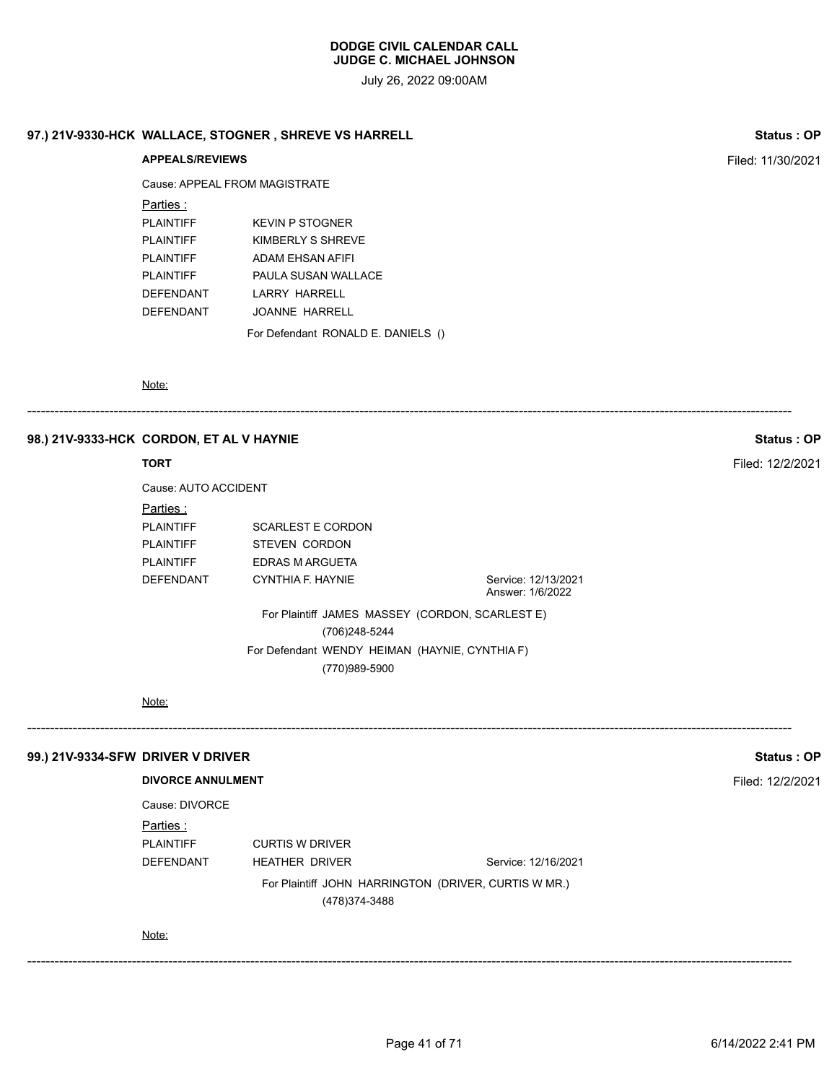July 26, 2022 09:00AM

# **97.) 21V-9330-HCK WALLACE, STOGNER , SHREVE VS HARRELL Status : OP**

# **APPEALS/REVIEWS** Filed: 11/30/2021 Cause: APPEAL FROM MAGISTRATE Parties : PLAINTIFF KEVIN P STOGNER PLAINTIFF KIMBERLY S SHREVE PLAINTIFF ADAM EHSAN AFIFI PLAINTIFF PAULA SUSAN WALLACE DEFENDANT LARRY HARRELL DEFENDANT JOANNE HARRELL For Defendant RONALD E. DANIELS ()

Note:

#### ------------------------------------------------------------------------------------------------------------------------------------------------------------------------

#### **98.) 21V-9333-HCK CORDON, ET AL V HAYNIE Status : OP**

#### **TORT** Filed: 12/2/2021

| Cause: AUTO ACCIDENT                                            |                                         |
|-----------------------------------------------------------------|-----------------------------------------|
|                                                                 |                                         |
| <b>SCARLEST E CORDON</b>                                        |                                         |
| <b>STEVEN CORDON</b>                                            |                                         |
| EDRAS M ARGUETA                                                 |                                         |
| CYNTHIA F. HAYNIE                                               | Service: 12/13/2021<br>Answer: 1/6/2022 |
| For Plaintiff JAMES MASSEY (CORDON, SCARLEST E)                 |                                         |
| (706)248-5244                                                   |                                         |
| For Defendant WENDY HEIMAN (HAYNIE, CYNTHIA F)<br>(770)989-5900 |                                         |
|                                                                 |                                         |

------------------------------------------------------------------------------------------------------------------------------------------------------------------------

------------------------------------------------------------------------------------------------------------------------------------------------------------------------

#### Note:

#### **99.) 21V-9334-SFW DRIVER V DRIVER Status : OP**

#### **DIVORCE ANNULMENT** Filed: 12/2/2021

Cause: DIVORCE

#### Parties :

PLAINTIFF CURTIS W DRIVER

DEFENDANT HEATHER DRIVER Service: 12/16/2021

For Plaintiff JOHN HARRINGTON (DRIVER, CURTIS W MR.)

(478)374-3488

#### Note: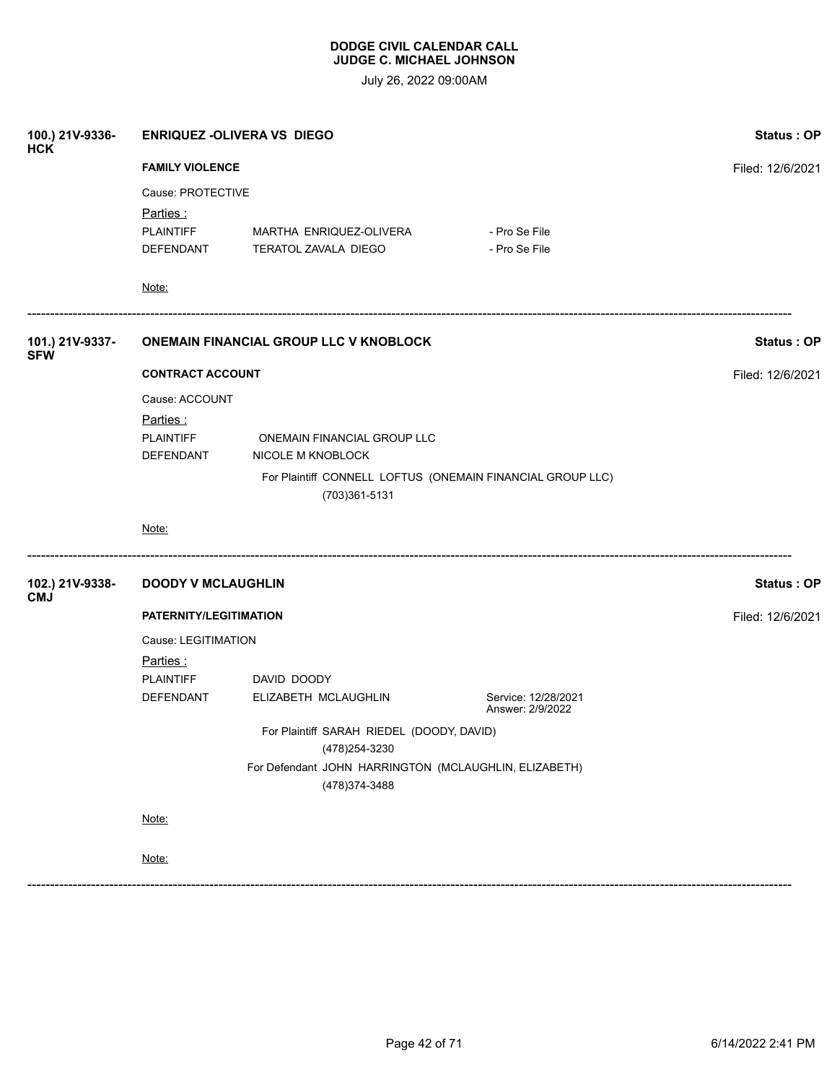|                                                                             | <b>Status: OP</b>            |                                                                                                                                                                                                                                                                      |                                           |  |  |
|-----------------------------------------------------------------------------|------------------------------|----------------------------------------------------------------------------------------------------------------------------------------------------------------------------------------------------------------------------------------------------------------------|-------------------------------------------|--|--|
|                                                                             |                              |                                                                                                                                                                                                                                                                      | Filed: 12/6/2021                          |  |  |
|                                                                             |                              |                                                                                                                                                                                                                                                                      |                                           |  |  |
| Parties:                                                                    |                              |                                                                                                                                                                                                                                                                      |                                           |  |  |
| <b>PLAINTIFF</b>                                                            | MARTHA ENRIQUEZ-OLIVERA      | - Pro Se File                                                                                                                                                                                                                                                        |                                           |  |  |
|                                                                             | TERATOL ZAVALA DIEGO         | - Pro Se File                                                                                                                                                                                                                                                        |                                           |  |  |
| Note:                                                                       |                              |                                                                                                                                                                                                                                                                      |                                           |  |  |
|                                                                             |                              |                                                                                                                                                                                                                                                                      | <b>Status: OP</b>                         |  |  |
|                                                                             |                              |                                                                                                                                                                                                                                                                      | Filed: 12/6/2021                          |  |  |
|                                                                             |                              |                                                                                                                                                                                                                                                                      |                                           |  |  |
|                                                                             |                              |                                                                                                                                                                                                                                                                      |                                           |  |  |
| <b>PLAINTIFF</b>                                                            | ONEMAIN FINANCIAL GROUP LLC  |                                                                                                                                                                                                                                                                      |                                           |  |  |
| DEFENDANT                                                                   | NICOLE M KNOBLOCK            |                                                                                                                                                                                                                                                                      |                                           |  |  |
| For Plaintiff CONNELL LOFTUS (ONEMAIN FINANCIAL GROUP LLC)<br>(703)361-5131 |                              |                                                                                                                                                                                                                                                                      |                                           |  |  |
| Note:                                                                       |                              |                                                                                                                                                                                                                                                                      |                                           |  |  |
|                                                                             |                              |                                                                                                                                                                                                                                                                      | <b>Status: OP</b>                         |  |  |
|                                                                             | Filed: 12/6/2021             |                                                                                                                                                                                                                                                                      |                                           |  |  |
| Cause: LEGITIMATION                                                         |                              |                                                                                                                                                                                                                                                                      |                                           |  |  |
|                                                                             |                              |                                                                                                                                                                                                                                                                      |                                           |  |  |
| <b>PLAINTIFF</b>                                                            | DAVID DOODY                  |                                                                                                                                                                                                                                                                      |                                           |  |  |
| DEFENDANT                                                                   | ELIZABETH MCLAUGHLIN         | Service: 12/28/2021<br>Answer: 2/9/2022                                                                                                                                                                                                                              |                                           |  |  |
|                                                                             |                              |                                                                                                                                                                                                                                                                      |                                           |  |  |
| For Defendant JOHN HARRINGTON (MCLAUGHLIN, ELIZABETH)<br>(478) 374-3488     |                              |                                                                                                                                                                                                                                                                      |                                           |  |  |
| Note:                                                                       |                              |                                                                                                                                                                                                                                                                      |                                           |  |  |
| Note:                                                                       |                              |                                                                                                                                                                                                                                                                      |                                           |  |  |
|                                                                             | <u>Parties :</u><br>Parties: | <b>ENRIQUEZ -OLIVERA VS DIEGO</b><br><b>FAMILY VIOLENCE</b><br>Cause: PROTECTIVE<br>DEFENDANT<br><b>ONEMAIN FINANCIAL GROUP LLC V KNOBLOCK</b><br><b>CONTRACT ACCOUNT</b><br>Cause: ACCOUNT<br><b>DOODY V MCLAUGHLIN</b><br>PATERNITY/LEGITIMATION<br>(478) 254-3230 | For Plaintiff SARAH RIEDEL (DOODY, DAVID) |  |  |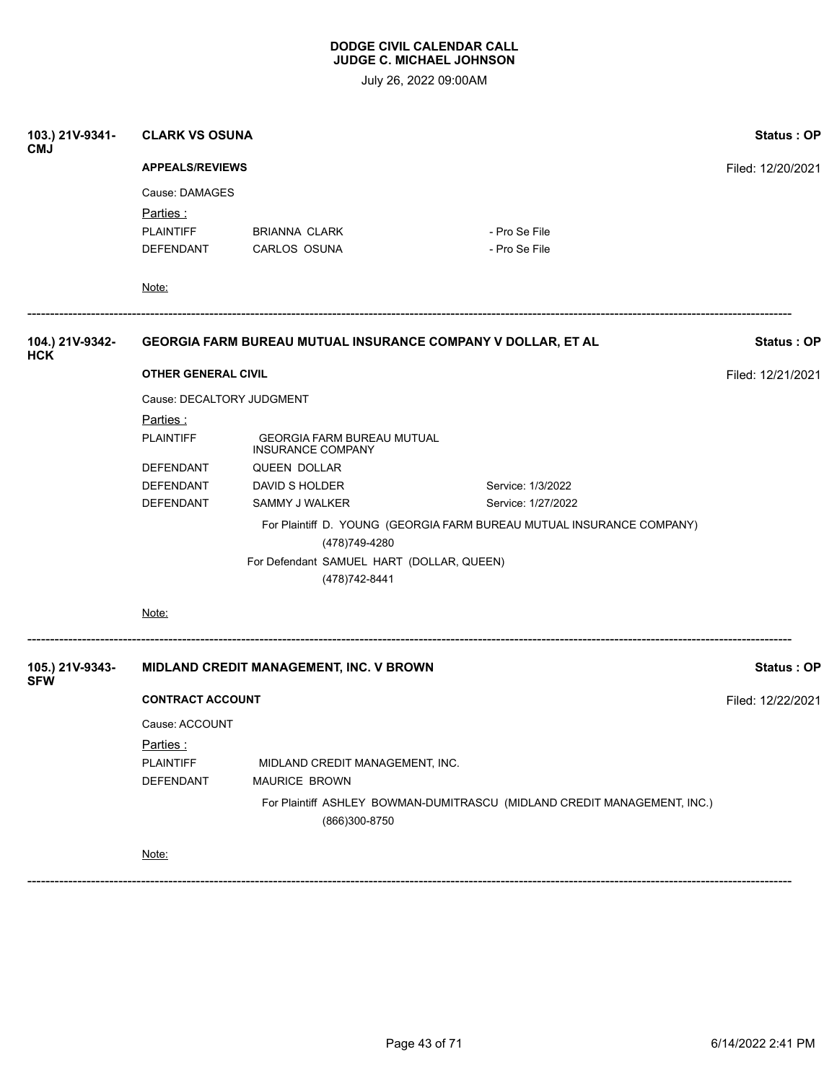July 26, 2022 09:00AM

| 103.) 21V-9341-<br><b>CMJ</b> | <b>CLARK VS OSUNA</b>         | Status: OP                                                    |                                                                          |                   |  |  |
|-------------------------------|-------------------------------|---------------------------------------------------------------|--------------------------------------------------------------------------|-------------------|--|--|
|                               |                               | <b>APPEALS/REVIEWS</b>                                        |                                                                          |                   |  |  |
|                               | Cause: DAMAGES                |                                                               |                                                                          |                   |  |  |
|                               | <u>Parties :</u>              |                                                               |                                                                          |                   |  |  |
|                               | <b>PLAINTIFF</b><br>DEFENDANT | <b>BRIANNA CLARK</b><br>CARLOS OSUNA                          | - Pro Se File<br>- Pro Se File                                           |                   |  |  |
|                               |                               |                                                               |                                                                          |                   |  |  |
|                               | Note:                         |                                                               |                                                                          |                   |  |  |
| 104.) 21V-9342-<br><b>HCK</b> |                               | GEORGIA FARM BUREAU MUTUAL INSURANCE COMPANY V DOLLAR, ET AL  |                                                                          | <b>Status: OP</b> |  |  |
|                               | <b>OTHER GENERAL CIVIL</b>    |                                                               |                                                                          | Filed: 12/21/2021 |  |  |
|                               | Cause: DECALTORY JUDGMENT     |                                                               |                                                                          |                   |  |  |
|                               | <u>Parties :</u>              |                                                               |                                                                          |                   |  |  |
|                               | <b>PLAINTIFF</b>              | <b>GEORGIA FARM BUREAU MUTUAL</b><br><b>INSURANCE COMPANY</b> |                                                                          |                   |  |  |
|                               | DEFENDANT                     | <b>QUEEN DOLLAR</b>                                           |                                                                          |                   |  |  |
|                               | DEFENDANT                     | DAVID S HOLDER                                                | Service: 1/3/2022                                                        |                   |  |  |
|                               | DEFENDANT                     | SAMMY J WALKER                                                | Service: 1/27/2022                                                       |                   |  |  |
|                               |                               | (478) 749-4280                                                | For Plaintiff D. YOUNG (GEORGIA FARM BUREAU MUTUAL INSURANCE COMPANY)    |                   |  |  |
|                               |                               | For Defendant SAMUEL HART (DOLLAR, QUEEN)<br>(478) 742-8441   |                                                                          |                   |  |  |
|                               | Note:                         |                                                               |                                                                          |                   |  |  |
| 105.) 21V-9343-<br><b>SFW</b> |                               | MIDLAND CREDIT MANAGEMENT, INC. V BROWN                       |                                                                          | <b>Status: OP</b> |  |  |
|                               |                               | <b>CONTRACT ACCOUNT</b>                                       |                                                                          |                   |  |  |
|                               | Cause: ACCOUNT                |                                                               |                                                                          |                   |  |  |
|                               | Parties:                      |                                                               |                                                                          |                   |  |  |
|                               | <b>PLAINTIFF</b>              | MIDLAND CREDIT MANAGEMENT, INC.                               |                                                                          |                   |  |  |
|                               | DEFENDANT                     | MAURICE BROWN                                                 |                                                                          |                   |  |  |
|                               |                               | (866)300-8750                                                 | For Plaintiff ASHLEY BOWMAN-DUMITRASCU (MIDLAND CREDIT MANAGEMENT, INC.) |                   |  |  |
|                               | Note:                         |                                                               |                                                                          |                   |  |  |
|                               |                               |                                                               |                                                                          |                   |  |  |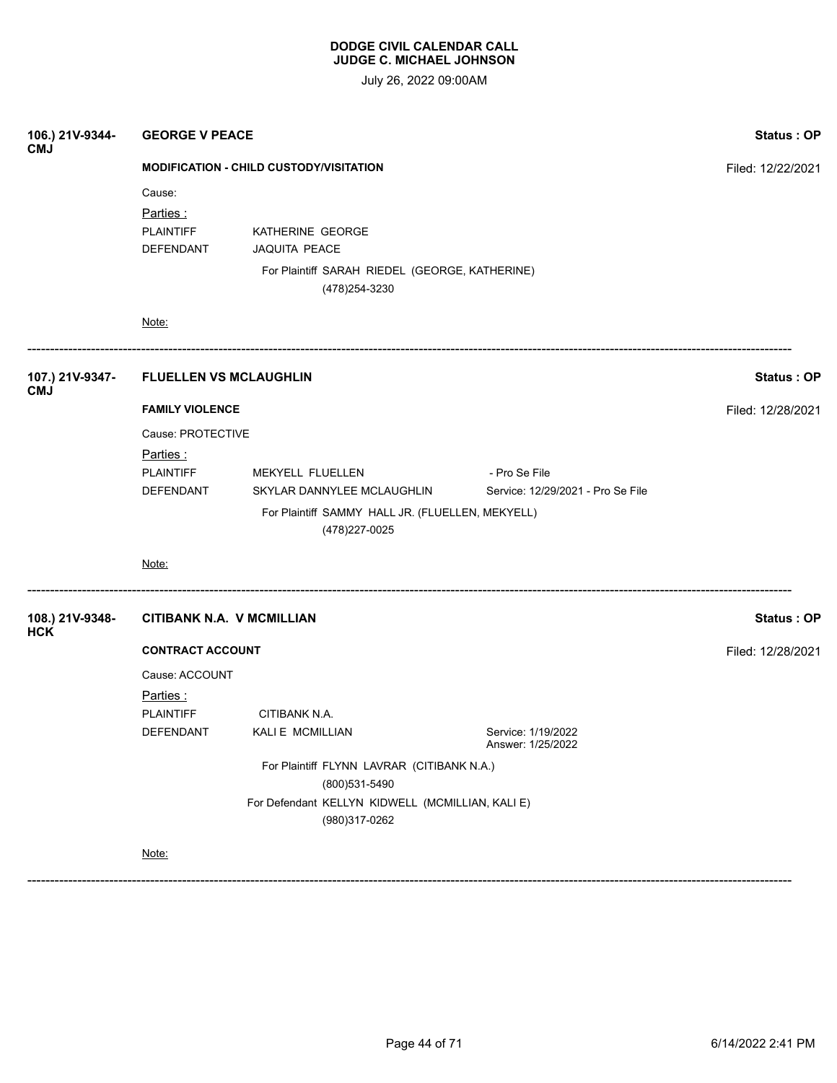July 26, 2022 09:00AM

| 106.) 21V-9344-<br><b>CMJ</b> | <b>GEORGE V PEACE</b>                          | <b>Status: OP</b>                                                  |                                         |                   |  |  |
|-------------------------------|------------------------------------------------|--------------------------------------------------------------------|-----------------------------------------|-------------------|--|--|
|                               | <b>MODIFICATION - CHILD CUSTODY/VISITATION</b> | Filed: 12/22/2021                                                  |                                         |                   |  |  |
|                               | Cause:                                         |                                                                    |                                         |                   |  |  |
|                               | Parties:                                       |                                                                    |                                         |                   |  |  |
|                               | <b>PLAINTIFF</b>                               | KATHERINE GEORGE                                                   |                                         |                   |  |  |
|                               | DEFENDANT                                      | <b>JAQUITA PEACE</b>                                               |                                         |                   |  |  |
|                               |                                                | For Plaintiff SARAH RIEDEL (GEORGE, KATHERINE)<br>(478) 254-3230   |                                         |                   |  |  |
|                               | Note:                                          |                                                                    |                                         |                   |  |  |
| 107.) 21V-9347-<br><b>CMJ</b> | <b>FLUELLEN VS MCLAUGHLIN</b>                  |                                                                    |                                         | <b>Status: OP</b> |  |  |
|                               | <b>FAMILY VIOLENCE</b>                         | Filed: 12/28/2021                                                  |                                         |                   |  |  |
|                               | Cause: PROTECTIVE                              |                                                                    |                                         |                   |  |  |
|                               | Parties:                                       |                                                                    |                                         |                   |  |  |
|                               | <b>PLAINTIFF</b>                               | MEKYELL FLUELLEN                                                   | - Pro Se File                           |                   |  |  |
|                               | DEFENDANT                                      | SKYLAR DANNYLEE MCLAUGHLIN                                         | Service: 12/29/2021 - Pro Se File       |                   |  |  |
|                               |                                                | For Plaintiff SAMMY HALL JR. (FLUELLEN, MEKYELL)<br>(478) 227-0025 |                                         |                   |  |  |
|                               | Note:                                          |                                                                    |                                         |                   |  |  |
| 108.) 21V-9348-<br><b>HCK</b> | <b>CITIBANK N.A. V MCMILLIAN</b>               |                                                                    |                                         | <b>Status: OP</b> |  |  |
|                               | <b>CONTRACT ACCOUNT</b>                        |                                                                    |                                         | Filed: 12/28/2021 |  |  |
|                               | Cause: ACCOUNT                                 |                                                                    |                                         |                   |  |  |
|                               | <u>Parties :</u>                               |                                                                    |                                         |                   |  |  |
|                               | <b>PLAINTIFF</b>                               | CITIBANK N.A.                                                      |                                         |                   |  |  |
|                               | DEFENDANT                                      | KALI E MCMILLIAN                                                   | Service: 1/19/2022<br>Answer: 1/25/2022 |                   |  |  |
|                               | For Plaintiff FLYNN LAVRAR (CITIBANK N.A.)     |                                                                    |                                         |                   |  |  |
|                               | (800)531-5490                                  |                                                                    |                                         |                   |  |  |
|                               |                                                | For Defendant KELLYN KIDWELL (MCMILLIAN, KALI E)<br>(980)317-0262  |                                         |                   |  |  |
|                               | Note:                                          |                                                                    |                                         |                   |  |  |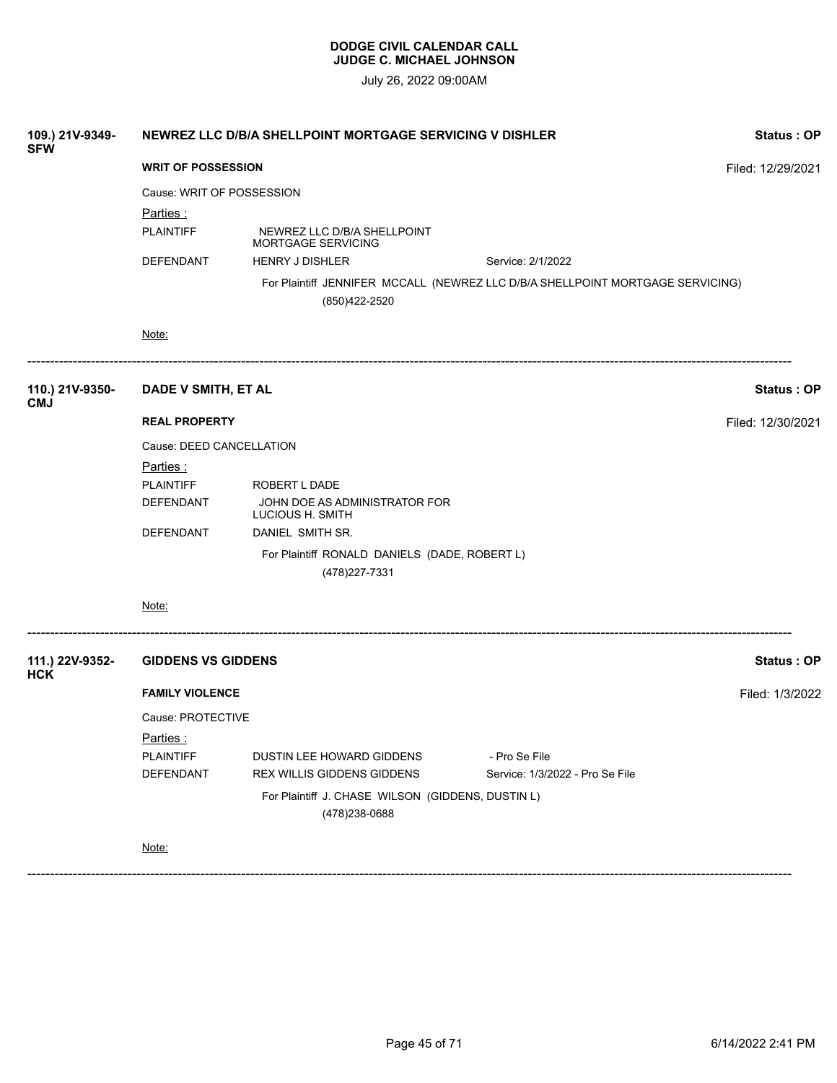July 26, 2022 09:00AM

| 109.) 21V-9349-<br><b>SFW</b> | NEWREZ LLC D/B/A SHELLPOINT MORTGAGE SERVICING V DISHLER | Status: OP                                                          |                                                                                |                   |
|-------------------------------|----------------------------------------------------------|---------------------------------------------------------------------|--------------------------------------------------------------------------------|-------------------|
|                               | <b>WRIT OF POSSESSION</b>                                |                                                                     |                                                                                | Filed: 12/29/2021 |
|                               | Cause: WRIT OF POSSESSION                                |                                                                     |                                                                                |                   |
|                               | <u>Parties:</u>                                          |                                                                     |                                                                                |                   |
|                               | <b>PLAINTIFF</b>                                         | NEWREZ LLC D/B/A SHELLPOINT<br>MORTGAGE SERVICING                   |                                                                                |                   |
|                               | DEFENDANT                                                | <b>HENRY J DISHLER</b>                                              | Service: 2/1/2022                                                              |                   |
|                               |                                                          | (850) 422-2520                                                      | For Plaintiff JENNIFER MCCALL (NEWREZ LLC D/B/A SHELLPOINT MORTGAGE SERVICING) |                   |
|                               | Note:                                                    |                                                                     |                                                                                |                   |
| 110.) 21V-9350-<br><b>CMJ</b> | DADE V SMITH, ET AL                                      |                                                                     |                                                                                | <b>Status: OP</b> |
|                               | <b>REAL PROPERTY</b>                                     |                                                                     |                                                                                | Filed: 12/30/2021 |
|                               | Cause: DEED CANCELLATION                                 |                                                                     |                                                                                |                   |
|                               | <u>Parties :</u>                                         |                                                                     |                                                                                |                   |
|                               | <b>PLAINTIFF</b>                                         | ROBERT L DADE                                                       |                                                                                |                   |
|                               | DEFENDANT                                                | JOHN DOE AS ADMINISTRATOR FOR<br>LUCIOUS H. SMITH                   |                                                                                |                   |
|                               | DEFENDANT                                                | DANIEL SMITH SR.                                                    |                                                                                |                   |
|                               |                                                          | For Plaintiff RONALD DANIELS (DADE, ROBERT L)<br>(478) 227-7331     |                                                                                |                   |
|                               | Note:                                                    |                                                                     |                                                                                |                   |
| 111.) 22V-9352-<br><b>HCK</b> | <b>GIDDENS VS GIDDENS</b>                                |                                                                     |                                                                                | Status: OP        |
|                               | <b>FAMILY VIOLENCE</b>                                   |                                                                     |                                                                                | Filed: 1/3/2022   |
|                               | Cause: PROTECTIVE                                        |                                                                     |                                                                                |                   |
|                               | <u>Parties :</u>                                         |                                                                     |                                                                                |                   |
|                               | <b>PLAINTIFF</b>                                         | DUSTIN LEE HOWARD GIDDENS                                           | - Pro Se File                                                                  |                   |
|                               | DEFENDANT                                                | REX WILLIS GIDDENS GIDDENS                                          | Service: 1/3/2022 - Pro Se File                                                |                   |
|                               |                                                          | For Plaintiff J. CHASE WILSON (GIDDENS, DUSTIN L)<br>(478) 238-0688 |                                                                                |                   |
|                               | Note:                                                    |                                                                     |                                                                                |                   |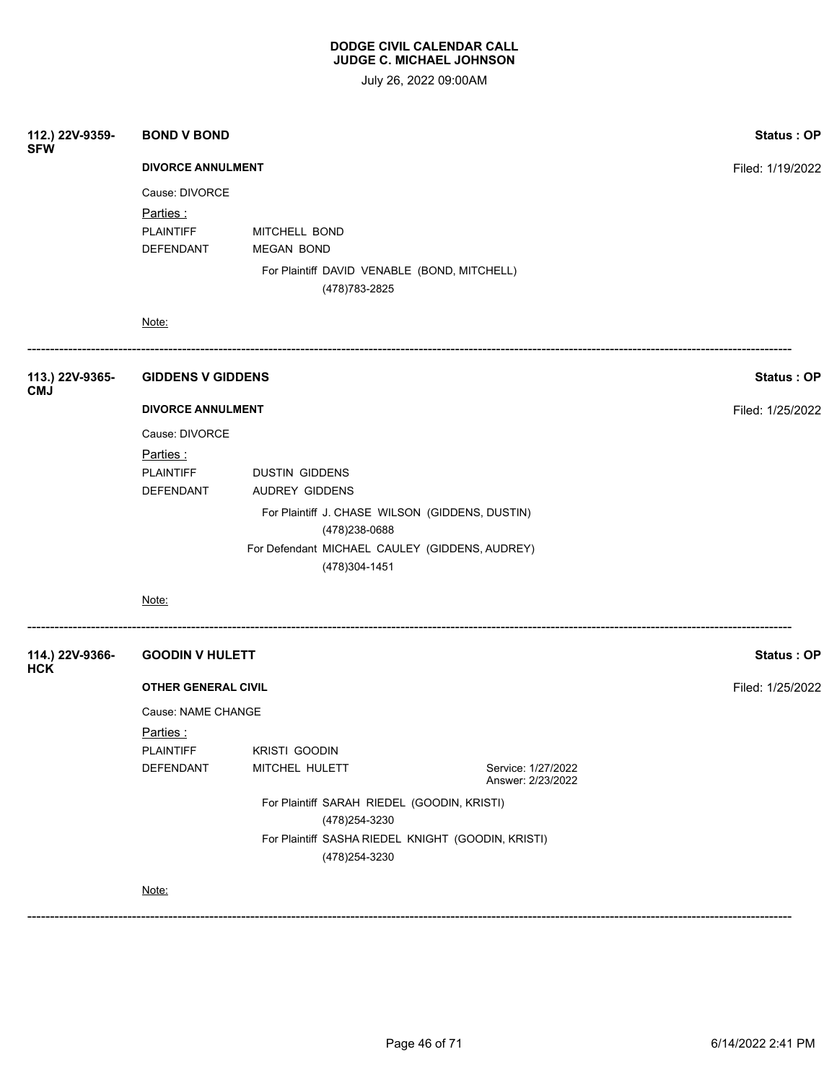| 112.) 22V-9359-<br><b>SFW</b> | <b>BOND V BOND</b>         | Status: OP                                                           |                                         |                   |
|-------------------------------|----------------------------|----------------------------------------------------------------------|-----------------------------------------|-------------------|
|                               | <b>DIVORCE ANNULMENT</b>   |                                                                      |                                         | Filed: 1/19/2022  |
|                               | Cause: DIVORCE             |                                                                      |                                         |                   |
|                               | Parties:                   |                                                                      |                                         |                   |
|                               | PLAINTIFF                  | MITCHELL BOND                                                        |                                         |                   |
|                               | DEFENDANT                  | <b>MEGAN BOND</b>                                                    |                                         |                   |
|                               |                            | For Plaintiff DAVID VENABLE (BOND, MITCHELL)<br>(478) 783-2825       |                                         |                   |
|                               | Note:                      |                                                                      |                                         |                   |
| 113.) 22V-9365-<br><b>CMJ</b> | <b>GIDDENS V GIDDENS</b>   |                                                                      |                                         | Status: OP        |
|                               | <b>DIVORCE ANNULMENT</b>   | Filed: 1/25/2022                                                     |                                         |                   |
|                               | Cause: DIVORCE             |                                                                      |                                         |                   |
|                               | Parties:                   |                                                                      |                                         |                   |
|                               | <b>PLAINTIFF</b>           |                                                                      |                                         |                   |
|                               | DEFENDANT                  | <b>AUDREY GIDDENS</b>                                                |                                         |                   |
|                               |                            | For Plaintiff J. CHASE WILSON (GIDDENS, DUSTIN)                      |                                         |                   |
|                               |                            | (478) 238-0688                                                       |                                         |                   |
|                               |                            | For Defendant MICHAEL CAULEY (GIDDENS, AUDREY)                       |                                         |                   |
|                               |                            | (478) 304-1451                                                       |                                         |                   |
|                               | Note:                      |                                                                      |                                         |                   |
| 114.) 22V-9366-<br><b>HCK</b> | <b>GOODIN V HULETT</b>     |                                                                      |                                         | <b>Status: OP</b> |
|                               | <b>OTHER GENERAL CIVIL</b> |                                                                      |                                         | Filed: 1/25/2022  |
|                               | Cause: NAME CHANGE         |                                                                      |                                         |                   |
|                               | Parties :                  |                                                                      |                                         |                   |
|                               | <b>PLAINTIFF</b>           | <b>KRISTI GOODIN</b>                                                 |                                         |                   |
|                               | DEFENDANT                  | MITCHEL HULETT                                                       | Service: 1/27/2022<br>Answer: 2/23/2022 |                   |
|                               |                            | For Plaintiff SARAH RIEDEL (GOODIN, KRISTI)                          |                                         |                   |
|                               |                            | For Plaintiff SASHA RIEDEL KNIGHT (GOODIN, KRISTI)<br>(478) 254-3230 |                                         |                   |
|                               | Note:                      |                                                                      |                                         |                   |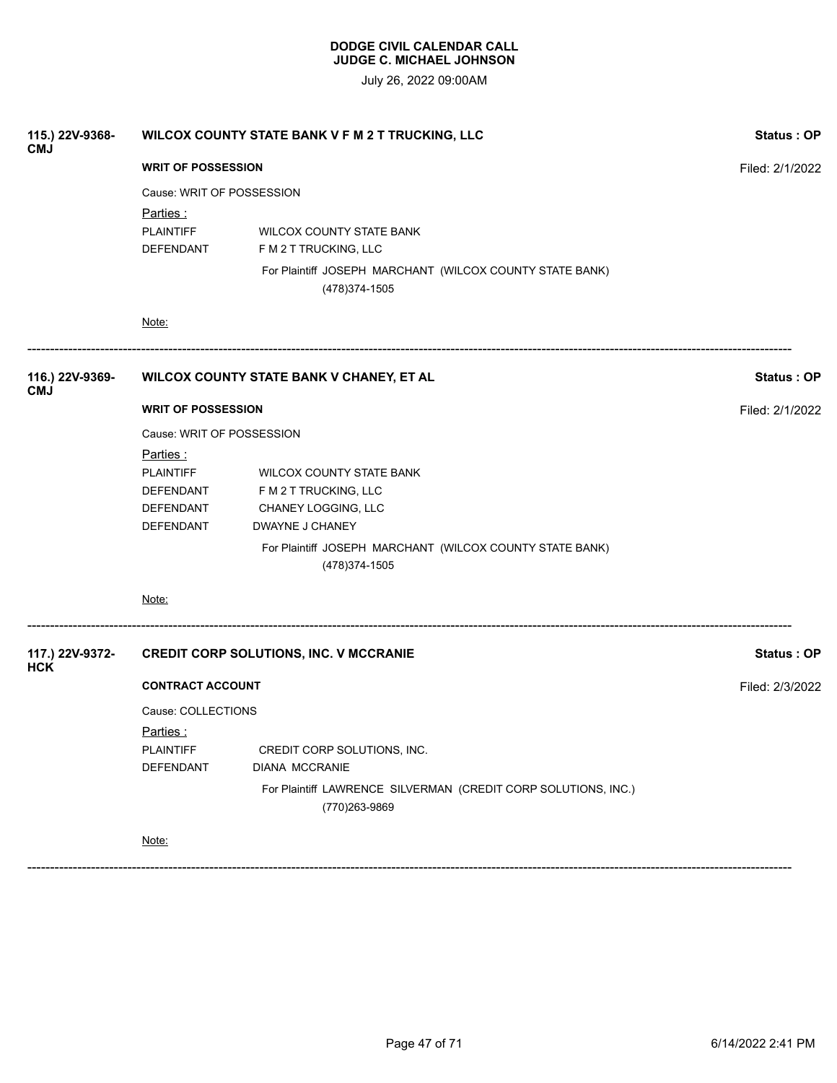July 26, 2022 09:00AM

| 115.) 22V-9368-<br><b>CMJ</b> | WILCOX COUNTY STATE BANK V F M 2 T TRUCKING, LLC                            | Status: OP                                                                                                           |                   |
|-------------------------------|-----------------------------------------------------------------------------|----------------------------------------------------------------------------------------------------------------------|-------------------|
|                               | <b>WRIT OF POSSESSION</b>                                                   | Filed: 2/1/2022                                                                                                      |                   |
|                               | Cause: WRIT OF POSSESSION                                                   |                                                                                                                      |                   |
|                               | Parties:<br><b>PLAINTIFF</b><br>DEFENDANT                                   | <b>WILCOX COUNTY STATE BANK</b><br>F M 2 T TRUCKING, LLC<br>For Plaintiff JOSEPH MARCHANT (WILCOX COUNTY STATE BANK) |                   |
|                               | Note:                                                                       | (478) 374-1505                                                                                                       |                   |
| 116.) 22V-9369-<br><b>CMJ</b> |                                                                             | WILCOX COUNTY STATE BANK V CHANEY, ET AL                                                                             | Status: OP        |
|                               | <b>WRIT OF POSSESSION</b>                                                   | Filed: 2/1/2022                                                                                                      |                   |
|                               | Cause: WRIT OF POSSESSION                                                   |                                                                                                                      |                   |
|                               | <u>Parties :</u><br><b>PLAINTIFF</b><br>DEFENDANT<br>DEFENDANT<br>DEFENDANT | WILCOX COUNTY STATE BANK<br>F M 2 T TRUCKING, LLC<br>CHANEY LOGGING, LLC<br>DWAYNE J CHANEY                          |                   |
|                               |                                                                             | For Plaintiff JOSEPH MARCHANT (WILCOX COUNTY STATE BANK)<br>(478) 374-1505                                           |                   |
|                               | Note:                                                                       |                                                                                                                      |                   |
| 117.) 22V-9372-<br><b>HCK</b> |                                                                             | <b>CREDIT CORP SOLUTIONS, INC. V MCCRANIE</b>                                                                        | <b>Status: OP</b> |
|                               | <b>CONTRACT ACCOUNT</b>                                                     |                                                                                                                      | Filed: 2/3/2022   |
|                               | Cause: COLLECTIONS                                                          |                                                                                                                      |                   |
|                               | <u>Parties :</u><br><b>PLAINTIFF</b><br>DEFENDANT                           | CREDIT CORP SOLUTIONS, INC.<br><b>DIANA MCCRANIE</b>                                                                 |                   |
|                               |                                                                             | For Plaintiff LAWRENCE SILVERMAN (CREDIT CORP SOLUTIONS, INC.)<br>(770)263-9869                                      |                   |
|                               | Note:                                                                       |                                                                                                                      |                   |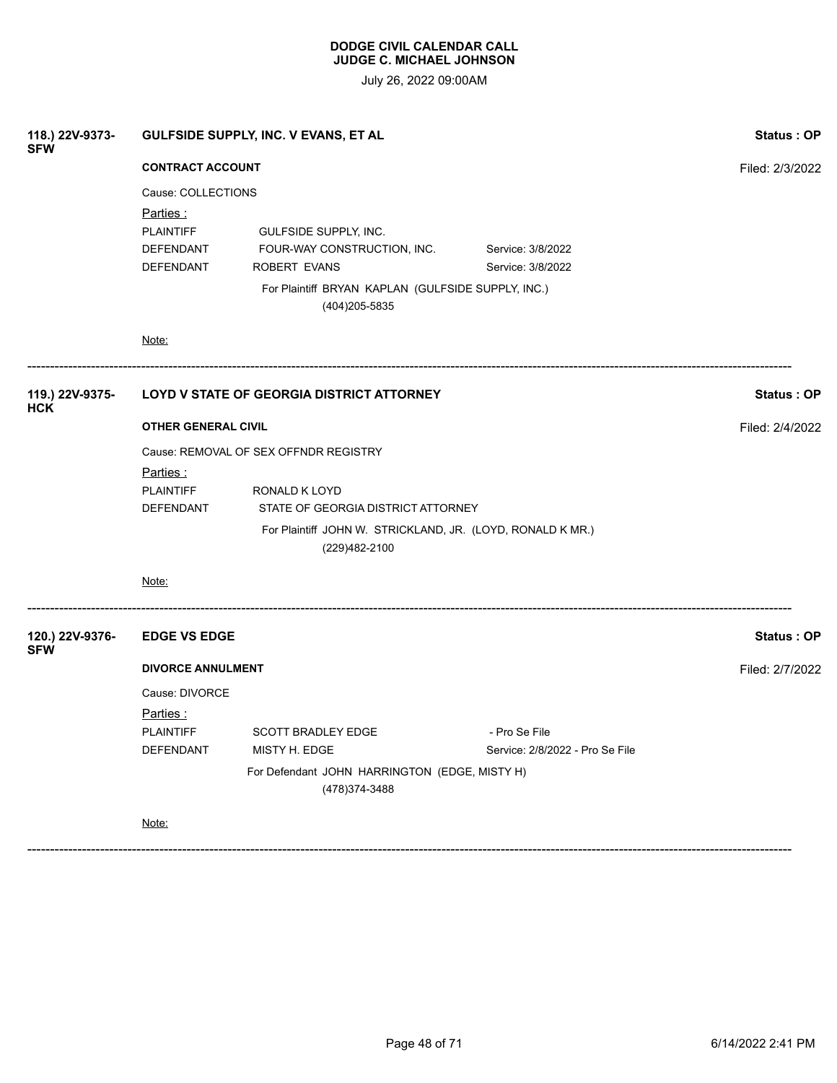July 26, 2022 09:00AM

| 118.) 22V-9373-<br><b>SFW</b> | GULFSIDE SUPPLY, INC. V EVANS, ET AL       | Status: OP                                                                  |                                        |                   |
|-------------------------------|--------------------------------------------|-----------------------------------------------------------------------------|----------------------------------------|-------------------|
|                               | <b>CONTRACT ACCOUNT</b>                    |                                                                             |                                        | Filed: 2/3/2022   |
|                               | Cause: COLLECTIONS<br>Parties :            |                                                                             |                                        |                   |
|                               | <b>PLAINTIFF</b><br>DEFENDANT<br>DEFENDANT | GULFSIDE SUPPLY, INC.<br>FOUR-WAY CONSTRUCTION, INC.<br>ROBERT EVANS        | Service: 3/8/2022<br>Service: 3/8/2022 |                   |
|                               |                                            | For Plaintiff BRYAN KAPLAN (GULFSIDE SUPPLY, INC.)<br>(404) 205-5835        |                                        |                   |
|                               | Note:                                      |                                                                             |                                        |                   |
| 119.) 22V-9375-<br><b>HCK</b> | LOYD V STATE OF GEORGIA DISTRICT ATTORNEY  |                                                                             | Status: OP                             |                   |
|                               | <b>OTHER GENERAL CIVIL</b>                 | Filed: 2/4/2022                                                             |                                        |                   |
|                               | Cause: REMOVAL OF SEX OFFNDR REGISTRY      |                                                                             |                                        |                   |
|                               | Parties :                                  |                                                                             |                                        |                   |
|                               | <b>PLAINTIFF</b>                           | RONALD K LOYD                                                               |                                        |                   |
|                               | DEFENDANT                                  | STATE OF GEORGIA DISTRICT ATTORNEY                                          |                                        |                   |
|                               |                                            | For Plaintiff JOHN W. STRICKLAND, JR. (LOYD, RONALD K MR.)<br>(229)482-2100 |                                        |                   |
|                               | Note:                                      |                                                                             |                                        |                   |
| 120.) 22V-9376-<br><b>SFW</b> | <b>EDGE VS EDGE</b>                        |                                                                             |                                        | <b>Status: OP</b> |
|                               | <b>DIVORCE ANNULMENT</b>                   | Filed: 2/7/2022                                                             |                                        |                   |
|                               | Cause: DIVORCE                             |                                                                             |                                        |                   |
|                               | Parties:                                   |                                                                             |                                        |                   |
|                               | <b>PLAINTIFF</b>                           | <b>SCOTT BRADLEY EDGE</b>                                                   | - Pro Se File                          |                   |
|                               | DEFENDANT                                  | MISTY H. EDGE                                                               | Service: 2/8/2022 - Pro Se File        |                   |
|                               |                                            | For Defendant JOHN HARRINGTON (EDGE, MISTY H)<br>(478) 374-3488             |                                        |                   |
|                               | Note:                                      |                                                                             |                                        |                   |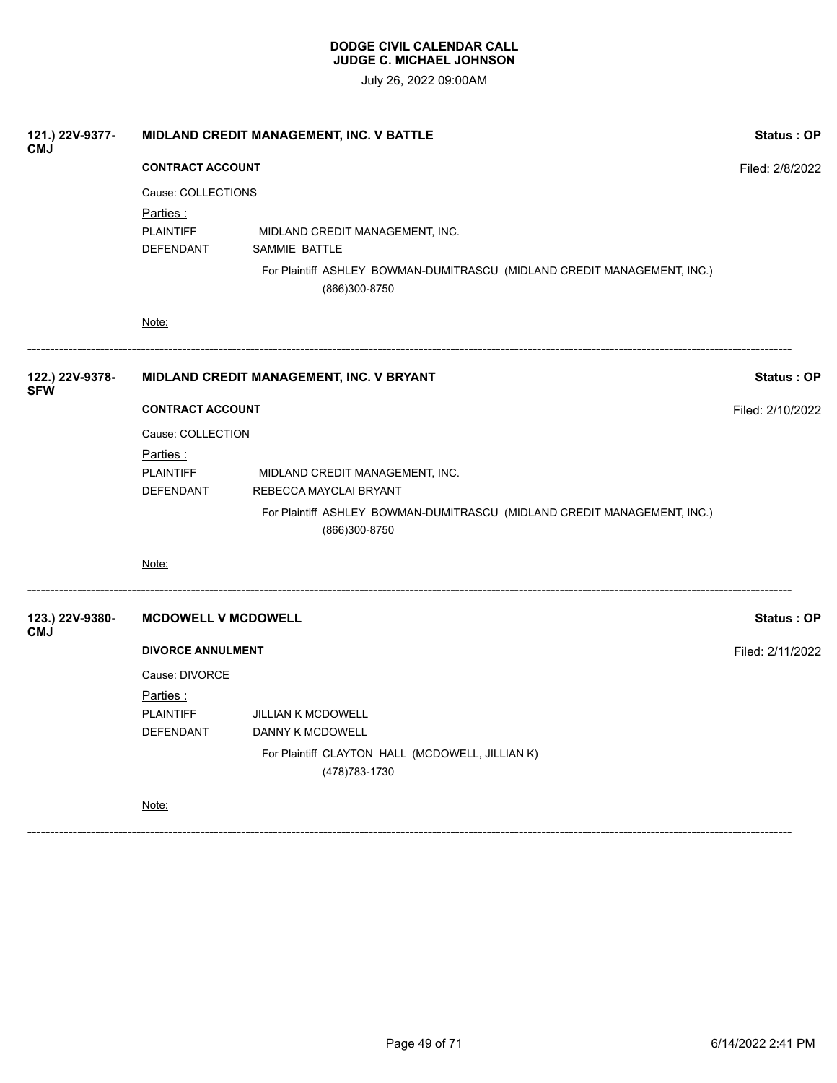July 26, 2022 09:00AM

| 121.) 22V-9377-<br><b>CMJ</b> |                                                  | MIDLAND CREDIT MANAGEMENT, INC. V BATTLE                                                                                                      |                   |  |  |  |
|-------------------------------|--------------------------------------------------|-----------------------------------------------------------------------------------------------------------------------------------------------|-------------------|--|--|--|
|                               | <b>CONTRACT ACCOUNT</b>                          | Filed: 2/8/2022                                                                                                                               |                   |  |  |  |
|                               | Cause: COLLECTIONS                               |                                                                                                                                               |                   |  |  |  |
|                               | <u>Parties:</u><br><b>PLAINTIFF</b><br>DEFENDANT | MIDLAND CREDIT MANAGEMENT, INC.<br>SAMMIE BATTLE<br>For Plaintiff ASHLEY BOWMAN-DUMITRASCU (MIDLAND CREDIT MANAGEMENT, INC.)<br>(866)300-8750 |                   |  |  |  |
|                               | Note:                                            |                                                                                                                                               |                   |  |  |  |
| 122.) 22V-9378-<br><b>SFW</b> |                                                  | MIDLAND CREDIT MANAGEMENT, INC. V BRYANT                                                                                                      | Status: OP        |  |  |  |
|                               | <b>CONTRACT ACCOUNT</b>                          |                                                                                                                                               |                   |  |  |  |
|                               | Cause: COLLECTION                                |                                                                                                                                               |                   |  |  |  |
|                               | Parties :<br><b>PLAINTIFF</b><br>DEFENDANT       | MIDLAND CREDIT MANAGEMENT, INC.<br>REBECCA MAYCLAI BRYANT                                                                                     |                   |  |  |  |
|                               |                                                  | For Plaintiff ASHLEY BOWMAN-DUMITRASCU (MIDLAND CREDIT MANAGEMENT, INC.)<br>(866)300-8750                                                     |                   |  |  |  |
|                               | Note:                                            |                                                                                                                                               |                   |  |  |  |
| 123.) 22V-9380-<br><b>CMJ</b> | <b>MCDOWELL V MCDOWELL</b>                       |                                                                                                                                               | <b>Status: OP</b> |  |  |  |
|                               | <b>DIVORCE ANNULMENT</b>                         |                                                                                                                                               | Filed: 2/11/2022  |  |  |  |
|                               | Cause: DIVORCE                                   |                                                                                                                                               |                   |  |  |  |
|                               | <u>Parties:</u>                                  |                                                                                                                                               |                   |  |  |  |
|                               | <b>PLAINTIFF</b>                                 | <b>JILLIAN K MCDOWELL</b>                                                                                                                     |                   |  |  |  |
|                               | DEFENDANT                                        | DANNY K MCDOWELL                                                                                                                              |                   |  |  |  |
|                               |                                                  | For Plaintiff CLAYTON HALL (MCDOWELL, JILLIAN K)<br>(478) 783-1730                                                                            |                   |  |  |  |
|                               | Note:                                            |                                                                                                                                               |                   |  |  |  |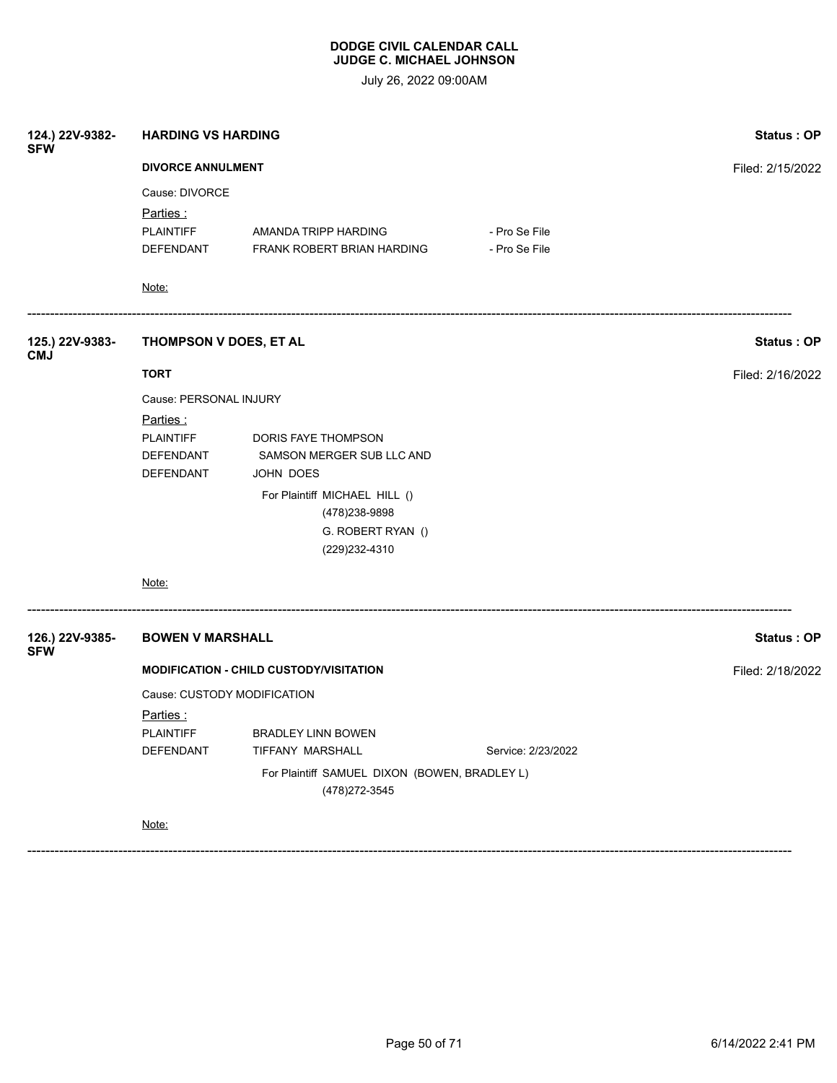July 26, 2022 09:00AM

| 124.) 22V-9382-<br><b>SFW</b> | <b>HARDING VS HARDING</b>                                       | Status: OP                                         |                                |                  |
|-------------------------------|-----------------------------------------------------------------|----------------------------------------------------|--------------------------------|------------------|
|                               | <b>DIVORCE ANNULMENT</b>                                        | Filed: 2/15/2022                                   |                                |                  |
|                               | Cause: DIVORCE                                                  |                                                    |                                |                  |
|                               | Parties:<br><b>PLAINTIFF</b><br>DEFENDANT                       | AMANDA TRIPP HARDING<br>FRANK ROBERT BRIAN HARDING | - Pro Se File<br>- Pro Se File |                  |
|                               | Note:                                                           |                                                    |                                |                  |
| 125.) 22V-9383-<br><b>CMJ</b> | THOMPSON V DOES, ET AL                                          |                                                    |                                | Status: OP       |
|                               | <b>TORT</b>                                                     | Filed: 2/16/2022                                   |                                |                  |
|                               | Cause: PERSONAL INJURY                                          |                                                    |                                |                  |
|                               | <u>Parties :</u>                                                |                                                    |                                |                  |
|                               | <b>PLAINTIFF</b>                                                | DORIS FAYE THOMPSON                                |                                |                  |
|                               | DEFENDANT                                                       | SAMSON MERGER SUB LLC AND                          |                                |                  |
|                               | DEFENDANT                                                       | JOHN DOES                                          |                                |                  |
|                               |                                                                 | For Plaintiff MICHAEL HILL ()<br>(478) 238-9898    |                                |                  |
|                               |                                                                 | G. ROBERT RYAN ()                                  |                                |                  |
|                               |                                                                 | (229) 232-4310                                     |                                |                  |
|                               | Note:                                                           |                                                    |                                |                  |
| 126.) 22V-9385-<br><b>SFW</b> | <b>BOWEN V MARSHALL</b>                                         |                                                    |                                | Status: OP       |
|                               |                                                                 | <b>MODIFICATION - CHILD CUSTODY/VISITATION</b>     |                                | Filed: 2/18/2022 |
|                               | Cause: CUSTODY MODIFICATION                                     |                                                    |                                |                  |
|                               | <u>Parties :</u>                                                |                                                    |                                |                  |
|                               | <b>PLAINTIFF</b>                                                | <b>BRADLEY LINN BOWEN</b>                          |                                |                  |
|                               | DEFENDANT                                                       | TIFFANY MARSHALL                                   | Service: 2/23/2022             |                  |
|                               | For Plaintiff SAMUEL DIXON (BOWEN, BRADLEY L)<br>(478) 272-3545 |                                                    |                                |                  |
|                               | Note:                                                           |                                                    |                                |                  |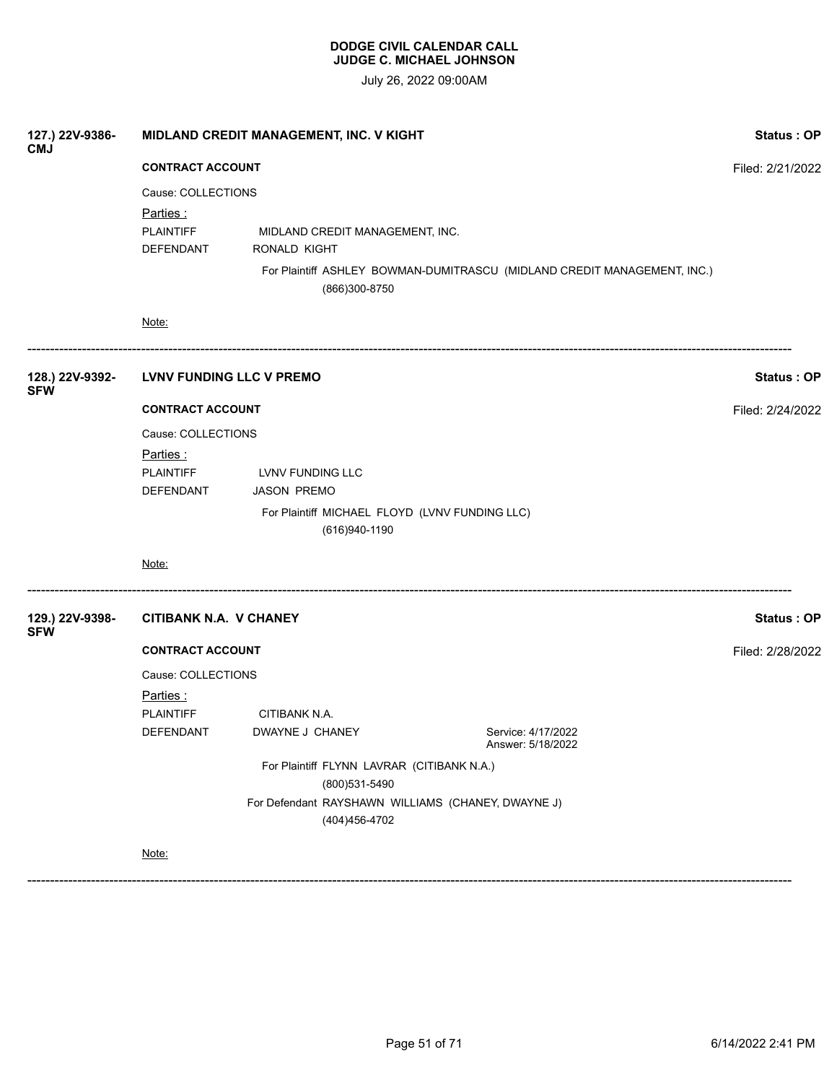July 26, 2022 09:00AM

| 127.) 22V-9386-<br><b>CMJ</b> | MIDLAND CREDIT MANAGEMENT, INC. V KIGHT                                                                                                                             | Status: OP       |                                                  |                                                                          |            |
|-------------------------------|---------------------------------------------------------------------------------------------------------------------------------------------------------------------|------------------|--------------------------------------------------|--------------------------------------------------------------------------|------------|
|                               | <b>CONTRACT ACCOUNT</b>                                                                                                                                             | Filed: 2/21/2022 |                                                  |                                                                          |            |
|                               | Cause: COLLECTIONS                                                                                                                                                  |                  |                                                  |                                                                          |            |
|                               | Parties:<br><b>PLAINTIFF</b><br>DEFENDANT                                                                                                                           | RONALD KIGHT     | MIDLAND CREDIT MANAGEMENT, INC.<br>(866)300-8750 | For Plaintiff ASHLEY BOWMAN-DUMITRASCU (MIDLAND CREDIT MANAGEMENT, INC.) |            |
|                               | Note:                                                                                                                                                               |                  |                                                  |                                                                          |            |
| 128.) 22V-9392-<br><b>SFW</b> | LVNV FUNDING LLC V PREMO                                                                                                                                            |                  |                                                  |                                                                          | Status: OP |
|                               | <b>CONTRACT ACCOUNT</b>                                                                                                                                             |                  |                                                  |                                                                          |            |
|                               | Cause: COLLECTIONS<br><u>Parties :</u><br><b>PLAINTIFF</b><br>LVNV FUNDING LLC<br>DEFENDANT<br><b>JASON PREMO</b><br>For Plaintiff MICHAEL FLOYD (LVNV FUNDING LLC) |                  |                                                  |                                                                          |            |
|                               | Note:                                                                                                                                                               |                  | (616)940-1190                                    |                                                                          |            |
| 129.) 22V-9398-               | <b>CITIBANK N.A. V CHANEY</b>                                                                                                                                       |                  |                                                  |                                                                          | Status: OP |
| <b>SFW</b>                    | <b>CONTRACT ACCOUNT</b>                                                                                                                                             |                  |                                                  | Filed: 2/28/2022                                                         |            |
|                               | Cause: COLLECTIONS<br><u>Parties :</u><br><b>PLAINTIFF</b>                                                                                                          | CITIBANK N.A.    |                                                  |                                                                          |            |
|                               | DEFENDANT                                                                                                                                                           | DWAYNE J CHANEY  |                                                  | Service: 4/17/2022<br>Answer: 5/18/2022                                  |            |
|                               | For Plaintiff FLYNN LAVRAR (CITIBANK N.A.)<br>(800)531-5490                                                                                                         |                  |                                                  |                                                                          |            |
|                               |                                                                                                                                                                     |                  | (404)456-4702                                    | For Defendant RAYSHAWN WILLIAMS (CHANEY, DWAYNE J)                       |            |
|                               | Note:                                                                                                                                                               |                  |                                                  |                                                                          |            |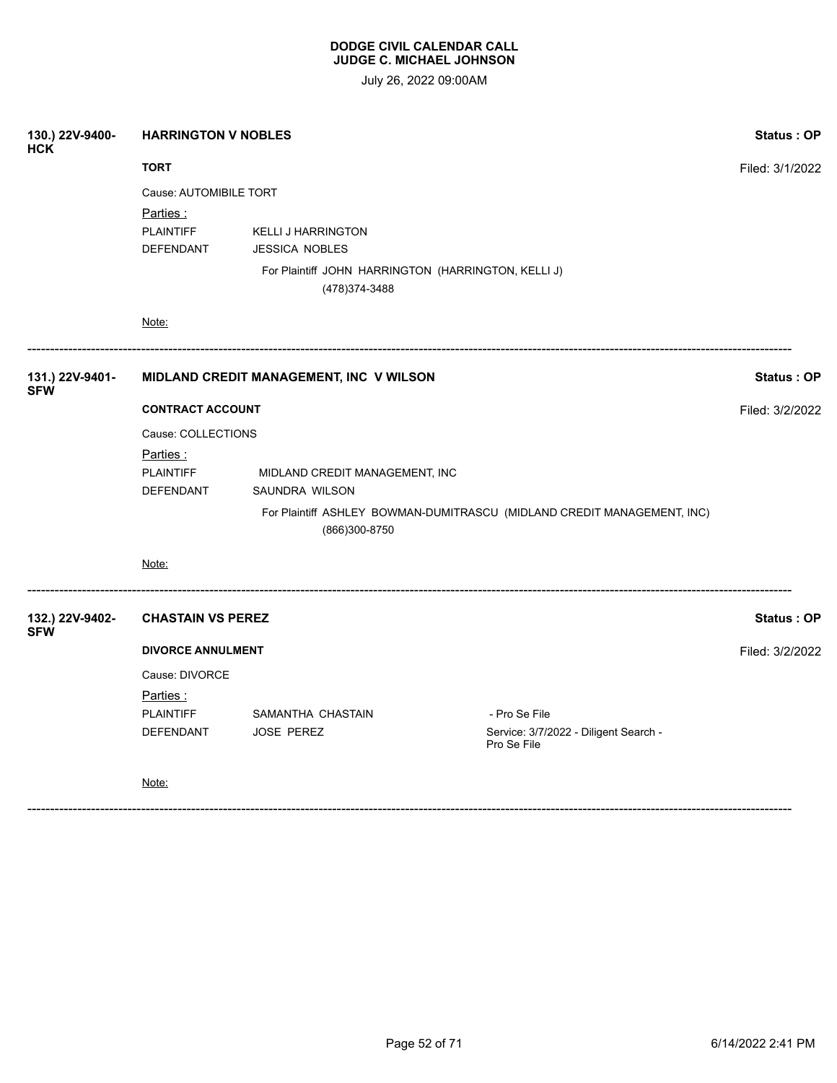July 26, 2022 09:00AM

| 130.) 22V-9400-<br><b>HCK</b> |                                         | <b>HARRINGTON V NOBLES</b>                                            |                                                                         |                   |  |  |
|-------------------------------|-----------------------------------------|-----------------------------------------------------------------------|-------------------------------------------------------------------------|-------------------|--|--|
|                               | <b>TORT</b>                             |                                                                       |                                                                         |                   |  |  |
|                               | Parties:                                | Cause: AUTOMIBILE TORT                                                |                                                                         |                   |  |  |
|                               | <b>PLAINTIFF</b><br>DEFENDANT           | <b>KELLI J HARRINGTON</b><br><b>JESSICA NOBLES</b>                    |                                                                         |                   |  |  |
|                               |                                         | For Plaintiff JOHN HARRINGTON (HARRINGTON, KELLI J)<br>(478) 374-3488 |                                                                         |                   |  |  |
|                               | Note:                                   |                                                                       |                                                                         |                   |  |  |
| 131.) 22V-9401-<br><b>SFW</b> | MIDLAND CREDIT MANAGEMENT, INC V WILSON |                                                                       |                                                                         | <b>Status: OP</b> |  |  |
|                               | <b>CONTRACT ACCOUNT</b>                 | Filed: 3/2/2022                                                       |                                                                         |                   |  |  |
|                               | Cause: COLLECTIONS                      |                                                                       |                                                                         |                   |  |  |
|                               | <u>Parties:</u>                         |                                                                       |                                                                         |                   |  |  |
|                               | <b>PLAINTIFF</b><br>DEFENDANT           | MIDLAND CREDIT MANAGEMENT, INC<br>SAUNDRA WILSON                      |                                                                         |                   |  |  |
|                               |                                         | (866)300-8750                                                         | For Plaintiff ASHLEY BOWMAN-DUMITRASCU (MIDLAND CREDIT MANAGEMENT, INC) |                   |  |  |
|                               | Note:                                   |                                                                       |                                                                         |                   |  |  |
| 132.) 22V-9402-<br><b>SFW</b> | <b>CHASTAIN VS PEREZ</b>                |                                                                       |                                                                         | Status: OP        |  |  |
|                               | <b>DIVORCE ANNULMENT</b>                |                                                                       |                                                                         |                   |  |  |
|                               | Cause: DIVORCE                          |                                                                       |                                                                         |                   |  |  |
|                               | <u>Parties :</u>                        |                                                                       |                                                                         |                   |  |  |
|                               | <b>PLAINTIFF</b><br>DEFENDANT           | SAMANTHA CHASTAIN<br>JOSE PEREZ                                       | - Pro Se File<br>Service: 3/7/2022 - Diligent Search -                  |                   |  |  |
|                               |                                         |                                                                       | Pro Se File                                                             |                   |  |  |
|                               | Note:                                   |                                                                       |                                                                         |                   |  |  |
|                               |                                         |                                                                       |                                                                         |                   |  |  |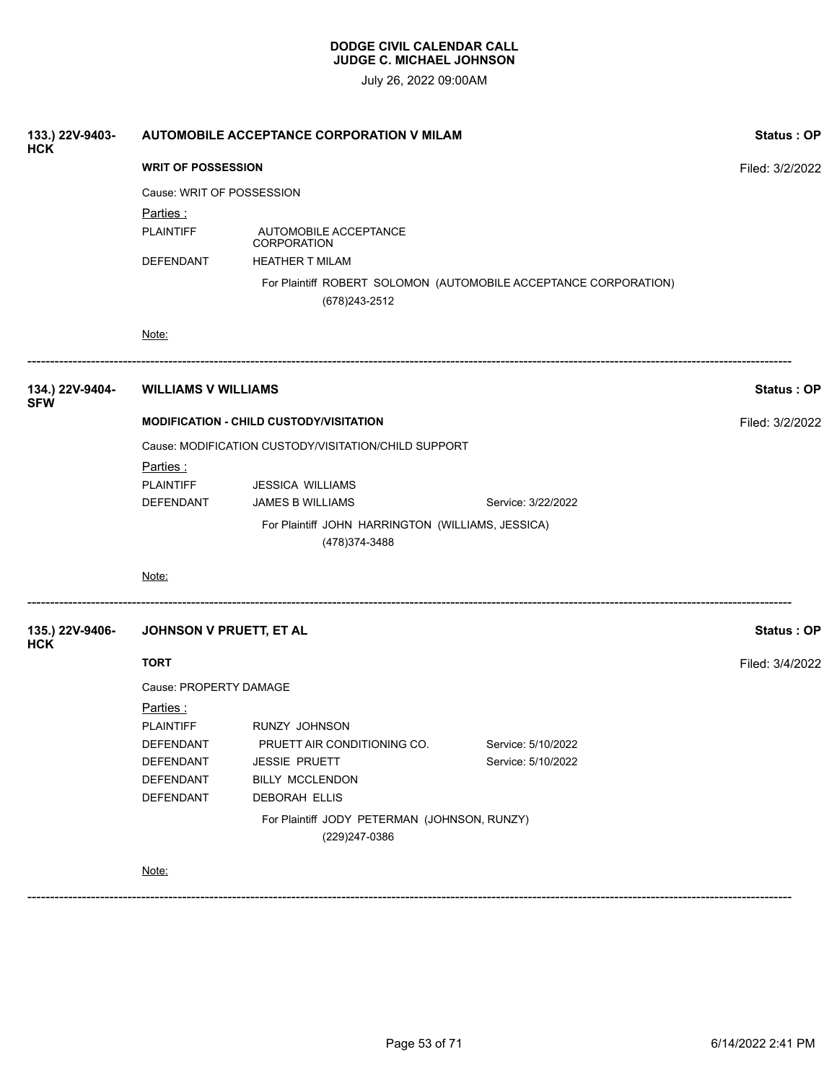| 133.) 22V-9403-<br><b>HCK</b> | AUTOMOBILE ACCEPTANCE CORPORATION V MILAM            | Status: OP                                                          |                                                                  |                 |
|-------------------------------|------------------------------------------------------|---------------------------------------------------------------------|------------------------------------------------------------------|-----------------|
|                               | <b>WRIT OF POSSESSION</b>                            | Filed: 3/2/2022                                                     |                                                                  |                 |
|                               | Cause: WRIT OF POSSESSION                            |                                                                     |                                                                  |                 |
|                               | Parties:                                             |                                                                     |                                                                  |                 |
|                               | <b>PLAINTIFF</b>                                     |                                                                     |                                                                  |                 |
|                               | DEFENDANT                                            | <b>HEATHER T MILAM</b>                                              |                                                                  |                 |
|                               |                                                      | (678) 243-2512                                                      | For Plaintiff ROBERT SOLOMON (AUTOMOBILE ACCEPTANCE CORPORATION) |                 |
|                               | Note:                                                |                                                                     |                                                                  |                 |
| 134.) 22V-9404-<br><b>SFW</b> | <b>WILLIAMS V WILLIAMS</b>                           |                                                                     |                                                                  | Status: OP      |
|                               | <b>MODIFICATION - CHILD CUSTODY/VISITATION</b>       | Filed: 3/2/2022                                                     |                                                                  |                 |
|                               | Cause: MODIFICATION CUSTODY/VISITATION/CHILD SUPPORT |                                                                     |                                                                  |                 |
|                               | <u>Parties :</u>                                     |                                                                     |                                                                  |                 |
|                               | <b>PLAINTIFF</b>                                     | <b>JESSICA WILLIAMS</b>                                             |                                                                  |                 |
|                               | DEFENDANT                                            | <b>JAMES B WILLIAMS</b>                                             | Service: 3/22/2022                                               |                 |
|                               |                                                      | For Plaintiff JOHN HARRINGTON (WILLIAMS, JESSICA)<br>(478) 374-3488 |                                                                  |                 |
|                               | Note:                                                |                                                                     |                                                                  |                 |
| 135.) 22V-9406-<br><b>HCK</b> | JOHNSON V PRUETT, ET AL                              |                                                                     |                                                                  | Status: OP      |
|                               | <b>TORT</b>                                          |                                                                     |                                                                  | Filed: 3/4/2022 |
|                               | Cause: PROPERTY DAMAGE                               |                                                                     |                                                                  |                 |
|                               | <u>Parties:</u>                                      |                                                                     |                                                                  |                 |
|                               | <b>PLAINTIFF</b>                                     | RUNZY JOHNSON                                                       |                                                                  |                 |
|                               | DEFENDANT                                            | PRUETT AIR CONDITIONING CO.                                         | Service: 5/10/2022                                               |                 |
|                               | DEFENDANT                                            | JESSIE PRUETT                                                       | Service: 5/10/2022                                               |                 |
|                               | DEFENDANT                                            | BILLY MCCLENDON                                                     |                                                                  |                 |
|                               | <b>DEFENDANT</b>                                     | DEBORAH ELLIS                                                       |                                                                  |                 |
|                               |                                                      | For Plaintiff JODY PETERMAN (JOHNSON, RUNZY)<br>(229)247-0386       |                                                                  |                 |
|                               | Note:                                                |                                                                     |                                                                  |                 |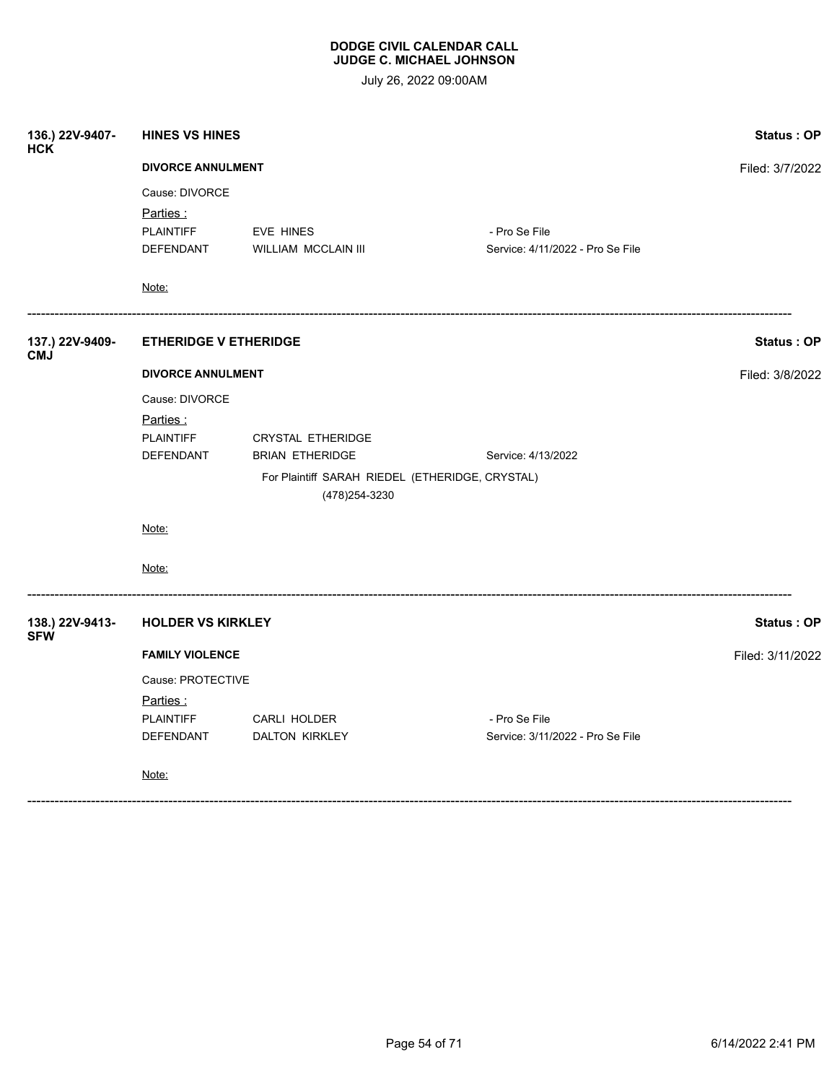| 136.) 22V-9407-<br><b>HCK</b> | <b>HINES VS HINES</b>                                       | Status: OP                                                        |                                                   |                   |
|-------------------------------|-------------------------------------------------------------|-------------------------------------------------------------------|---------------------------------------------------|-------------------|
|                               | <b>DIVORCE ANNULMENT</b>                                    | Filed: 3/7/2022                                                   |                                                   |                   |
|                               | Cause: DIVORCE<br>Parties:<br><b>PLAINTIFF</b><br>DEFENDANT | EVE HINES<br>WILLIAM MCCLAIN III                                  | - Pro Se File<br>Service: 4/11/2022 - Pro Se File |                   |
|                               | <u>Note:</u>                                                |                                                                   |                                                   |                   |
| 137.) 22V-9409-<br><b>CMJ</b> | <b>ETHERIDGE V ETHERIDGE</b>                                |                                                                   |                                                   | Status: OP        |
|                               | <b>DIVORCE ANNULMENT</b>                                    |                                                                   | Filed: 3/8/2022                                   |                   |
|                               | Cause: DIVORCE                                              |                                                                   |                                                   |                   |
|                               | Parties:<br><b>PLAINTIFF</b><br>DEFENDANT                   | <b>CRYSTAL ETHERIDGE</b><br><b>BRIAN ETHERIDGE</b>                | Service: 4/13/2022                                |                   |
|                               |                                                             | For Plaintiff SARAH RIEDEL (ETHERIDGE, CRYSTAL)<br>(478) 254-3230 |                                                   |                   |
|                               | Note:                                                       |                                                                   |                                                   |                   |
|                               | Note:                                                       |                                                                   |                                                   |                   |
| 138.) 22V-9413-<br><b>SFW</b> | <b>HOLDER VS KIRKLEY</b>                                    |                                                                   |                                                   | <b>Status: OP</b> |
|                               | <b>FAMILY VIOLENCE</b>                                      |                                                                   |                                                   | Filed: 3/11/2022  |
|                               | Cause: PROTECTIVE                                           |                                                                   |                                                   |                   |
|                               | Parties :                                                   |                                                                   |                                                   |                   |
|                               | <b>PLAINTIFF</b>                                            | CARLI HOLDER                                                      | - Pro Se File                                     |                   |
|                               | DEFENDANT                                                   | DALTON KIRKLEY                                                    | Service: 3/11/2022 - Pro Se File                  |                   |
|                               | Note:                                                       |                                                                   |                                                   |                   |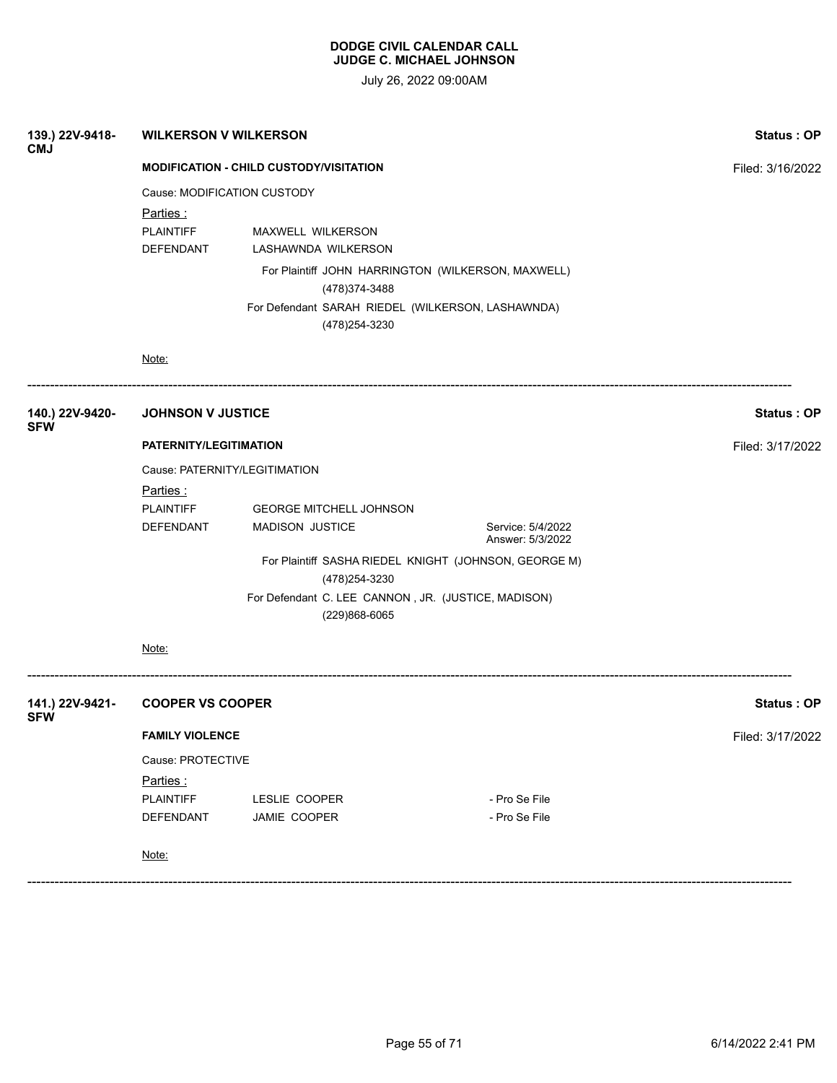| 139.) 22V-9418-<br><b>CMJ</b> | <b>WILKERSON V WILKERSON</b>                   |                                                                                                                                          |                                                       | <b>Status: OP</b> |
|-------------------------------|------------------------------------------------|------------------------------------------------------------------------------------------------------------------------------------------|-------------------------------------------------------|-------------------|
|                               | <b>MODIFICATION - CHILD CUSTODY/VISITATION</b> | Filed: 3/16/2022                                                                                                                         |                                                       |                   |
|                               | Cause: MODIFICATION CUSTODY                    |                                                                                                                                          |                                                       |                   |
|                               | Parties:<br><b>PLAINTIFF</b><br>DEFENDANT      | <b>MAXWELL WILKERSON</b><br>LASHAWNDA WILKERSON<br>(478) 374-3488<br>For Defendant SARAH RIEDEL (WILKERSON, LASHAWNDA)<br>(478) 254-3230 | For Plaintiff JOHN HARRINGTON (WILKERSON, MAXWELL)    |                   |
|                               | Note:                                          |                                                                                                                                          |                                                       |                   |
| 140.) 22V-9420-<br><b>SFW</b> | <b>JOHNSON V JUSTICE</b>                       |                                                                                                                                          |                                                       | <b>Status: OP</b> |
|                               | PATERNITY/LEGITIMATION                         |                                                                                                                                          |                                                       | Filed: 3/17/2022  |
|                               | Cause: PATERNITY/LEGITIMATION                  |                                                                                                                                          |                                                       |                   |
|                               | Parties:                                       |                                                                                                                                          |                                                       |                   |
|                               | <b>PLAINTIFF</b><br>DEFENDANT                  | <b>GEORGE MITCHELL JOHNSON</b><br><b>MADISON JUSTICE</b>                                                                                 | Service: 5/4/2022<br>Answer: 5/3/2022                 |                   |
|                               |                                                | (478) 254-3230                                                                                                                           | For Plaintiff SASHA RIEDEL KNIGHT (JOHNSON, GEORGE M) |                   |
|                               |                                                | For Defendant C. LEE CANNON, JR. (JUSTICE, MADISON)<br>(229)868-6065                                                                     |                                                       |                   |
|                               | Note:                                          |                                                                                                                                          |                                                       |                   |
| 141.) 22V-9421-<br><b>SFW</b> | <b>COOPER VS COOPER</b>                        |                                                                                                                                          |                                                       | Status: OP        |
|                               | <b>FAMILY VIOLENCE</b>                         |                                                                                                                                          |                                                       | Filed: 3/17/2022  |
|                               | Cause: PROTECTIVE                              |                                                                                                                                          |                                                       |                   |
|                               | Parties:                                       |                                                                                                                                          |                                                       |                   |
|                               | <b>PLAINTIFF</b>                               | LESLIE COOPER                                                                                                                            | - Pro Se File                                         |                   |
|                               | DEFENDANT                                      | JAMIE COOPER                                                                                                                             | - Pro Se File                                         |                   |
|                               | Note:                                          |                                                                                                                                          |                                                       |                   |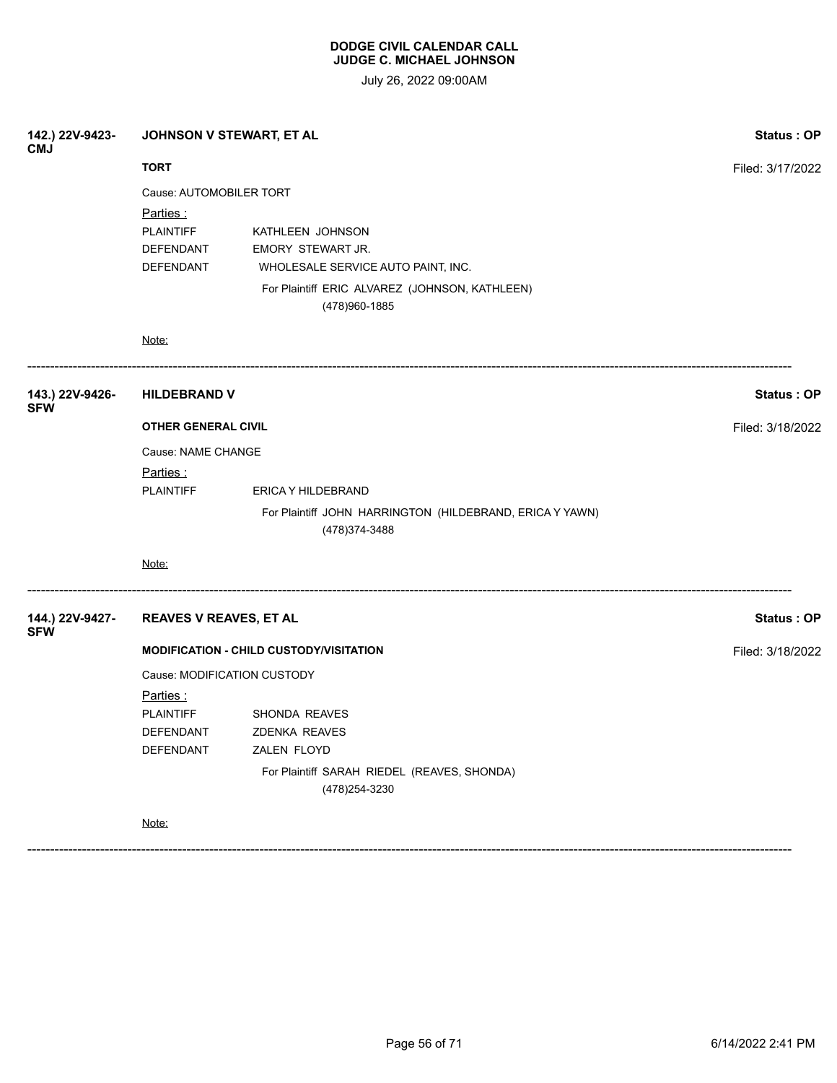July 26, 2022 09:00AM

| 142.) 22V-9423-<br><b>CMJ</b> | JOHNSON V STEWART, ET AL                                       |                                                                                                                               | Status: OP        |  |
|-------------------------------|----------------------------------------------------------------|-------------------------------------------------------------------------------------------------------------------------------|-------------------|--|
|                               | <b>TORT</b>                                                    |                                                                                                                               | Filed: 3/17/2022  |  |
|                               | Cause: AUTOMOBILER TORT                                        |                                                                                                                               |                   |  |
|                               | <u>Parties :</u><br><b>PLAINTIFF</b><br>DEFENDANT<br>DEFENDANT | KATHLEEN JOHNSON<br>EMORY STEWART JR.<br>WHOLESALE SERVICE AUTO PAINT, INC.<br>For Plaintiff ERIC ALVAREZ (JOHNSON, KATHLEEN) |                   |  |
|                               |                                                                | (478) 960-1885                                                                                                                |                   |  |
|                               | Note:                                                          |                                                                                                                               |                   |  |
| 143.) 22V-9426-<br><b>SFW</b> | <b>HILDEBRAND V</b>                                            |                                                                                                                               | Status: OP        |  |
|                               | <b>OTHER GENERAL CIVIL</b>                                     | Filed: 3/18/2022                                                                                                              |                   |  |
|                               | Cause: NAME CHANGE                                             |                                                                                                                               |                   |  |
|                               | Parties :                                                      |                                                                                                                               |                   |  |
|                               | <b>PLAINTIFF</b>                                               | ERICA Y HILDEBRAND                                                                                                            |                   |  |
|                               |                                                                | For Plaintiff JOHN HARRINGTON (HILDEBRAND, ERICA Y YAWN)<br>(478) 374-3488                                                    |                   |  |
|                               | Note:                                                          |                                                                                                                               |                   |  |
| 144.) 22V-9427-<br><b>SFW</b> | <b>REAVES V REAVES, ET AL</b>                                  |                                                                                                                               | <b>Status: OP</b> |  |
|                               |                                                                | <b>MODIFICATION - CHILD CUSTODY/VISITATION</b>                                                                                | Filed: 3/18/2022  |  |
|                               | Cause: MODIFICATION CUSTODY                                    |                                                                                                                               |                   |  |
|                               | <u>Parties:</u>                                                |                                                                                                                               |                   |  |
|                               | <b>PLAINTIFF</b>                                               | SHONDA REAVES                                                                                                                 |                   |  |
|                               | DEFENDANT                                                      | <b>ZDENKA REAVES</b>                                                                                                          |                   |  |
|                               | DEFENDANT                                                      | ZALEN FLOYD                                                                                                                   |                   |  |
|                               |                                                                | For Plaintiff SARAH RIEDEL (REAVES, SHONDA)<br>(478) 254-3230                                                                 |                   |  |
|                               | Note:                                                          |                                                                                                                               |                   |  |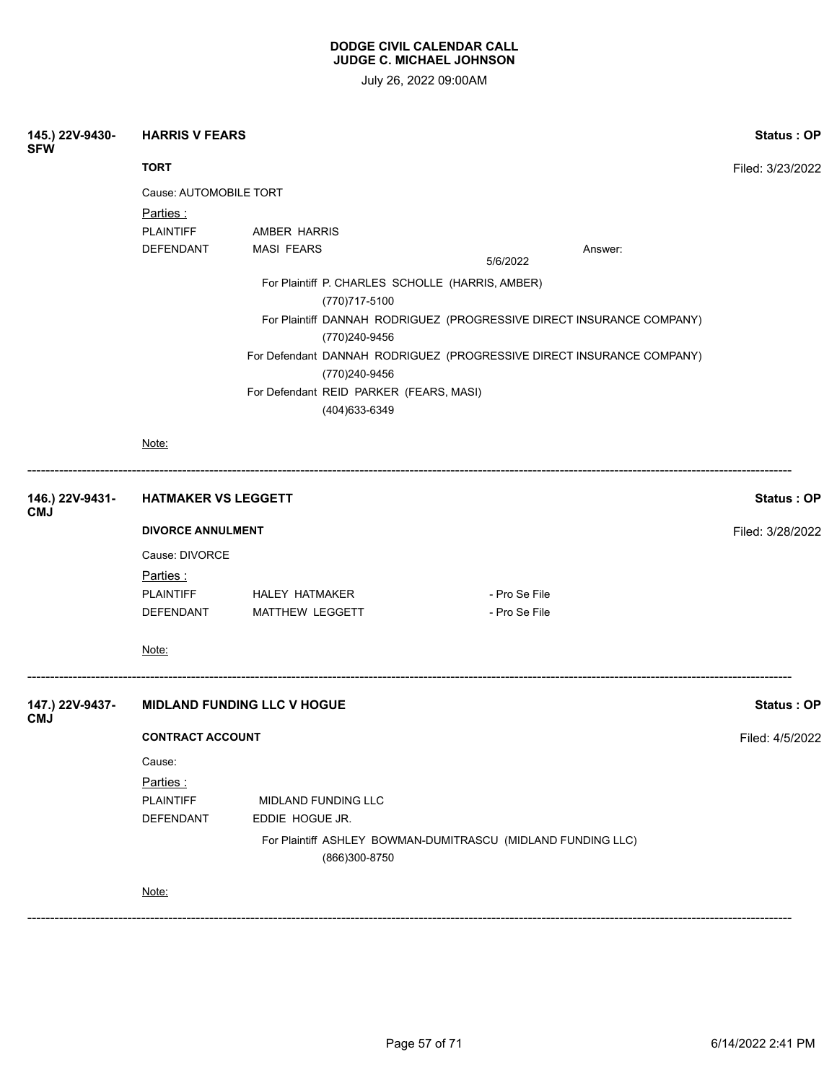| 145.) 22V-9430-<br><b>SFW</b> | <b>HARRIS V FEARS</b>              |                       |                                                                   |                                                                       |                   |  |
|-------------------------------|------------------------------------|-----------------------|-------------------------------------------------------------------|-----------------------------------------------------------------------|-------------------|--|
|                               | <b>TORT</b>                        |                       |                                                                   |                                                                       | Filed: 3/23/2022  |  |
|                               | Cause: AUTOMOBILE TORT             |                       |                                                                   |                                                                       |                   |  |
|                               | Parties:                           |                       |                                                                   |                                                                       |                   |  |
|                               | <b>PLAINTIFF</b>                   | AMBER HARRIS          |                                                                   |                                                                       |                   |  |
|                               | DEFENDANT                          | <b>MASI FEARS</b>     |                                                                   | Answer:<br>5/6/2022                                                   |                   |  |
|                               |                                    |                       | For Plaintiff P. CHARLES SCHOLLE (HARRIS, AMBER)<br>(770)717-5100 |                                                                       |                   |  |
|                               |                                    |                       | (770)240-9456                                                     | For Plaintiff DANNAH RODRIGUEZ (PROGRESSIVE DIRECT INSURANCE COMPANY) |                   |  |
|                               |                                    |                       | (770)240-9456                                                     | For Defendant DANNAH RODRIGUEZ (PROGRESSIVE DIRECT INSURANCE COMPANY) |                   |  |
|                               |                                    |                       | For Defendant REID PARKER (FEARS, MASI)<br>(404) 633-6349         |                                                                       |                   |  |
|                               | Note:                              |                       |                                                                   |                                                                       |                   |  |
| 146.) 22V-9431-<br><b>CMJ</b> | <b>HATMAKER VS LEGGETT</b>         |                       |                                                                   |                                                                       | Status: OP        |  |
|                               | <b>DIVORCE ANNULMENT</b>           |                       |                                                                   |                                                                       |                   |  |
|                               | Cause: DIVORCE                     |                       |                                                                   |                                                                       |                   |  |
|                               | <u>Parties :</u>                   |                       |                                                                   |                                                                       |                   |  |
|                               | <b>PLAINTIFF</b>                   | <b>HALEY HATMAKER</b> |                                                                   | - Pro Se File                                                         |                   |  |
|                               | DEFENDANT                          | MATTHEW LEGGETT       |                                                                   | - Pro Se File                                                         |                   |  |
|                               | Note:                              |                       |                                                                   |                                                                       |                   |  |
| 147.) 22V-9437-<br><b>CMJ</b> | <b>MIDLAND FUNDING LLC V HOGUE</b> |                       |                                                                   |                                                                       | <b>Status: OP</b> |  |
|                               | <b>CONTRACT ACCOUNT</b>            |                       |                                                                   | Filed: 4/5/2022                                                       |                   |  |
|                               | Cause:                             |                       |                                                                   |                                                                       |                   |  |
|                               | Parties:                           |                       |                                                                   |                                                                       |                   |  |
|                               | <b>PLAINTIFF</b>                   | MIDLAND FUNDING LLC   |                                                                   |                                                                       |                   |  |
|                               | <b>DEFENDANT</b>                   | EDDIE HOGUE JR.       |                                                                   |                                                                       |                   |  |
|                               |                                    |                       | (866)300-8750                                                     | For Plaintiff ASHLEY BOWMAN-DUMITRASCU (MIDLAND FUNDING LLC)          |                   |  |
|                               | Note:                              |                       |                                                                   |                                                                       |                   |  |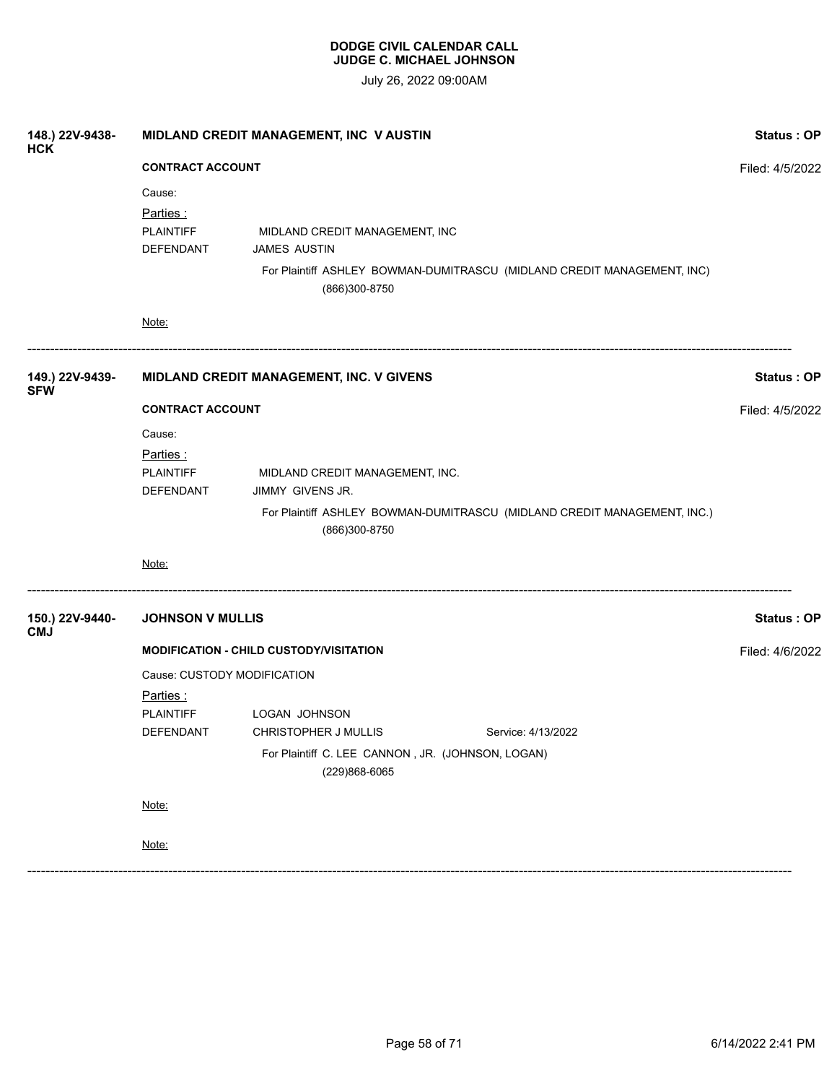| 148.) 22V-9438-<br><b>HCK</b> | MIDLAND CREDIT MANAGEMENT, INC V AUSTIN<br><b>CONTRACT ACCOUNT</b>       |                                                                                                                                                   |                   |
|-------------------------------|--------------------------------------------------------------------------|---------------------------------------------------------------------------------------------------------------------------------------------------|-------------------|
|                               |                                                                          |                                                                                                                                                   |                   |
|                               | Cause:<br>Parties:<br><b>PLAINTIFF</b><br>DEFENDANT                      | MIDLAND CREDIT MANAGEMENT, INC<br><b>JAMES AUSTIN</b><br>For Plaintiff ASHLEY BOWMAN-DUMITRASCU (MIDLAND CREDIT MANAGEMENT, INC)<br>(866)300-8750 |                   |
|                               | Note:                                                                    |                                                                                                                                                   |                   |
| 149.) 22V-9439-<br><b>SFW</b> |                                                                          | MIDLAND CREDIT MANAGEMENT, INC. V GIVENS                                                                                                          | Status: OP        |
|                               | <b>CONTRACT ACCOUNT</b>                                                  |                                                                                                                                                   |                   |
|                               | Cause:<br>Parties:<br><b>PLAINTIFF</b><br>DEFENDANT                      | MIDLAND CREDIT MANAGEMENT, INC.<br>JIMMY GIVENS JR.<br>For Plaintiff ASHLEY BOWMAN-DUMITRASCU (MIDLAND CREDIT MANAGEMENT, INC.)<br>(866)300-8750  |                   |
|                               | Note:                                                                    |                                                                                                                                                   |                   |
| 150.) 22V-9440-<br><b>CMJ</b> | <b>JOHNSON V MULLIS</b>                                                  |                                                                                                                                                   | <b>Status: OP</b> |
|                               |                                                                          | <b>MODIFICATION - CHILD CUSTODY/VISITATION</b>                                                                                                    | Filed: 4/6/2022   |
|                               | Cause: CUSTODY MODIFICATION<br>Parties:<br><b>PLAINTIFF</b><br>DEFENDANT | LOGAN JOHNSON<br>CHRISTOPHER J MULLIS<br>Service: 4/13/2022<br>For Plaintiff C. LEE CANNON, JR. (JOHNSON, LOGAN)                                  |                   |
|                               |                                                                          | (229)868-6065                                                                                                                                     |                   |
|                               | Note:                                                                    |                                                                                                                                                   |                   |
|                               | Note:                                                                    |                                                                                                                                                   |                   |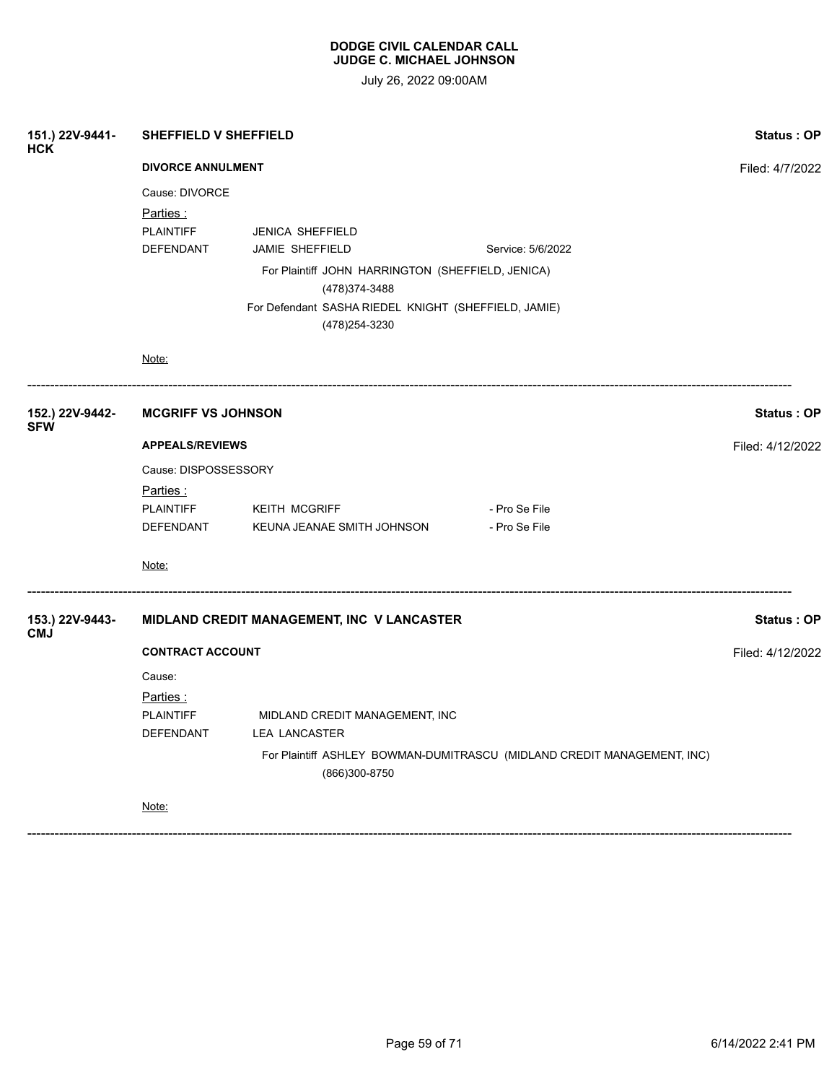|                                                                     | Status: OP                                                                                                                                                                                     |                                                                                                                                                                                                                                                               |  |  |
|---------------------------------------------------------------------|------------------------------------------------------------------------------------------------------------------------------------------------------------------------------------------------|---------------------------------------------------------------------------------------------------------------------------------------------------------------------------------------------------------------------------------------------------------------|--|--|
|                                                                     |                                                                                                                                                                                                | Filed: 4/7/2022                                                                                                                                                                                                                                               |  |  |
| Cause: DIVORCE<br><u>Parties :</u><br><b>PLAINTIFF</b><br>DEFENDANT | <b>JENICA SHEFFIELD</b><br>JAMIE SHEFFIELD<br>Service: 5/6/2022<br>For Plaintiff JOHN HARRINGTON (SHEFFIELD, JENICA)<br>(478) 374-3488<br>For Defendant SASHA RIEDEL KNIGHT (SHEFFIELD, JAMIE) |                                                                                                                                                                                                                                                               |  |  |
| Note:                                                               |                                                                                                                                                                                                |                                                                                                                                                                                                                                                               |  |  |
|                                                                     |                                                                                                                                                                                                | Status: OP                                                                                                                                                                                                                                                    |  |  |
| <b>APPEALS/REVIEWS</b>                                              |                                                                                                                                                                                                |                                                                                                                                                                                                                                                               |  |  |
| Cause: DISPOSSESSORY                                                |                                                                                                                                                                                                |                                                                                                                                                                                                                                                               |  |  |
| <u>Parties :</u>                                                    |                                                                                                                                                                                                |                                                                                                                                                                                                                                                               |  |  |
|                                                                     | - Pro Se File                                                                                                                                                                                  |                                                                                                                                                                                                                                                               |  |  |
|                                                                     |                                                                                                                                                                                                |                                                                                                                                                                                                                                                               |  |  |
| Note:                                                               |                                                                                                                                                                                                |                                                                                                                                                                                                                                                               |  |  |
|                                                                     |                                                                                                                                                                                                | Status: OP                                                                                                                                                                                                                                                    |  |  |
| <b>CONTRACT ACCOUNT</b>                                             |                                                                                                                                                                                                |                                                                                                                                                                                                                                                               |  |  |
| Cause:<br>Parties:                                                  |                                                                                                                                                                                                |                                                                                                                                                                                                                                                               |  |  |
| PLAINTIFF                                                           | MIDLAND CREDIT MANAGEMENT, INC                                                                                                                                                                 |                                                                                                                                                                                                                                                               |  |  |
|                                                                     | For Plaintiff ASHLEY BOWMAN-DUMITRASCU (MIDLAND CREDIT MANAGEMENT, INC)<br>(866)300-8750                                                                                                       |                                                                                                                                                                                                                                                               |  |  |
| Note:                                                               |                                                                                                                                                                                                |                                                                                                                                                                                                                                                               |  |  |
|                                                                     | DEFENDANT                                                                                                                                                                                      | <b>SHEFFIELD V SHEFFIELD</b><br><b>DIVORCE ANNULMENT</b><br>(478) 254-3230<br><b>MCGRIFF VS JOHNSON</b><br>PLAINTIFF KEITH MCGRIFF<br>- Pro Se File<br>DEFENDANT<br>KEUNA JEANAE SMITH JOHNSON<br>MIDLAND CREDIT MANAGEMENT, INC V LANCASTER<br>LEA LANCASTER |  |  |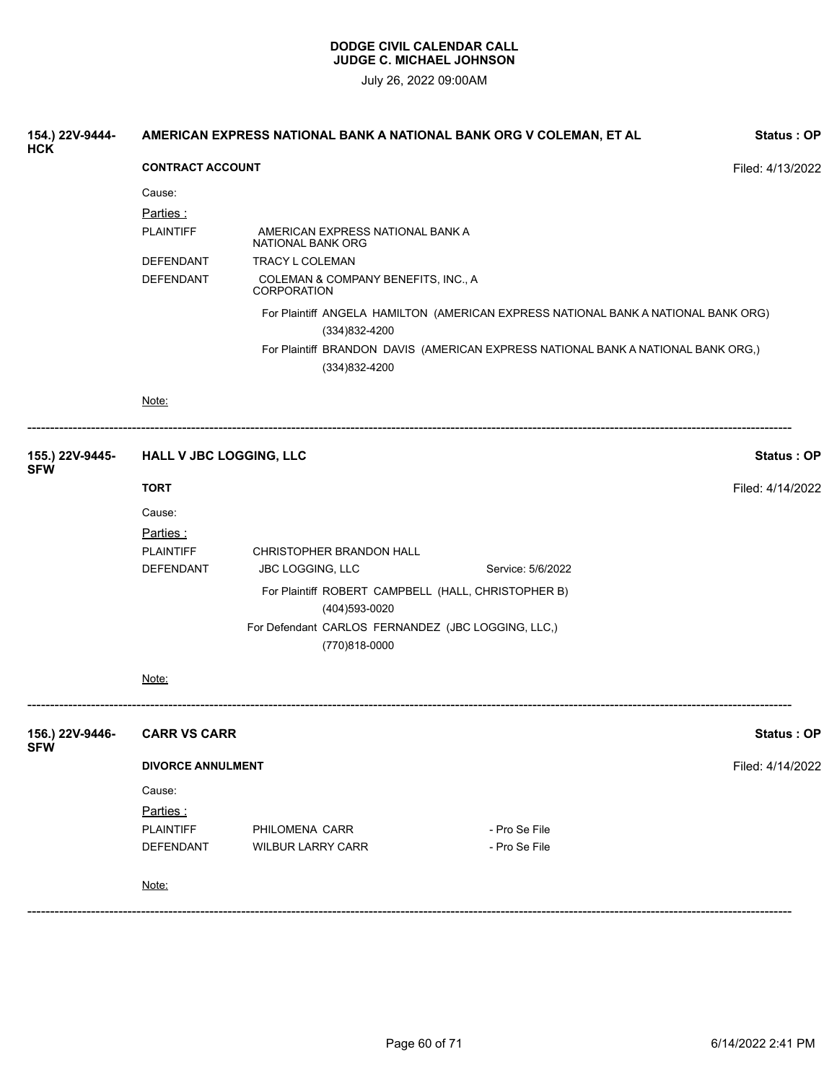| 154.) 22V-9444-<br><b>HCK</b> | AMERICAN EXPRESS NATIONAL BANK A NATIONAL BANK ORG V COLEMAN, ET AL<br>Status: OP |                                                       |                                                                                    |                   |  |
|-------------------------------|-----------------------------------------------------------------------------------|-------------------------------------------------------|------------------------------------------------------------------------------------|-------------------|--|
|                               | <b>CONTRACT ACCOUNT</b><br>Filed: 4/13/2022                                       |                                                       |                                                                                    |                   |  |
|                               | Cause:                                                                            |                                                       |                                                                                    |                   |  |
|                               | Parties:                                                                          |                                                       |                                                                                    |                   |  |
|                               | <b>PLAINTIFF</b>                                                                  | AMERICAN EXPRESS NATIONAL BANK A<br>NATIONAL BANK ORG |                                                                                    |                   |  |
|                               | DEFENDANT                                                                         | TRACY L COLEMAN                                       |                                                                                    |                   |  |
|                               | <b>DEFENDANT</b>                                                                  | COLEMAN & COMPANY BENEFITS, INC., A<br>CORPORATION    |                                                                                    |                   |  |
|                               |                                                                                   | (334) 832-4200                                        | For Plaintiff ANGELA HAMILTON (AMERICAN EXPRESS NATIONAL BANK A NATIONAL BANK ORG) |                   |  |
|                               |                                                                                   | (334) 832-4200                                        | For Plaintiff BRANDON DAVIS (AMERICAN EXPRESS NATIONAL BANK A NATIONAL BANK ORG,)  |                   |  |
|                               | Note:                                                                             |                                                       |                                                                                    |                   |  |
| 155.) 22V-9445-<br><b>SFW</b> | HALL V JBC LOGGING, LLC                                                           |                                                       |                                                                                    | Status: OP        |  |
|                               | <b>TORT</b>                                                                       |                                                       |                                                                                    | Filed: 4/14/2022  |  |
|                               | Cause:                                                                            |                                                       |                                                                                    |                   |  |
|                               | <u>Parties :</u>                                                                  |                                                       |                                                                                    |                   |  |
|                               | <b>PLAINTIFF</b>                                                                  | CHRISTOPHER BRANDON HALL                              |                                                                                    |                   |  |
|                               | DEFENDANT                                                                         | <b>JBC LOGGING, LLC</b>                               | Service: 5/6/2022                                                                  |                   |  |
|                               |                                                                                   |                                                       | For Plaintiff ROBERT CAMPBELL (HALL, CHRISTOPHER B)                                |                   |  |
|                               |                                                                                   | (404)593-0020                                         |                                                                                    |                   |  |
|                               |                                                                                   |                                                       | For Defendant CARLOS FERNANDEZ (JBC LOGGING, LLC,)                                 |                   |  |
|                               |                                                                                   | (770)818-0000                                         |                                                                                    |                   |  |
|                               | Note:                                                                             |                                                       |                                                                                    |                   |  |
| 156.) 22V-9446-<br><b>SFW</b> | <b>CARR VS CARR</b>                                                               |                                                       |                                                                                    | <b>Status: OP</b> |  |
|                               | <b>DIVORCE ANNULMENT</b>                                                          |                                                       |                                                                                    | Filed: 4/14/2022  |  |
|                               | Cause:                                                                            |                                                       |                                                                                    |                   |  |
|                               | Parties:                                                                          |                                                       |                                                                                    |                   |  |
|                               | <b>PLAINTIFF</b>                                                                  | PHILOMENA CARR                                        | - Pro Se File                                                                      |                   |  |
|                               | DEFENDANT                                                                         | <b>WILBUR LARRY CARR</b>                              | - Pro Se File                                                                      |                   |  |
|                               | Note:                                                                             |                                                       |                                                                                    |                   |  |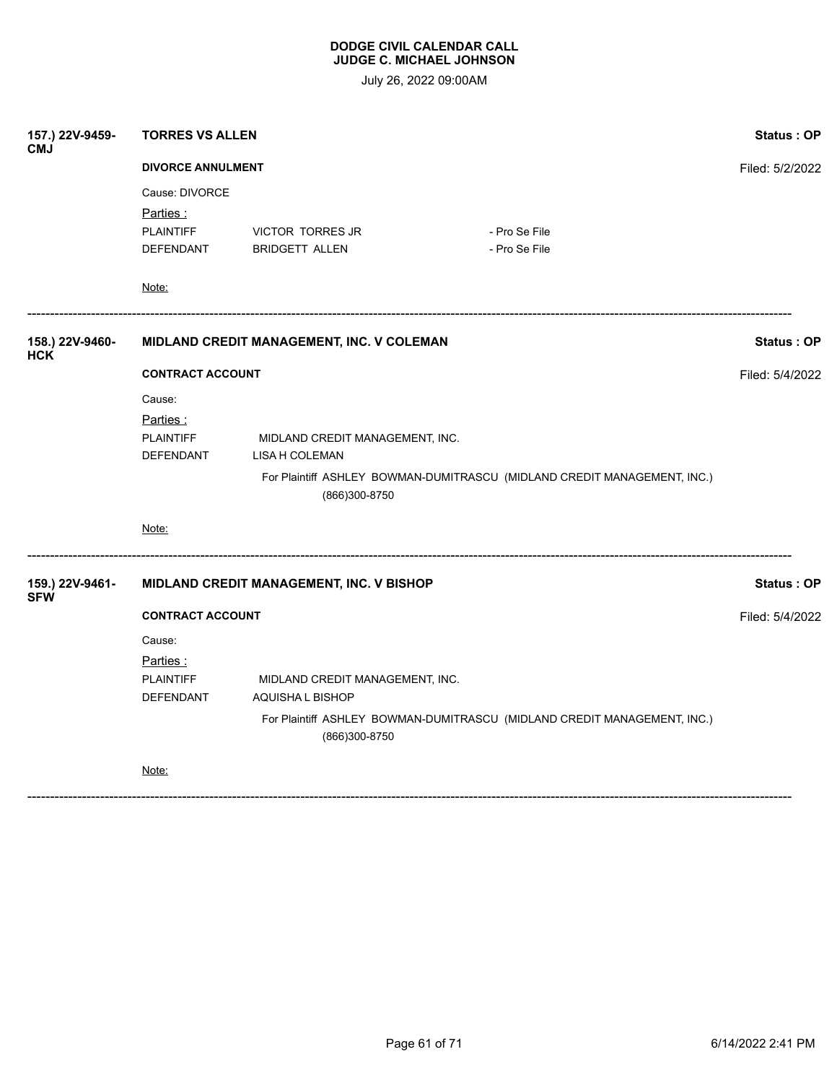| 157.) 22V-9459-<br><b>CMJ</b> | <b>TORRES VS ALLEN</b>                                      |                                                   |                                                                          |                 |  |
|-------------------------------|-------------------------------------------------------------|---------------------------------------------------|--------------------------------------------------------------------------|-----------------|--|
|                               | <b>DIVORCE ANNULMENT</b>                                    |                                                   |                                                                          |                 |  |
|                               | Cause: DIVORCE<br>Parties:<br><b>PLAINTIFF</b><br>DEFENDANT | VICTOR TORRES JR<br><b>BRIDGETT ALLEN</b>         | - Pro Se File<br>- Pro Se File                                           |                 |  |
|                               | Note:                                                       |                                                   |                                                                          |                 |  |
| 158.) 22V-9460-<br><b>HCK</b> |                                                             | MIDLAND CREDIT MANAGEMENT, INC. V COLEMAN         |                                                                          | Status: OP      |  |
|                               | <b>CONTRACT ACCOUNT</b>                                     |                                                   |                                                                          |                 |  |
|                               | Cause:                                                      |                                                   |                                                                          |                 |  |
|                               | Parties:<br><b>PLAINTIFF</b><br>DEFENDANT                   | MIDLAND CREDIT MANAGEMENT, INC.<br>LISA H COLEMAN |                                                                          |                 |  |
|                               |                                                             | (866)300-8750                                     | For Plaintiff ASHLEY BOWMAN-DUMITRASCU (MIDLAND CREDIT MANAGEMENT, INC.) |                 |  |
|                               | Note:                                                       |                                                   |                                                                          |                 |  |
| 159.) 22V-9461-<br><b>SFW</b> |                                                             | MIDLAND CREDIT MANAGEMENT, INC. V BISHOP          |                                                                          | Status: OP      |  |
|                               | <b>CONTRACT ACCOUNT</b>                                     |                                                   |                                                                          | Filed: 5/4/2022 |  |
|                               | Cause:                                                      |                                                   |                                                                          |                 |  |
|                               | Parties:                                                    |                                                   |                                                                          |                 |  |
|                               | <b>PLAINTIFF</b>                                            | MIDLAND CREDIT MANAGEMENT, INC.                   |                                                                          |                 |  |
|                               | DEFENDANT                                                   | AQUISHA L BISHOP                                  |                                                                          |                 |  |
|                               |                                                             | (866)300-8750                                     | For Plaintiff ASHLEY BOWMAN-DUMITRASCU (MIDLAND CREDIT MANAGEMENT, INC.) |                 |  |
|                               | Note:                                                       |                                                   |                                                                          |                 |  |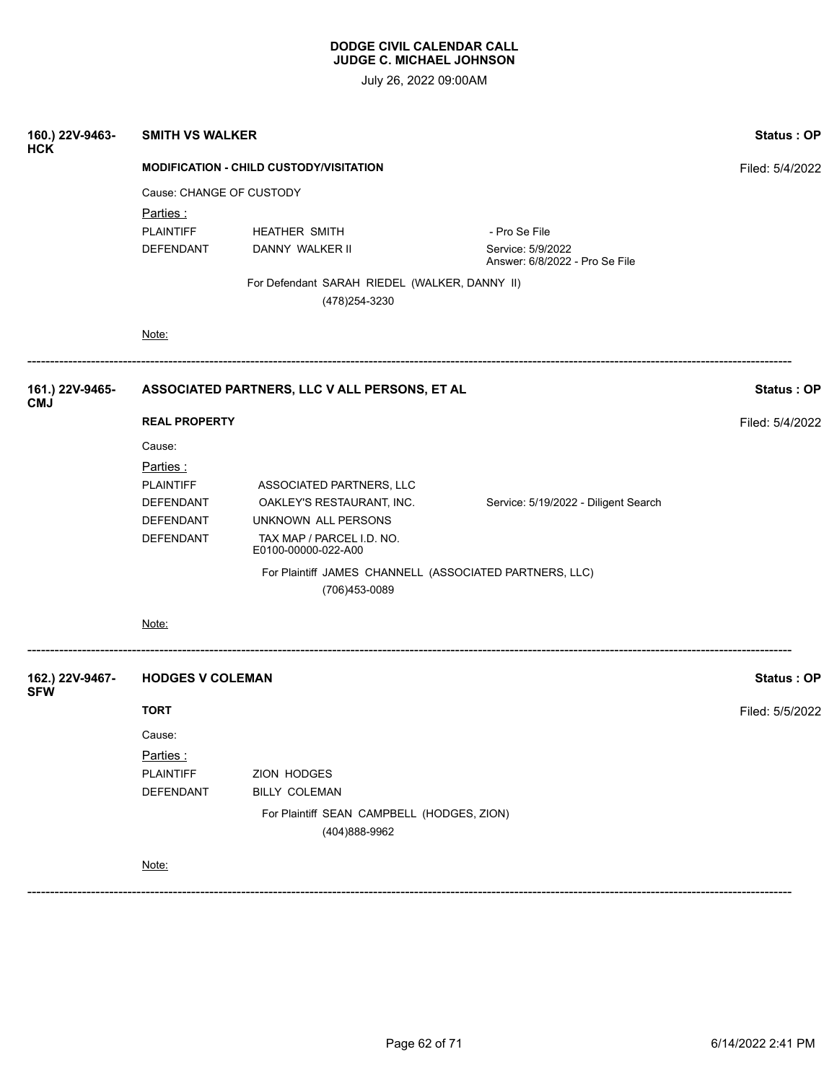| 160.) 22V-9463-<br><b>HCK</b> | <b>SMITH VS WALKER</b>                         | <b>Status: OP</b>                                               |                                                     |                 |
|-------------------------------|------------------------------------------------|-----------------------------------------------------------------|-----------------------------------------------------|-----------------|
|                               | <b>MODIFICATION - CHILD CUSTODY/VISITATION</b> | Filed: 5/4/2022                                                 |                                                     |                 |
|                               | Cause: CHANGE OF CUSTODY                       |                                                                 |                                                     |                 |
|                               | Parties:                                       |                                                                 |                                                     |                 |
|                               | <b>PLAINTIFF</b>                               | <b>HEATHER SMITH</b>                                            | - Pro Se File                                       |                 |
|                               | DEFENDANT                                      | DANNY WALKER II                                                 | Service: 5/9/2022<br>Answer: 6/8/2022 - Pro Se File |                 |
|                               |                                                | For Defendant SARAH RIEDEL (WALKER, DANNY II)<br>(478) 254-3230 |                                                     |                 |
|                               | Note:                                          |                                                                 |                                                     |                 |
| 161.) 22V-9465-               |                                                | ASSOCIATED PARTNERS, LLC V ALL PERSONS, ET AL                   |                                                     | Status: OP      |
| <b>CMJ</b>                    | <b>REAL PROPERTY</b>                           |                                                                 |                                                     | Filed: 5/4/2022 |
|                               | Cause:                                         |                                                                 |                                                     |                 |
|                               | Parties:                                       |                                                                 |                                                     |                 |
|                               | <b>PLAINTIFF</b>                               | ASSOCIATED PARTNERS, LLC                                        |                                                     |                 |
|                               | DEFENDANT                                      | OAKLEY'S RESTAURANT, INC.                                       | Service: 5/19/2022 - Diligent Search                |                 |
|                               | DEFENDANT                                      | UNKNOWN ALL PERSONS                                             |                                                     |                 |
|                               | DEFENDANT                                      | TAX MAP / PARCEL I.D. NO.<br>E0100-00000-022-A00                |                                                     |                 |
|                               |                                                | For Plaintiff JAMES CHANNELL (ASSOCIATED PARTNERS, LLC)         |                                                     |                 |
|                               |                                                | (706)453-0089                                                   |                                                     |                 |
|                               | Note:                                          |                                                                 |                                                     |                 |
| 162.) 22V-9467-<br><b>SFW</b> | <b>HODGES V COLEMAN</b>                        |                                                                 |                                                     | Status: OP      |
|                               | <b>TORT</b>                                    |                                                                 |                                                     | Filed: 5/5/2022 |
|                               | Cause:                                         |                                                                 |                                                     |                 |
|                               | Parties:                                       |                                                                 |                                                     |                 |
|                               | <b>PLAINTIFF</b>                               | ZION HODGES                                                     |                                                     |                 |
|                               | <b>DEFENDANT</b>                               | BILLY COLEMAN                                                   |                                                     |                 |
|                               |                                                | For Plaintiff SEAN CAMPBELL (HODGES, ZION)<br>(404) 888-9962    |                                                     |                 |
|                               | Note:                                          |                                                                 |                                                     |                 |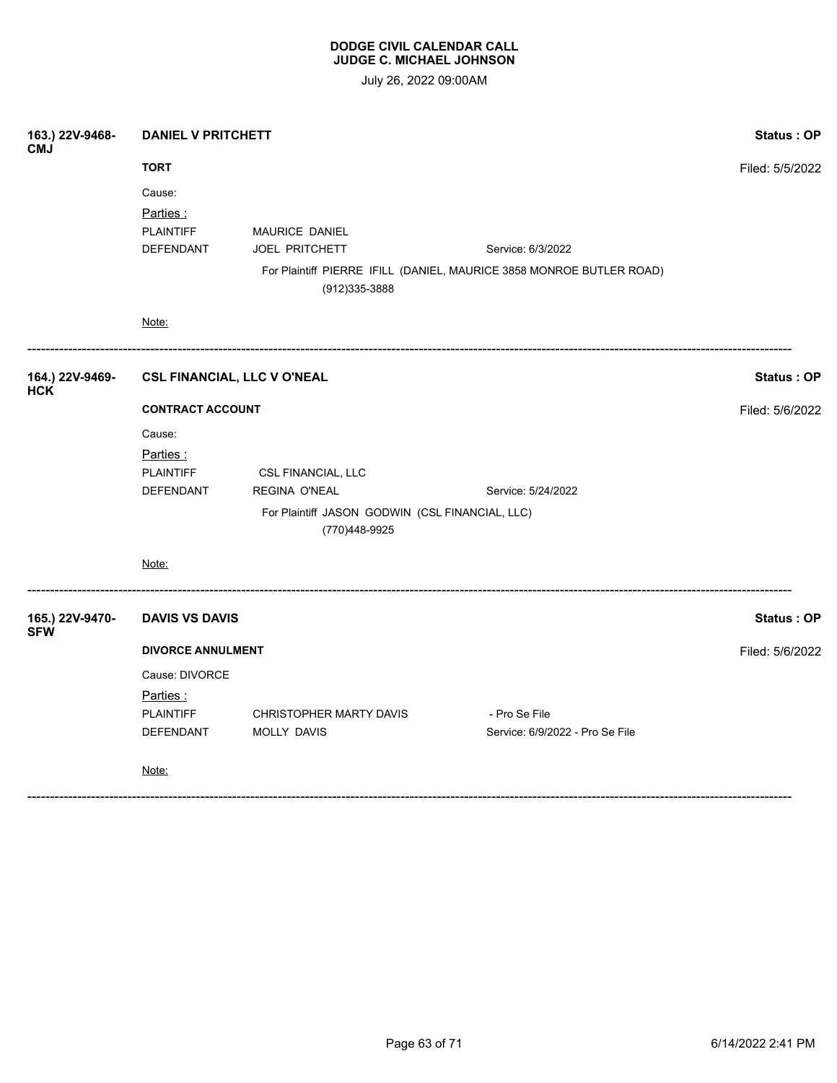| 163.) 22V-9468-<br><b>CMJ</b> | <b>DANIEL V PRITCHETT</b>                                  | <b>Status: OP</b>                                                                                              |                                                                                           |                   |
|-------------------------------|------------------------------------------------------------|----------------------------------------------------------------------------------------------------------------|-------------------------------------------------------------------------------------------|-------------------|
|                               | <b>TORT</b>                                                | Filed: 5/5/2022                                                                                                |                                                                                           |                   |
|                               | Cause:<br>Parties:<br><b>PLAINTIFF</b><br><b>DEFENDANT</b> | MAURICE DANIEL<br>JOEL PRITCHETT<br>(912) 335-3888                                                             | Service: 6/3/2022<br>For Plaintiff PIERRE IFILL (DANIEL, MAURICE 3858 MONROE BUTLER ROAD) |                   |
|                               | Note:                                                      |                                                                                                                |                                                                                           |                   |
| 164.) 22V-9469-<br><b>HCK</b> | <b>CSL FINANCIAL, LLC V O'NEAL</b>                         |                                                                                                                |                                                                                           | <b>Status: OP</b> |
|                               | <b>CONTRACT ACCOUNT</b>                                    | Filed: 5/6/2022                                                                                                |                                                                                           |                   |
|                               | Cause:<br>Parties:<br><b>PLAINTIFF</b><br><b>DEFENDANT</b> | CSL FINANCIAL, LLC<br><b>REGINA O'NEAL</b><br>For Plaintiff JASON GODWIN (CSL FINANCIAL, LLC)<br>(770)448-9925 | Service: 5/24/2022                                                                        |                   |
|                               | Note:                                                      |                                                                                                                |                                                                                           |                   |
| 165.) 22V-9470-<br><b>SFW</b> | <b>DAVIS VS DAVIS</b>                                      |                                                                                                                |                                                                                           | <b>Status: OP</b> |
|                               | <b>DIVORCE ANNULMENT</b>                                   | Filed: 5/6/2022                                                                                                |                                                                                           |                   |
|                               | Cause: DIVORCE                                             |                                                                                                                |                                                                                           |                   |
|                               | Parties:                                                   |                                                                                                                |                                                                                           |                   |
|                               | <b>PLAINTIFF</b><br>DEFENDANT                              | CHRISTOPHER MARTY DAVIS<br>MOLLY DAVIS                                                                         | - Pro Se File<br>Service: 6/9/2022 - Pro Se File                                          |                   |
|                               | Note:                                                      |                                                                                                                |                                                                                           |                   |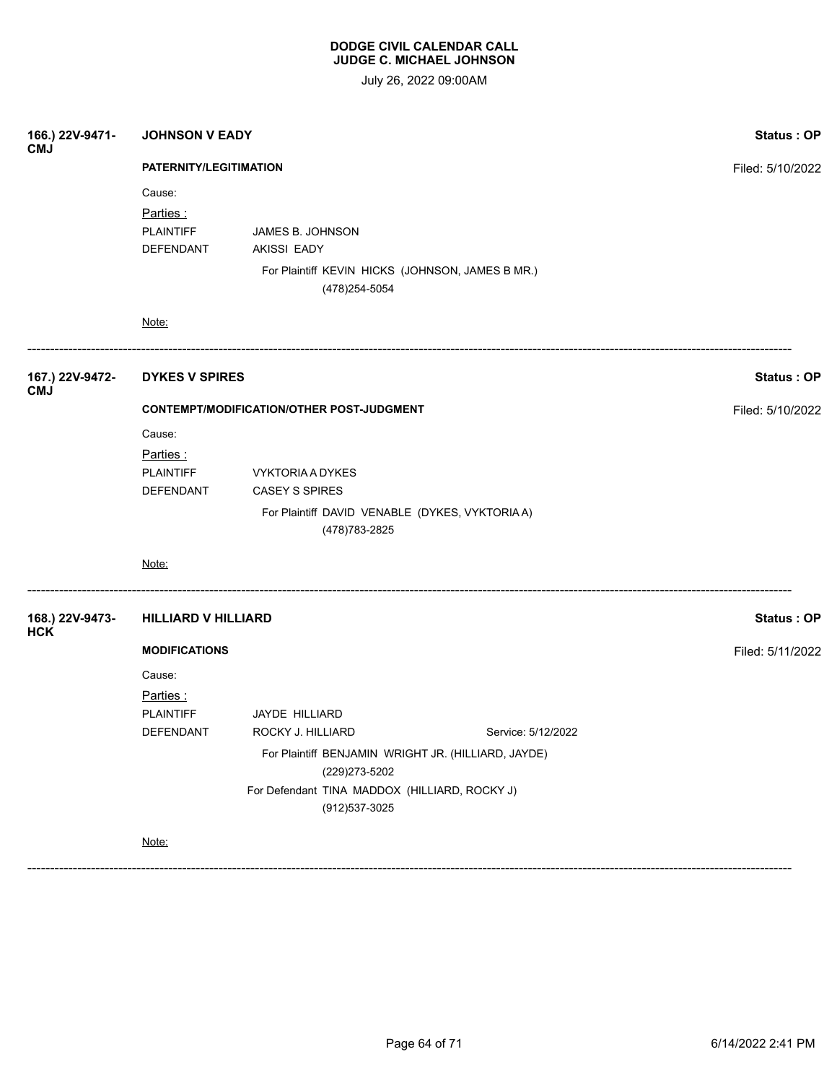July 26, 2022 09:00AM

| 166.) 22V-9471-<br><b>CMJ</b> | <b>JOHNSON V EADY</b><br>PATERNITY/LEGITIMATION     |                                                                                                                |                    | Status: OP       |
|-------------------------------|-----------------------------------------------------|----------------------------------------------------------------------------------------------------------------|--------------------|------------------|
|                               |                                                     |                                                                                                                |                    | Filed: 5/10/2022 |
|                               | Cause:<br>Parties:<br><b>PLAINTIFF</b><br>DEFENDANT | JAMES B. JOHNSON<br><b>AKISSI EADY</b><br>For Plaintiff KEVIN HICKS (JOHNSON, JAMES B MR.)<br>(478) 254-5054   |                    |                  |
|                               | Note:                                               |                                                                                                                |                    |                  |
| 167.) 22V-9472-<br><b>CMJ</b> | <b>DYKES V SPIRES</b>                               |                                                                                                                |                    | Status: OP       |
|                               | CONTEMPT/MODIFICATION/OTHER POST-JUDGMENT           | Filed: 5/10/2022                                                                                               |                    |                  |
|                               | Cause:<br>Parties:<br><b>PLAINTIFF</b><br>DEFENDANT | VYKTORIA A DYKES<br><b>CASEY S SPIRES</b><br>For Plaintiff DAVID VENABLE (DYKES, VYKTORIA A)<br>(478) 783-2825 |                    |                  |
|                               | Note:                                               |                                                                                                                |                    |                  |
| 168.) 22V-9473-<br><b>HCK</b> | <b>HILLIARD V HILLIARD</b>                          |                                                                                                                |                    | Status: OP       |
|                               | <b>MODIFICATIONS</b>                                |                                                                                                                |                    | Filed: 5/11/2022 |
|                               | Cause:<br>Parties:<br><b>PLAINTIFF</b><br>DEFENDANT | JAYDE HILLIARD<br>ROCKY J. HILLIARD                                                                            | Service: 5/12/2022 |                  |
|                               |                                                     |                                                                                                                |                    |                  |
|                               |                                                     | (229) 273-5202<br>For Defendant TINA MADDOX (HILLIARD, ROCKY J)<br>(912) 537-3025                              |                    |                  |
|                               | Note:                                               |                                                                                                                |                    |                  |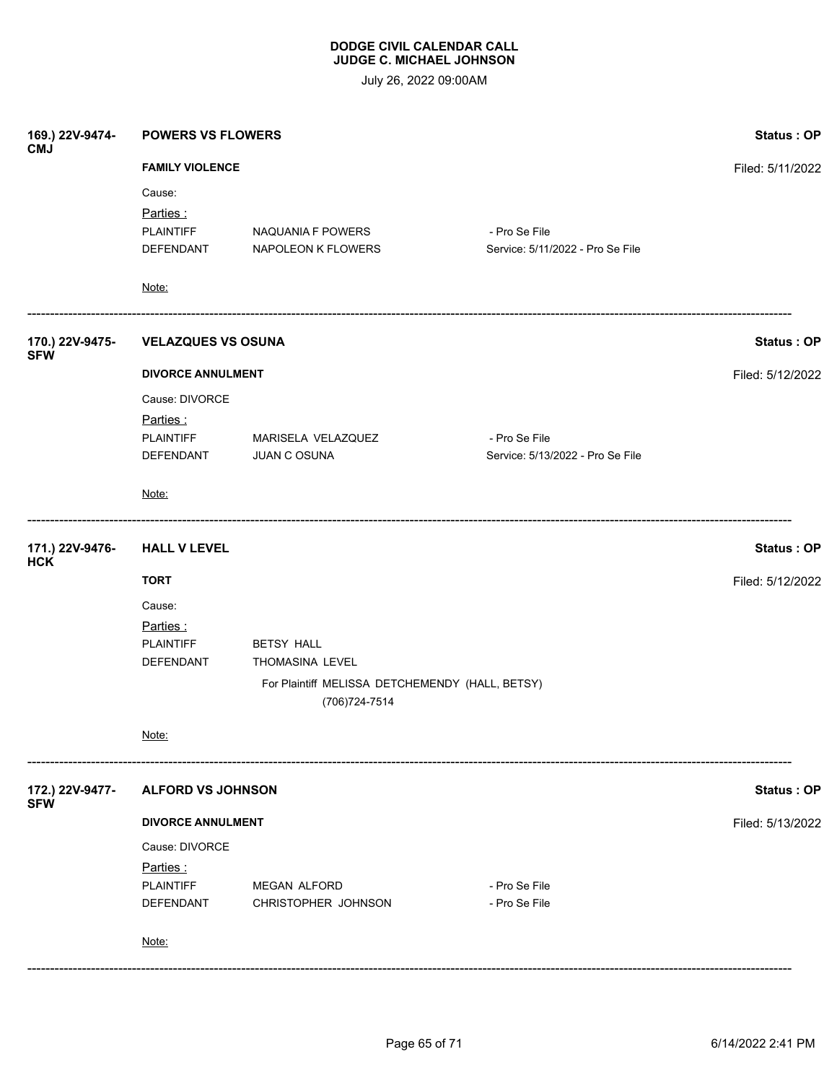| Filed: 5/11/2022<br><b>Status: OP</b><br>Filed: 5/12/2022 |
|-----------------------------------------------------------|
|                                                           |
|                                                           |
|                                                           |
|                                                           |
|                                                           |
|                                                           |
|                                                           |
|                                                           |
|                                                           |
|                                                           |
|                                                           |
|                                                           |
|                                                           |
| Status: OP                                                |
| Filed: 5/12/2022                                          |
|                                                           |
|                                                           |
|                                                           |
|                                                           |
|                                                           |
|                                                           |
| Status: OP                                                |
| Filed: 5/13/2022                                          |
|                                                           |
|                                                           |
|                                                           |
|                                                           |
|                                                           |
|                                                           |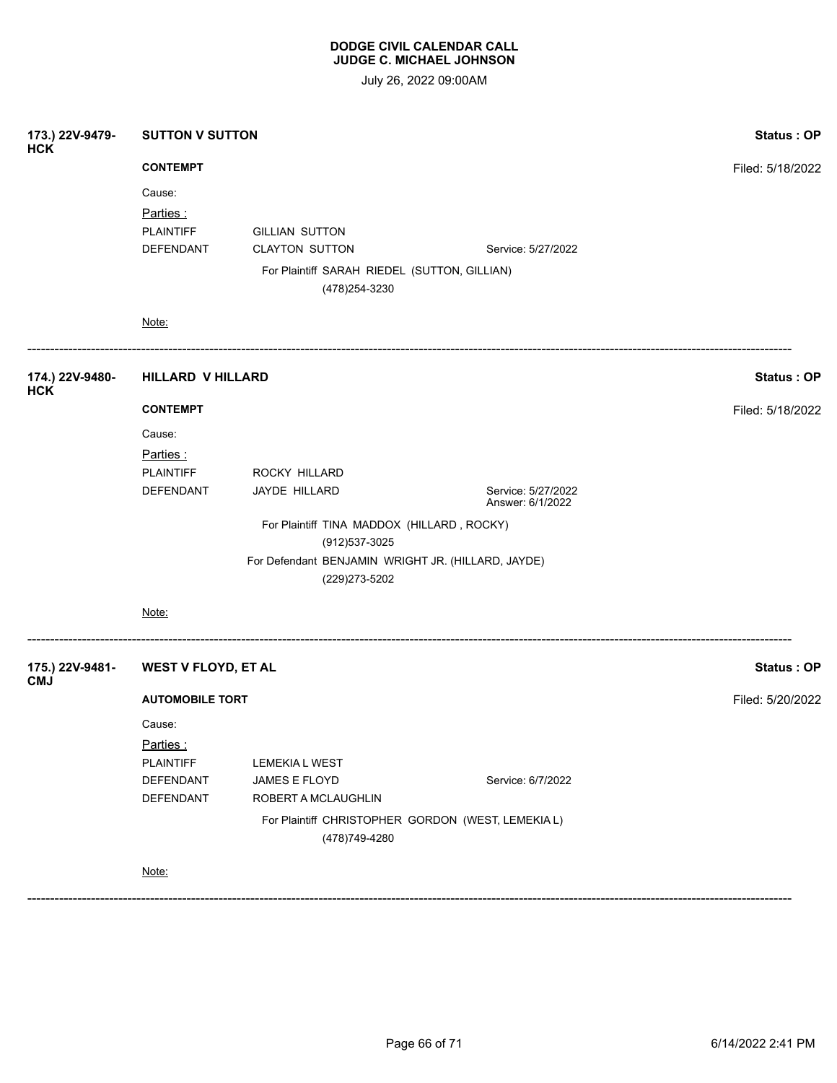July 26, 2022 09:00AM

| 173.) 22V-9479-<br><b>HCK</b> | <b>SUTTON V SUTTON</b>                                               |                                                                      |                                        | Status: OP       |
|-------------------------------|----------------------------------------------------------------------|----------------------------------------------------------------------|----------------------------------------|------------------|
|                               | <b>CONTEMPT</b>                                                      | Filed: 5/18/2022                                                     |                                        |                  |
|                               | Cause:                                                               |                                                                      |                                        |                  |
|                               | Parties:                                                             |                                                                      |                                        |                  |
|                               | <b>PLAINTIFF</b>                                                     | <b>GILLIAN SUTTON</b>                                                |                                        |                  |
|                               | DEFENDANT                                                            | <b>CLAYTON SUTTON</b>                                                | Service: 5/27/2022                     |                  |
|                               |                                                                      | For Plaintiff SARAH RIEDEL (SUTTON, GILLIAN)<br>(478) 254-3230       |                                        |                  |
|                               | Note:                                                                |                                                                      |                                        |                  |
| 174.) 22V-9480-<br><b>HCK</b> | <b>HILLARD V HILLARD</b>                                             | Status: OP                                                           |                                        |                  |
|                               | <b>CONTEMPT</b>                                                      |                                                                      |                                        | Filed: 5/18/2022 |
|                               | Cause:                                                               |                                                                      |                                        |                  |
|                               | Parties :                                                            |                                                                      |                                        |                  |
|                               | <b>PLAINTIFF</b>                                                     | ROCKY HILLARD                                                        |                                        |                  |
|                               | DEFENDANT                                                            | JAYDE HILLARD                                                        | Service: 5/27/2022<br>Answer: 6/1/2022 |                  |
|                               |                                                                      |                                                                      |                                        |                  |
|                               | (912) 537-3025<br>For Defendant BENJAMIN WRIGHT JR. (HILLARD, JAYDE) |                                                                      |                                        |                  |
|                               |                                                                      | (229) 273-5202                                                       |                                        |                  |
|                               | Note:                                                                |                                                                      |                                        |                  |
| 175.) 22V-9481-<br><b>CMJ</b> | <b>WEST V FLOYD, ET AL</b>                                           |                                                                      |                                        | Status: OP       |
|                               | <b>AUTOMOBILE TORT</b>                                               | Filed: 5/20/2022                                                     |                                        |                  |
|                               | Cause:                                                               |                                                                      |                                        |                  |
|                               | Parties:                                                             |                                                                      |                                        |                  |
|                               | <b>PLAINTIFF</b>                                                     | LEMEKIA L WEST                                                       |                                        |                  |
|                               | DEFENDANT                                                            | JAMES E FLOYD                                                        | Service: 6/7/2022                      |                  |
|                               | <b>DEFENDANT</b>                                                     | ROBERT A MCLAUGHLIN                                                  |                                        |                  |
|                               |                                                                      | For Plaintiff CHRISTOPHER GORDON (WEST, LEMEKIA L)<br>(478) 749-4280 |                                        |                  |
|                               | Note:                                                                |                                                                      |                                        |                  |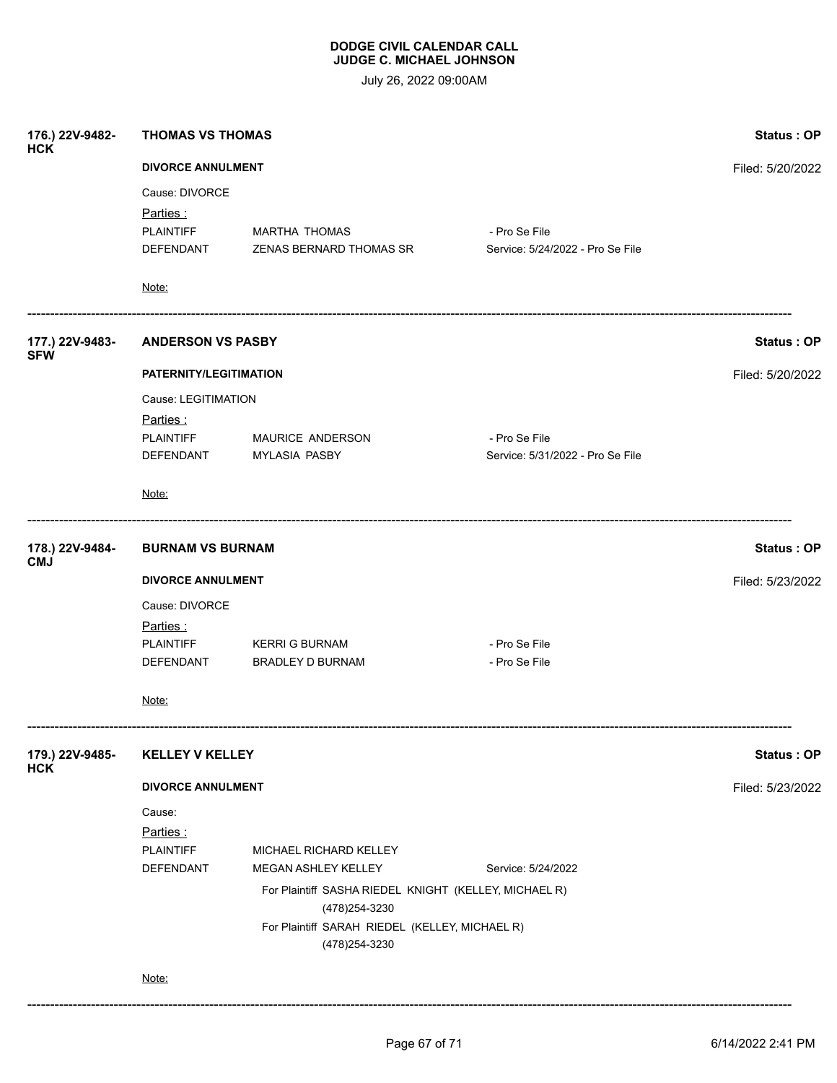| 176.) 22V-9482-<br><b>HCK</b> | <b>THOMAS VS THOMAS</b>                                          |                                                  |                                                   | Status: OP        |
|-------------------------------|------------------------------------------------------------------|--------------------------------------------------|---------------------------------------------------|-------------------|
|                               | <b>DIVORCE ANNULMENT</b>                                         | Filed: 5/20/2022                                 |                                                   |                   |
|                               | Cause: DIVORCE                                                   |                                                  |                                                   |                   |
|                               | Parties:<br><b>PLAINTIFF</b><br>DEFENDANT                        | <b>MARTHA THOMAS</b><br>ZENAS BERNARD THOMAS SR  | - Pro Se File<br>Service: 5/24/2022 - Pro Se File |                   |
|                               | Note:                                                            |                                                  |                                                   |                   |
| 177.) 22V-9483-<br><b>SFW</b> | <b>ANDERSON VS PASBY</b>                                         |                                                  |                                                   | Status: OP        |
|                               | PATERNITY/LEGITIMATION                                           |                                                  | Filed: 5/20/2022                                  |                   |
|                               | Cause: LEGITIMATION<br>Parties :                                 |                                                  |                                                   |                   |
|                               | <b>PLAINTIFF</b>                                                 | MAURICE ANDERSON                                 | - Pro Se File                                     |                   |
|                               | DEFENDANT                                                        | <b>MYLASIA PASBY</b>                             | Service: 5/31/2022 - Pro Se File                  |                   |
|                               | Note:                                                            |                                                  |                                                   |                   |
| 178.) 22V-9484-<br><b>CMJ</b> | <b>BURNAM VS BURNAM</b>                                          |                                                  |                                                   | <b>Status: OP</b> |
|                               | <b>DIVORCE ANNULMENT</b>                                         |                                                  |                                                   | Filed: 5/23/2022  |
|                               | Cause: DIVORCE                                                   |                                                  |                                                   |                   |
|                               | Parties :                                                        |                                                  |                                                   |                   |
|                               | <b>PLAINTIFF</b>                                                 | <b>KERRI G BURNAM</b><br><b>BRADLEY D BURNAM</b> | - Pro Se File                                     |                   |
|                               | DEFENDANT                                                        |                                                  | - Pro Se File                                     |                   |
|                               | Note:                                                            |                                                  |                                                   |                   |
| 179.) 22V-9485-<br><b>HCK</b> | <b>KELLEY V KELLEY</b>                                           |                                                  |                                                   | Status: OP        |
|                               | <b>DIVORCE ANNULMENT</b>                                         | Filed: 5/23/2022                                 |                                                   |                   |
|                               | Cause:                                                           |                                                  |                                                   |                   |
|                               | Parties :                                                        |                                                  |                                                   |                   |
|                               | <b>PLAINTIFF</b>                                                 | MICHAEL RICHARD KELLEY                           |                                                   |                   |
|                               | DEFENDANT                                                        | MEGAN ASHLEY KELLEY                              | Service: 5/24/2022                                |                   |
|                               | For Plaintiff SASHA RIEDEL KNIGHT (KELLEY, MICHAEL R)            |                                                  |                                                   |                   |
|                               | (478) 254-3230<br>For Plaintiff SARAH RIEDEL (KELLEY, MICHAEL R) |                                                  |                                                   |                   |
|                               | Note:                                                            | (478) 254-3230                                   |                                                   |                   |
|                               |                                                                  |                                                  |                                                   |                   |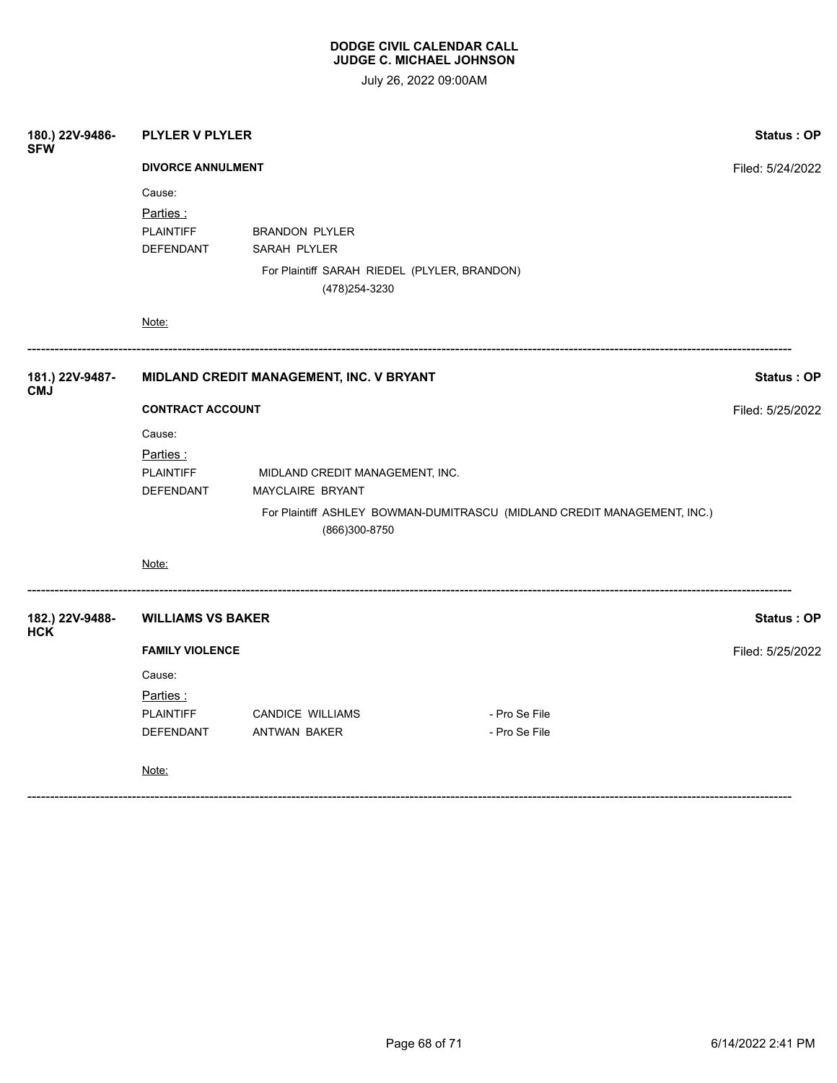| 180.) 22V-9486-<br><b>SFW</b> | <b>PLYLER V PLYLER</b>                   |                                                                |                                                                          | <b>Status: OP</b> |  |
|-------------------------------|------------------------------------------|----------------------------------------------------------------|--------------------------------------------------------------------------|-------------------|--|
|                               | <b>DIVORCE ANNULMENT</b>                 |                                                                |                                                                          |                   |  |
|                               | Cause:                                   |                                                                |                                                                          |                   |  |
|                               | Parties:                                 |                                                                |                                                                          |                   |  |
|                               | <b>PLAINTIFF</b>                         | <b>BRANDON PLYLER</b>                                          |                                                                          |                   |  |
|                               | DEFENDANT                                | SARAH PLYLER                                                   |                                                                          |                   |  |
|                               |                                          | For Plaintiff SARAH RIEDEL (PLYLER, BRANDON)<br>(478) 254-3230 |                                                                          |                   |  |
|                               | Note:                                    |                                                                |                                                                          |                   |  |
| 181.) 22V-9487-<br><b>CMJ</b> | MIDLAND CREDIT MANAGEMENT, INC. V BRYANT |                                                                |                                                                          | Status: OP        |  |
|                               | <b>CONTRACT ACCOUNT</b>                  |                                                                |                                                                          |                   |  |
|                               | Cause:                                   |                                                                |                                                                          |                   |  |
|                               | Parties:                                 |                                                                |                                                                          |                   |  |
|                               | <b>PLAINTIFF</b>                         | MIDLAND CREDIT MANAGEMENT, INC.                                |                                                                          |                   |  |
|                               | DEFENDANT                                | MAYCLAIRE BRYANT                                               |                                                                          |                   |  |
|                               |                                          | (866)300-8750                                                  | For Plaintiff ASHLEY BOWMAN-DUMITRASCU (MIDLAND CREDIT MANAGEMENT, INC.) |                   |  |
|                               | Note:                                    |                                                                |                                                                          |                   |  |
| 182.) 22V-9488-<br><b>HCK</b> | <b>WILLIAMS VS BAKER</b>                 |                                                                |                                                                          | <b>Status: OP</b> |  |
|                               | <b>FAMILY VIOLENCE</b>                   |                                                                |                                                                          |                   |  |
|                               | Cause:                                   |                                                                |                                                                          |                   |  |
|                               | Parties:                                 |                                                                |                                                                          |                   |  |
|                               | <b>PLAINTIFF</b>                         | <b>CANDICE WILLIAMS</b>                                        | - Pro Se File                                                            |                   |  |
|                               | DEFENDANT                                | ANTWAN BAKER                                                   | - Pro Se File                                                            |                   |  |
|                               | Note:                                    |                                                                |                                                                          |                   |  |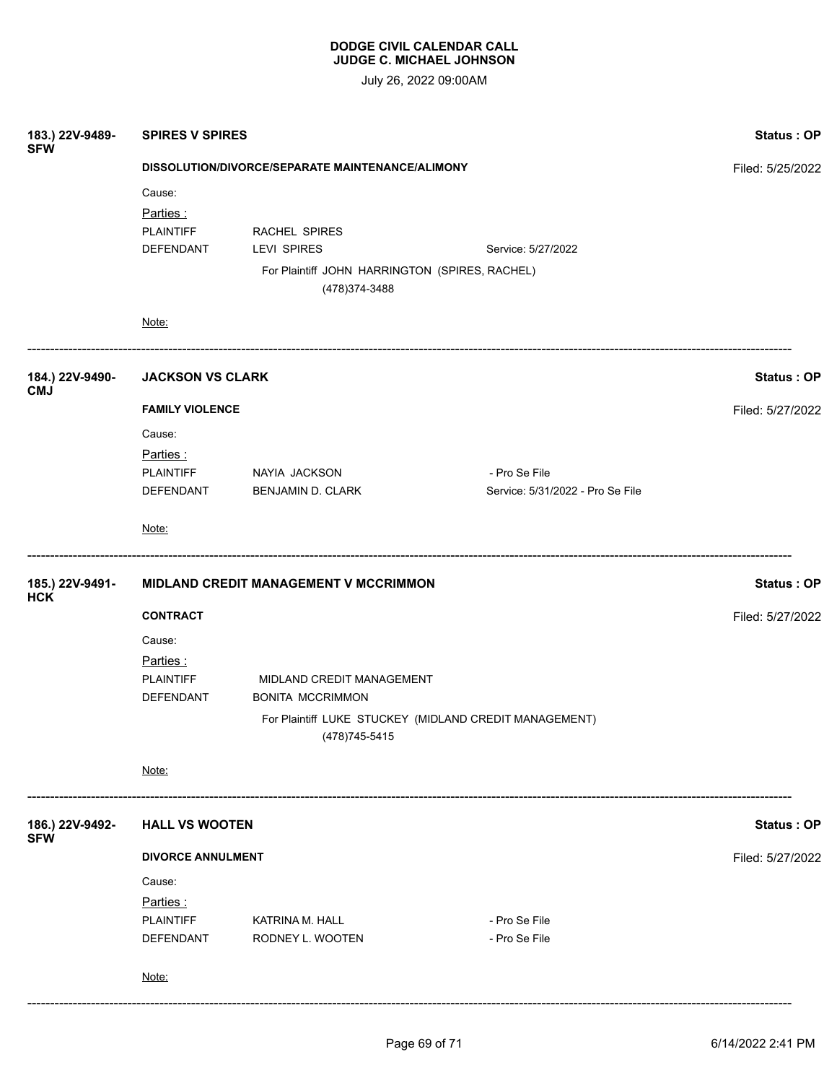| 183.) 22V-9489-<br><b>SFW</b> | <b>SPIRES V SPIRES</b>                           | Status: OP                                                       |                                                        |                  |  |  |
|-------------------------------|--------------------------------------------------|------------------------------------------------------------------|--------------------------------------------------------|------------------|--|--|
|                               | DISSOLUTION/DIVORCE/SEPARATE MAINTENANCE/ALIMONY | Filed: 5/25/2022                                                 |                                                        |                  |  |  |
|                               | Cause:                                           |                                                                  |                                                        |                  |  |  |
|                               | Parties:                                         |                                                                  |                                                        |                  |  |  |
|                               | <b>PLAINTIFF</b>                                 | RACHEL SPIRES                                                    |                                                        |                  |  |  |
|                               | DEFENDANT                                        | LEVI SPIRES                                                      | Service: 5/27/2022                                     |                  |  |  |
|                               |                                                  | For Plaintiff JOHN HARRINGTON (SPIRES, RACHEL)<br>(478) 374-3488 |                                                        |                  |  |  |
|                               | Note:                                            |                                                                  |                                                        |                  |  |  |
| 184.) 22V-9490-<br><b>CMJ</b> |                                                  | <b>JACKSON VS CLARK</b>                                          |                                                        |                  |  |  |
|                               | <b>FAMILY VIOLENCE</b>                           |                                                                  |                                                        | Filed: 5/27/2022 |  |  |
|                               | Cause:                                           |                                                                  |                                                        |                  |  |  |
|                               | Parties:                                         |                                                                  |                                                        |                  |  |  |
|                               | <b>PLAINTIFF</b>                                 | NAYIA JACKSON                                                    | - Pro Se File                                          |                  |  |  |
|                               | DEFENDANT                                        | <b>BENJAMIN D. CLARK</b>                                         | Service: 5/31/2022 - Pro Se File                       |                  |  |  |
|                               | Note:                                            |                                                                  |                                                        |                  |  |  |
| 185.) 22V-9491-<br><b>HCK</b> | MIDLAND CREDIT MANAGEMENT V MCCRIMMON            | <b>Status: OP</b>                                                |                                                        |                  |  |  |
|                               | <b>CONTRACT</b>                                  |                                                                  |                                                        | Filed: 5/27/2022 |  |  |
|                               | Cause:                                           |                                                                  |                                                        |                  |  |  |
|                               | <u>Parties :</u>                                 |                                                                  |                                                        |                  |  |  |
|                               | <b>PLAINTIFF</b>                                 | MIDLAND CREDIT MANAGEMENT                                        |                                                        |                  |  |  |
|                               | DEFENDANT                                        | <b>BONITA MCCRIMMON</b>                                          |                                                        |                  |  |  |
|                               |                                                  | (478) 745-5415                                                   | For Plaintiff LUKE STUCKEY (MIDLAND CREDIT MANAGEMENT) |                  |  |  |
|                               | Note:                                            |                                                                  |                                                        |                  |  |  |
| 186.) 22V-9492-<br><b>SFW</b> | <b>HALL VS WOOTEN</b>                            | <b>Status: OP</b>                                                |                                                        |                  |  |  |
|                               | <b>DIVORCE ANNULMENT</b>                         | Filed: 5/27/2022                                                 |                                                        |                  |  |  |
|                               | Cause:                                           |                                                                  |                                                        |                  |  |  |
|                               | Parties:                                         |                                                                  |                                                        |                  |  |  |
|                               | PLAINTIFF                                        | KATRINA M. HALL                                                  | - Pro Se File                                          |                  |  |  |
|                               | DEFENDANT                                        | RODNEY L. WOOTEN                                                 | - Pro Se File                                          |                  |  |  |
|                               | Note:                                            |                                                                  |                                                        |                  |  |  |
|                               |                                                  |                                                                  |                                                        |                  |  |  |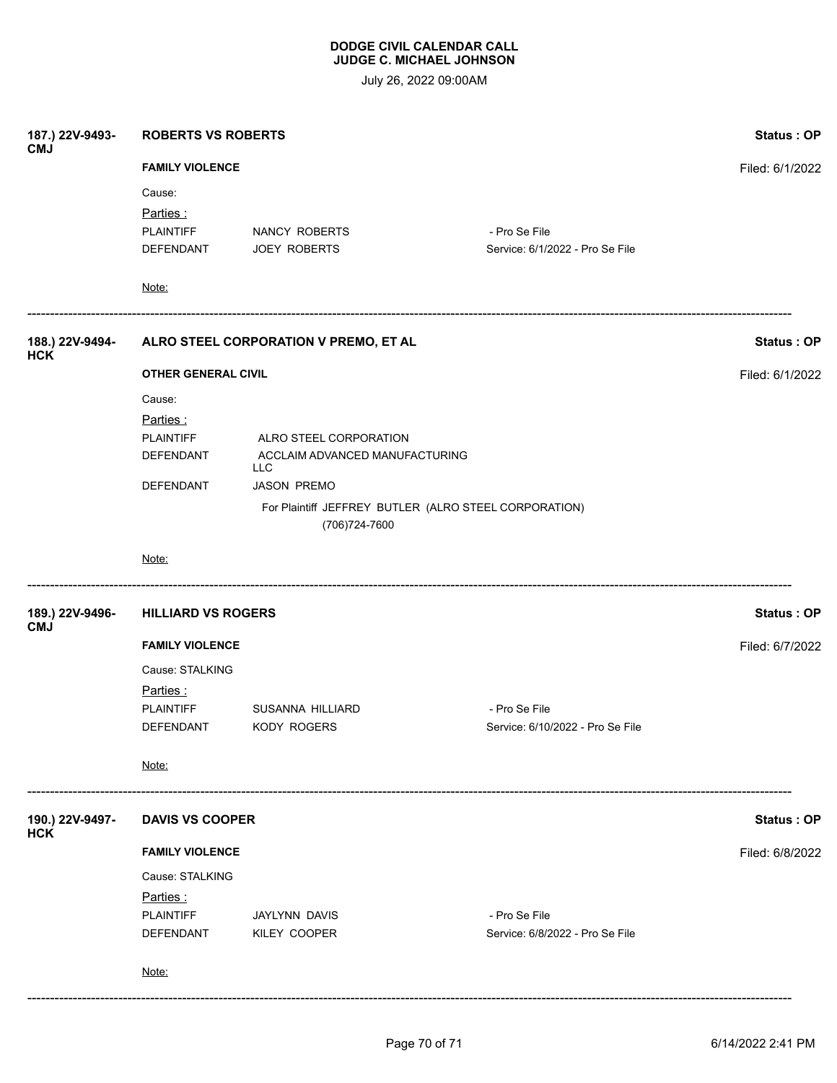| 187.) 22V-9493-<br><b>CMJ</b> | <b>ROBERTS VS ROBERTS</b>                             | Status: OP<br>Filed: 6/1/2022                |                                  |                 |  |  |  |
|-------------------------------|-------------------------------------------------------|----------------------------------------------|----------------------------------|-----------------|--|--|--|
|                               | <b>FAMILY VIOLENCE</b>                                |                                              |                                  |                 |  |  |  |
|                               | Cause:                                                |                                              |                                  |                 |  |  |  |
|                               | Parties:                                              |                                              |                                  |                 |  |  |  |
|                               | PLAINTIFF                                             | NANCY ROBERTS                                | - Pro Se File                    |                 |  |  |  |
|                               | DEFENDANT                                             | <b>JOEY ROBERTS</b>                          | Service: 6/1/2022 - Pro Se File  |                 |  |  |  |
|                               | Note:                                                 |                                              |                                  |                 |  |  |  |
| 188.) 22V-9494-<br><b>HCK</b> |                                                       | ALRO STEEL CORPORATION V PREMO, ET AL        |                                  |                 |  |  |  |
|                               | <b>OTHER GENERAL CIVIL</b>                            | Filed: 6/1/2022                              |                                  |                 |  |  |  |
|                               | Cause:                                                |                                              |                                  |                 |  |  |  |
|                               | Parties:                                              |                                              |                                  |                 |  |  |  |
|                               | <b>PLAINTIFF</b>                                      | ALRO STEEL CORPORATION                       |                                  |                 |  |  |  |
|                               | DEFENDANT                                             | ACCLAIM ADVANCED MANUFACTURING<br><b>LLC</b> |                                  |                 |  |  |  |
|                               | DEFENDANT                                             | <b>JASON PREMO</b>                           |                                  |                 |  |  |  |
|                               | For Plaintiff JEFFREY BUTLER (ALRO STEEL CORPORATION) |                                              |                                  |                 |  |  |  |
|                               |                                                       | (706) 724-7600                               |                                  |                 |  |  |  |
|                               | Note:                                                 |                                              |                                  |                 |  |  |  |
| 189.) 22V-9496-               | <b>HILLIARD VS ROGERS</b><br>Status: OP               |                                              |                                  |                 |  |  |  |
| <b>CMJ</b>                    | <b>FAMILY VIOLENCE</b>                                |                                              |                                  | Filed: 6/7/2022 |  |  |  |
|                               | Cause: STALKING                                       |                                              |                                  |                 |  |  |  |
|                               | Parties:                                              |                                              |                                  |                 |  |  |  |
|                               | <b>PLAINTIFF</b>                                      | SUSANNA HILLIARD                             | - Pro Se File                    |                 |  |  |  |
|                               | DEFENDANT                                             | <b>KODY ROGERS</b>                           | Service: 6/10/2022 - Pro Se File |                 |  |  |  |
|                               | Note:                                                 |                                              |                                  |                 |  |  |  |
| 190.) 22V-9497-<br><b>HCK</b> | <b>DAVIS VS COOPER</b>                                | Status: OP                                   |                                  |                 |  |  |  |
|                               | <b>FAMILY VIOLENCE</b>                                | Filed: 6/8/2022                              |                                  |                 |  |  |  |
|                               | Cause: STALKING                                       |                                              |                                  |                 |  |  |  |
|                               | Parties:                                              |                                              |                                  |                 |  |  |  |
|                               | <b>PLAINTIFF</b>                                      | JAYLYNN DAVIS                                | - Pro Se File                    |                 |  |  |  |
|                               | DEFENDANT                                             | KILEY COOPER                                 | Service: 6/8/2022 - Pro Se File  |                 |  |  |  |
|                               | Note:                                                 |                                              |                                  |                 |  |  |  |
|                               |                                                       |                                              |                                  |                 |  |  |  |